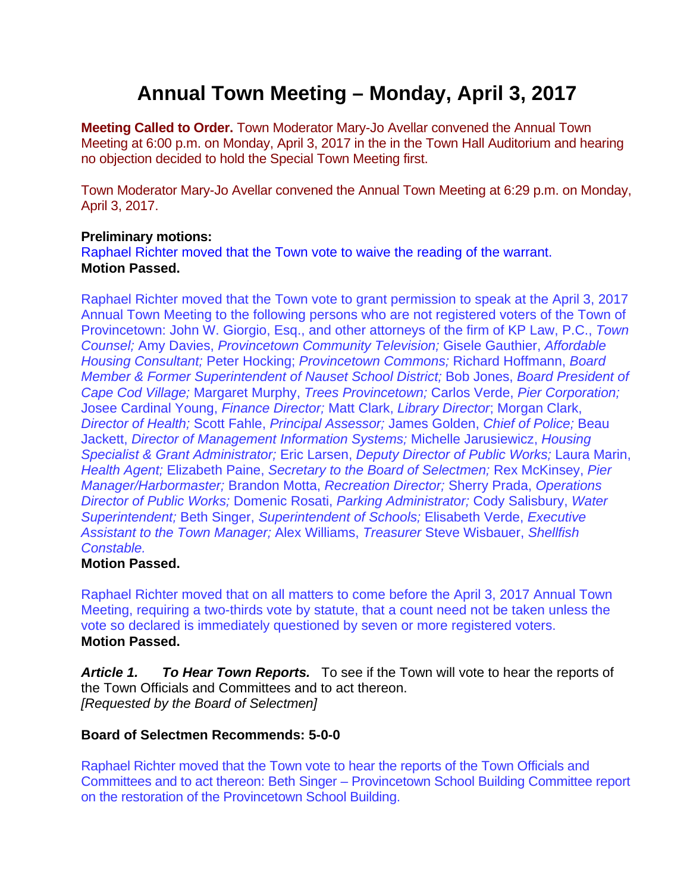# **Annual Town Meeting – Monday, April 3, 2017**

**Meeting Called to Order.** Town Moderator Mary-Jo Avellar convened the Annual Town Meeting at 6:00 p.m. on Monday, April 3, 2017 in the in the Town Hall Auditorium and hearing no objection decided to hold the Special Town Meeting first.

Town Moderator Mary-Jo Avellar convened the Annual Town Meeting at 6:29 p.m. on Monday, April 3, 2017.

#### **Preliminary motions:**

Raphael Richter moved that the Town vote to waive the reading of the warrant. **Motion Passed.** 

Raphael Richter moved that the Town vote to grant permission to speak at the April 3, 2017 Annual Town Meeting to the following persons who are not registered voters of the Town of Provincetown: John W. Giorgio, Esq., and other attorneys of the firm of KP Law, P.C., *Town Counsel;* Amy Davies, *Provincetown Community Television;* Gisele Gauthier, *Affordable Housing Consultant;* Peter Hocking; *Provincetown Commons;* Richard Hoffmann, *Board Member & Former Superintendent of Nauset School District;* Bob Jones, *Board President of Cape Cod Village;* Margaret Murphy, *Trees Provincetown;* Carlos Verde, *Pier Corporation;* Josee Cardinal Young, *Finance Director;* Matt Clark, *Library Director*; Morgan Clark, *Director of Health;* Scott Fahle, *Principal Assessor;* James Golden, *Chief of Police;* Beau Jackett, *Director of Management Information Systems;* Michelle Jarusiewicz, *Housing Specialist & Grant Administrator;* Eric Larsen, *Deputy Director of Public Works;* Laura Marin, *Health Agent;* Elizabeth Paine, *Secretary to the Board of Selectmen;* Rex McKinsey, *Pier Manager/Harbormaster;* Brandon Motta, *Recreation Director;* Sherry Prada, *Operations Director of Public Works;* Domenic Rosati, *Parking Administrator;* Cody Salisbury, *Water Superintendent;* Beth Singer, *Superintendent of Schools;* Elisabeth Verde, *Executive Assistant to the Town Manager;* Alex Williams, *Treasurer* Steve Wisbauer, *Shellfish Constable.*

#### **Motion Passed.**

Raphael Richter moved that on all matters to come before the April 3, 2017 Annual Town Meeting, requiring a two-thirds vote by statute, that a count need not be taken unless the vote so declared is immediately questioned by seven or more registered voters. **Motion Passed.** 

*Article 1. To Hear Town Reports.* To see if the Town will vote to hear the reports of the Town Officials and Committees and to act thereon. *[Requested by the Board of Selectmen]* 

#### **Board of Selectmen Recommends: 5-0-0**

Raphael Richter moved that the Town vote to hear the reports of the Town Officials and Committees and to act thereon: Beth Singer – Provincetown School Building Committee report on the restoration of the Provincetown School Building.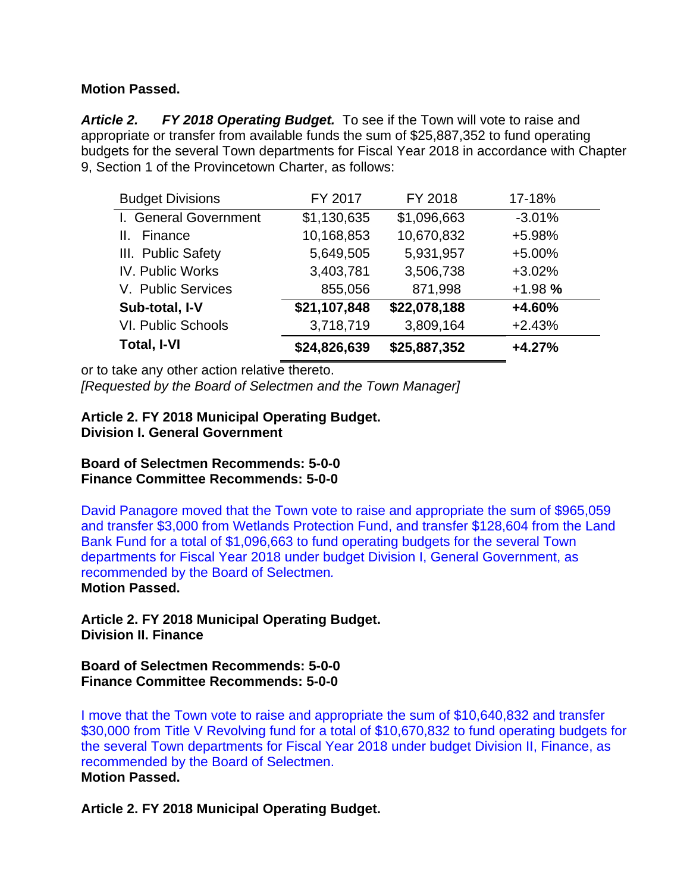## **Motion Passed.**

*Article 2. FY 2018 Operating Budget.* To see if the Town will vote to raise and appropriate or transfer from available funds the sum of \$25,887,352 to fund operating budgets for the several Town departments for Fiscal Year 2018 in accordance with Chapter 9, Section 1 of the Provincetown Charter, as follows:

| <b>Budget Divisions</b>   | FY 2017      | FY 2018      | 17-18%   |
|---------------------------|--------------|--------------|----------|
| I. General Government     | \$1,130,635  | \$1,096,663  | $-3.01%$ |
| Finance<br>Ш.             | 10,168,853   | 10,670,832   | +5.98%   |
| III. Public Safety        | 5,649,505    | 5,931,957    | $+5.00%$ |
| IV. Public Works          | 3,403,781    | 3,506,738    | $+3.02%$ |
| V. Public Services        | 855,056      | 871,998      | $+1.98%$ |
| Sub-total, I-V            | \$21,107,848 | \$22,078,188 | +4.60%   |
| <b>VI. Public Schools</b> | 3,718,719    | 3,809,164    | $+2.43%$ |
| <b>Total, I-VI</b>        | \$24,826,639 | \$25,887,352 | $+4.27%$ |

or to take any other action relative thereto.

*[Requested by the Board of Selectmen and the Town Manager]* 

## **Article 2. FY 2018 Municipal Operating Budget. Division I. General Government**

**Board of Selectmen Recommends: 5-0-0 Finance Committee Recommends: 5-0-0** 

David Panagore moved that the Town vote to raise and appropriate the sum of \$965,059 and transfer \$3,000 from Wetlands Protection Fund, and transfer \$128,604 from the Land Bank Fund for a total of \$1,096,663 to fund operating budgets for the several Town departments for Fiscal Year 2018 under budget Division I, General Government, as recommended by the Board of Selectmen*.* **Motion Passed.** 

**Article 2. FY 2018 Municipal Operating Budget. Division II. Finance** 

**Board of Selectmen Recommends: 5-0-0 Finance Committee Recommends: 5-0-0** 

I move that the Town vote to raise and appropriate the sum of \$10,640,832 and transfer \$30,000 from Title V Revolving fund for a total of \$10,670,832 to fund operating budgets for the several Town departments for Fiscal Year 2018 under budget Division II, Finance, as recommended by the Board of Selectmen. **Motion Passed.** 

**Article 2. FY 2018 Municipal Operating Budget.**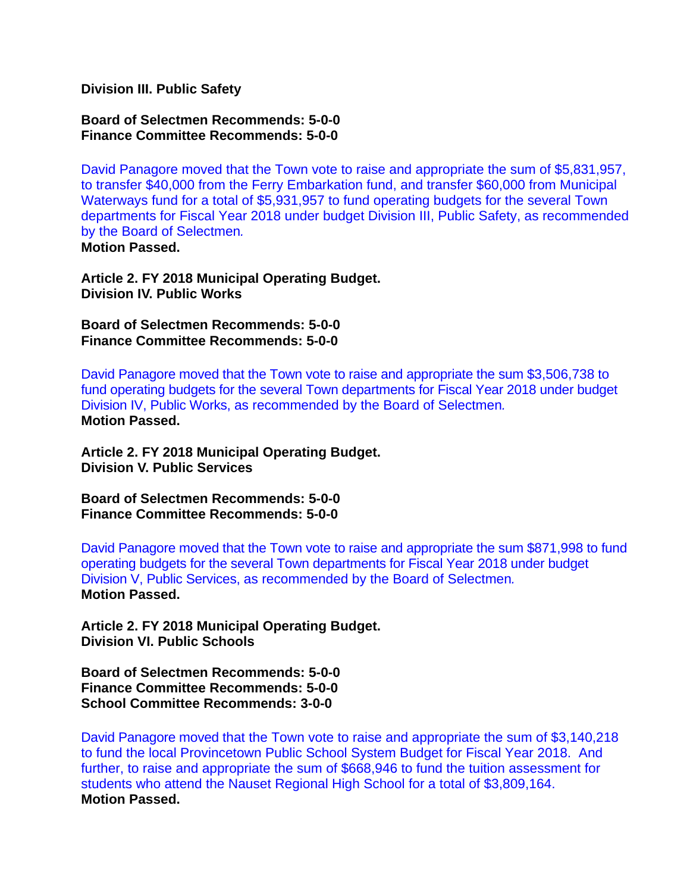**Division III. Public Safety** 

**Board of Selectmen Recommends: 5-0-0 Finance Committee Recommends: 5-0-0** 

David Panagore moved that the Town vote to raise and appropriate the sum of \$5,831,957, to transfer \$40,000 from the Ferry Embarkation fund, and transfer \$60,000 from Municipal Waterways fund for a total of \$5,931,957 to fund operating budgets for the several Town departments for Fiscal Year 2018 under budget Division III, Public Safety, as recommended by the Board of Selectmen*.*

**Motion Passed.** 

**Article 2. FY 2018 Municipal Operating Budget. Division IV. Public Works** 

**Board of Selectmen Recommends: 5-0-0 Finance Committee Recommends: 5-0-0** 

David Panagore moved that the Town vote to raise and appropriate the sum \$3,506,738 to fund operating budgets for the several Town departments for Fiscal Year 2018 under budget Division IV, Public Works, as recommended by the Board of Selectmen*.* **Motion Passed.** 

**Article 2. FY 2018 Municipal Operating Budget. Division V. Public Services** 

**Board of Selectmen Recommends: 5-0-0 Finance Committee Recommends: 5-0-0** 

David Panagore moved that the Town vote to raise and appropriate the sum \$871,998 to fund operating budgets for the several Town departments for Fiscal Year 2018 under budget Division V, Public Services, as recommended by the Board of Selectmen*.* **Motion Passed.** 

**Article 2. FY 2018 Municipal Operating Budget. Division VI. Public Schools** 

**Board of Selectmen Recommends: 5-0-0 Finance Committee Recommends: 5-0-0 School Committee Recommends: 3-0-0** 

David Panagore moved that the Town vote to raise and appropriate the sum of \$3,140,218 to fund the local Provincetown Public School System Budget for Fiscal Year 2018. And further, to raise and appropriate the sum of \$668,946 to fund the tuition assessment for students who attend the Nauset Regional High School for a total of \$3,809,164. **Motion Passed.**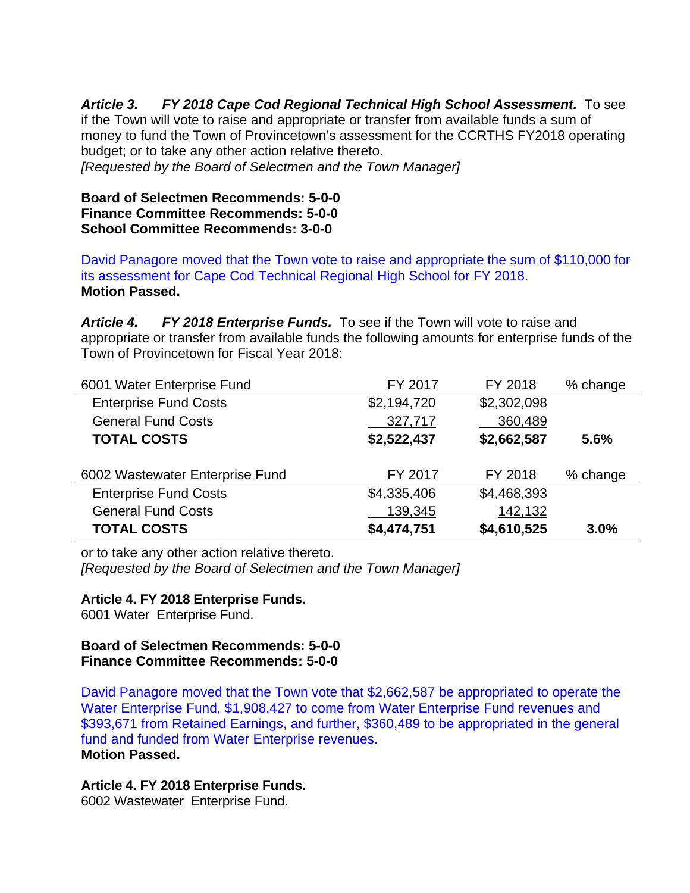*Article 3. FY 2018 Cape Cod Regional Technical High School Assessment.* To see if the Town will vote to raise and appropriate or transfer from available funds a sum of money to fund the Town of Provincetown's assessment for the CCRTHS FY2018 operating budget; or to take any other action relative thereto.

*[Requested by the Board of Selectmen and the Town Manager]* 

#### **Board of Selectmen Recommends: 5-0-0 Finance Committee Recommends: 5-0-0 School Committee Recommends: 3-0-0**

David Panagore moved that the Town vote to raise and appropriate the sum of \$110,000 for its assessment for Cape Cod Technical Regional High School for FY 2018. **Motion Passed.** 

*Article 4. FY 2018 Enterprise Funds.* To see if the Town will vote to raise and appropriate or transfer from available funds the following amounts for enterprise funds of the Town of Provincetown for Fiscal Year 2018:

| 6001 Water Enterprise Fund      | FY 2017     | FY 2018     | % change |
|---------------------------------|-------------|-------------|----------|
| <b>Enterprise Fund Costs</b>    | \$2,194,720 | \$2,302,098 |          |
| <b>General Fund Costs</b>       | 327,717     | 360,489     |          |
| <b>TOTAL COSTS</b>              | \$2,522,437 | \$2,662,587 | 5.6%     |
| 6002 Wastewater Enterprise Fund | FY 2017     | FY 2018     | % change |
| <b>Enterprise Fund Costs</b>    | \$4,335,406 | \$4,468,393 |          |
| <b>General Fund Costs</b>       | 139,345     | 142,132     |          |
| <b>TOTAL COSTS</b>              |             |             |          |

or to take any other action relative thereto.

*[Requested by the Board of Selectmen and the Town Manager]* 

#### **Article 4. FY 2018 Enterprise Funds.**

6001 Water Enterprise Fund.

#### **Board of Selectmen Recommends: 5-0-0 Finance Committee Recommends: 5-0-0**

David Panagore moved that the Town vote that \$2,662,587 be appropriated to operate the Water Enterprise Fund, \$1,908,427 to come from Water Enterprise Fund revenues and \$393,671 from Retained Earnings, and further, \$360,489 to be appropriated in the general fund and funded from Water Enterprise revenues. **Motion Passed.** 

#### **Article 4. FY 2018 Enterprise Funds.**

6002 Wastewater Enterprise Fund.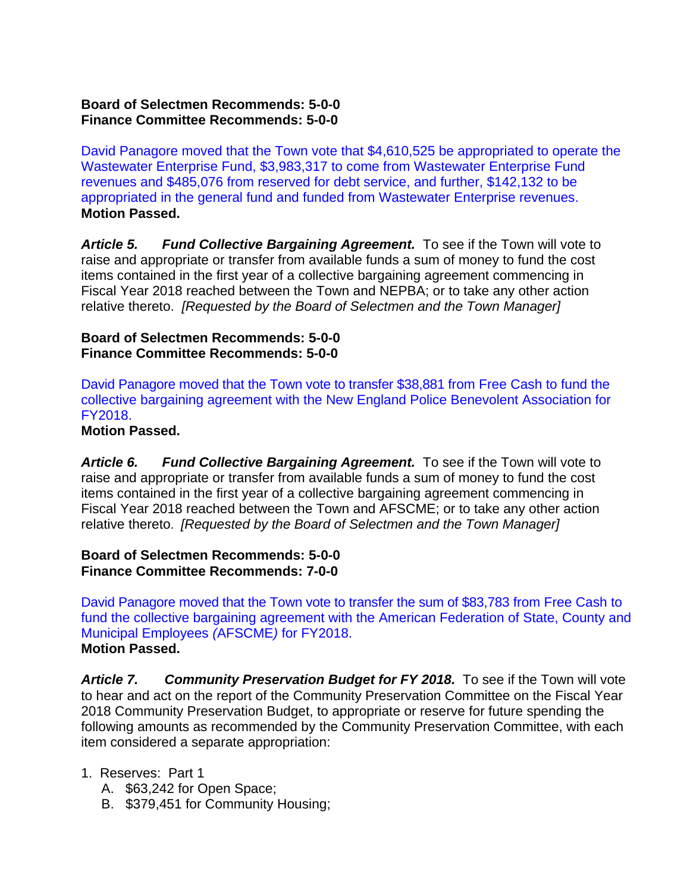#### **Board of Selectmen Recommends: 5-0-0 Finance Committee Recommends: 5-0-0**

David Panagore moved that the Town vote that \$4,610,525 be appropriated to operate the Wastewater Enterprise Fund, \$3,983,317 to come from Wastewater Enterprise Fund revenues and \$485,076 from reserved for debt service, and further, \$142,132 to be appropriated in the general fund and funded from Wastewater Enterprise revenues. **Motion Passed.** 

Article 5. Fund Collective Bargaining Agreement. To see if the Town will vote to raise and appropriate or transfer from available funds a sum of money to fund the cost items contained in the first year of a collective bargaining agreement commencing in Fiscal Year 2018 reached between the Town and NEPBA; or to take any other action relative thereto. *[Requested by the Board of Selectmen and the Town Manager]*

### **Board of Selectmen Recommends: 5-0-0 Finance Committee Recommends: 5-0-0**

David Panagore moved that the Town vote to transfer \$38,881 from Free Cash to fund the collective bargaining agreement with the New England Police Benevolent Association for FY2018.

#### **Motion Passed.**

*Article 6. Fund Collective Bargaining Agreement.* To see if the Town will vote to raise and appropriate or transfer from available funds a sum of money to fund the cost items contained in the first year of a collective bargaining agreement commencing in Fiscal Year 2018 reached between the Town and AFSCME; or to take any other action relative thereto. *[Requested by the Board of Selectmen and the Town Manager]*

#### **Board of Selectmen Recommends: 5-0-0 Finance Committee Recommends: 7-0-0**

David Panagore moved that the Town vote to transfer the sum of \$83,783 from Free Cash to fund the collective bargaining agreement with the American Federation of State, County and Municipal Employees *(*AFSCME*)* for FY2018. **Motion Passed.** 

*Article 7. Community Preservation Budget for FY 2018.* To see if the Town will vote to hear and act on the report of the Community Preservation Committee on the Fiscal Year 2018 Community Preservation Budget, to appropriate or reserve for future spending the following amounts as recommended by the Community Preservation Committee, with each item considered a separate appropriation:

## 1. Reserves: Part 1

- A. \$63,242 for Open Space;
- B. \$379,451 for Community Housing;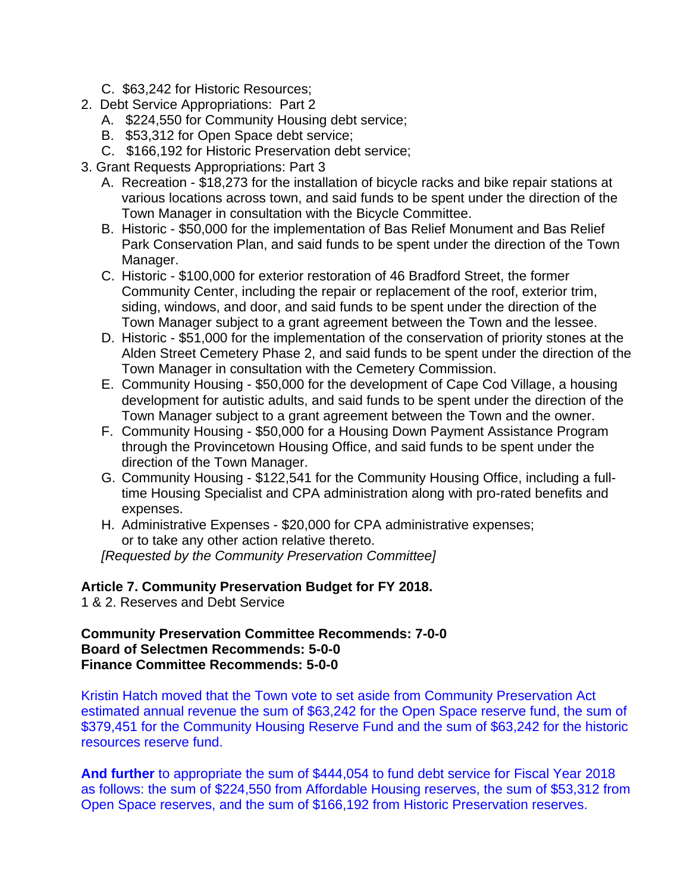- C. \$63,242 for Historic Resources;
- 2. Debt Service Appropriations: Part 2
	- A. \$224,550 for Community Housing debt service;
	- B. \$53,312 for Open Space debt service;
	- C. \$166,192 for Historic Preservation debt service;
- 3. Grant Requests Appropriations: Part 3
	- A. Recreation \$18,273 for the installation of bicycle racks and bike repair stations at various locations across town, and said funds to be spent under the direction of the Town Manager in consultation with the Bicycle Committee.
	- B. Historic \$50,000 for the implementation of Bas Relief Monument and Bas Relief Park Conservation Plan, and said funds to be spent under the direction of the Town Manager.
	- C. Historic \$100,000 for exterior restoration of 46 Bradford Street, the former Community Center, including the repair or replacement of the roof, exterior trim, siding, windows, and door, and said funds to be spent under the direction of the Town Manager subject to a grant agreement between the Town and the lessee.
	- D. Historic \$51,000 for the implementation of the conservation of priority stones at the Alden Street Cemetery Phase 2, and said funds to be spent under the direction of the Town Manager in consultation with the Cemetery Commission.
	- E. Community Housing \$50,000 for the development of Cape Cod Village, a housing development for autistic adults, and said funds to be spent under the direction of the Town Manager subject to a grant agreement between the Town and the owner.
	- F. Community Housing \$50,000 for a Housing Down Payment Assistance Program through the Provincetown Housing Office, and said funds to be spent under the direction of the Town Manager.
	- G. Community Housing \$122,541 for the Community Housing Office, including a fulltime Housing Specialist and CPA administration along with pro-rated benefits and expenses.
	- H. Administrative Expenses \$20,000 for CPA administrative expenses; or to take any other action relative thereto.

*[Requested by the Community Preservation Committee]*

**Article 7. Community Preservation Budget for FY 2018.**

1 & 2. Reserves and Debt Service

**Community Preservation Committee Recommends: 7-0-0 Board of Selectmen Recommends: 5-0-0 Finance Committee Recommends: 5-0-0** 

Kristin Hatch moved that the Town vote to set aside from Community Preservation Act estimated annual revenue the sum of \$63,242 for the Open Space reserve fund, the sum of \$379,451 for the Community Housing Reserve Fund and the sum of \$63,242 for the historic resources reserve fund.

**And further** to appropriate the sum of \$444,054 to fund debt service for Fiscal Year 2018 as follows: the sum of \$224,550 from Affordable Housing reserves, the sum of \$53,312 from Open Space reserves, and the sum of \$166,192 from Historic Preservation reserves.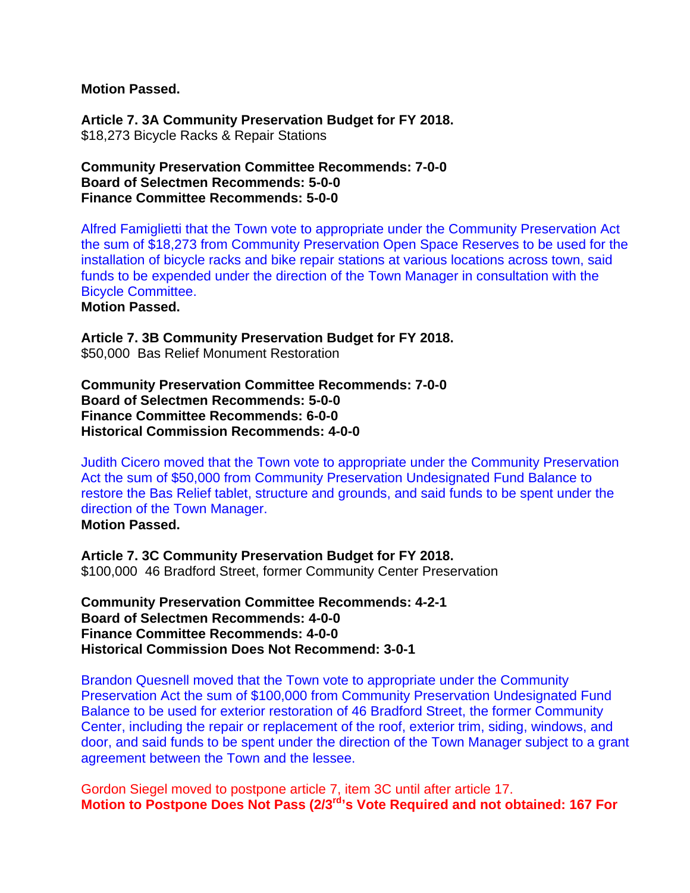**Motion Passed.** 

**Article 7. 3A Community Preservation Budget for FY 2018.** \$18,273 Bicycle Racks & Repair Stations

**Community Preservation Committee Recommends: 7-0-0 Board of Selectmen Recommends: 5-0-0 Finance Committee Recommends: 5-0-0** 

Alfred Famiglietti that the Town vote to appropriate under the Community Preservation Act the sum of \$18,273 from Community Preservation Open Space Reserves to be used for the installation of bicycle racks and bike repair stations at various locations across town, said funds to be expended under the direction of the Town Manager in consultation with the Bicycle Committee.

**Motion Passed.** 

**Article 7. 3B Community Preservation Budget for FY 2018.** \$50,000 Bas Relief Monument Restoration

**Community Preservation Committee Recommends: 7-0-0 Board of Selectmen Recommends: 5-0-0 Finance Committee Recommends: 6-0-0 Historical Commission Recommends: 4-0-0** 

Judith Cicero moved that the Town vote to appropriate under the Community Preservation Act the sum of \$50,000 from Community Preservation Undesignated Fund Balance to restore the Bas Relief tablet, structure and grounds, and said funds to be spent under the direction of the Town Manager. **Motion Passed.** 

**Article 7. 3C Community Preservation Budget for FY 2018.** \$100,000 46 Bradford Street, former Community Center Preservation

**Community Preservation Committee Recommends: 4-2-1 Board of Selectmen Recommends: 4-0-0 Finance Committee Recommends: 4-0-0 Historical Commission Does Not Recommend: 3-0-1** 

Brandon Quesnell moved that the Town vote to appropriate under the Community Preservation Act the sum of \$100,000 from Community Preservation Undesignated Fund Balance to be used for exterior restoration of 46 Bradford Street, the former Community Center, including the repair or replacement of the roof, exterior trim, siding, windows, and door, and said funds to be spent under the direction of the Town Manager subject to a grant agreement between the Town and the lessee.

Gordon Siegel moved to postpone article 7, item 3C until after article 17. **Motion to Postpone Does Not Pass (2/3rd's Vote Required and not obtained: 167 For**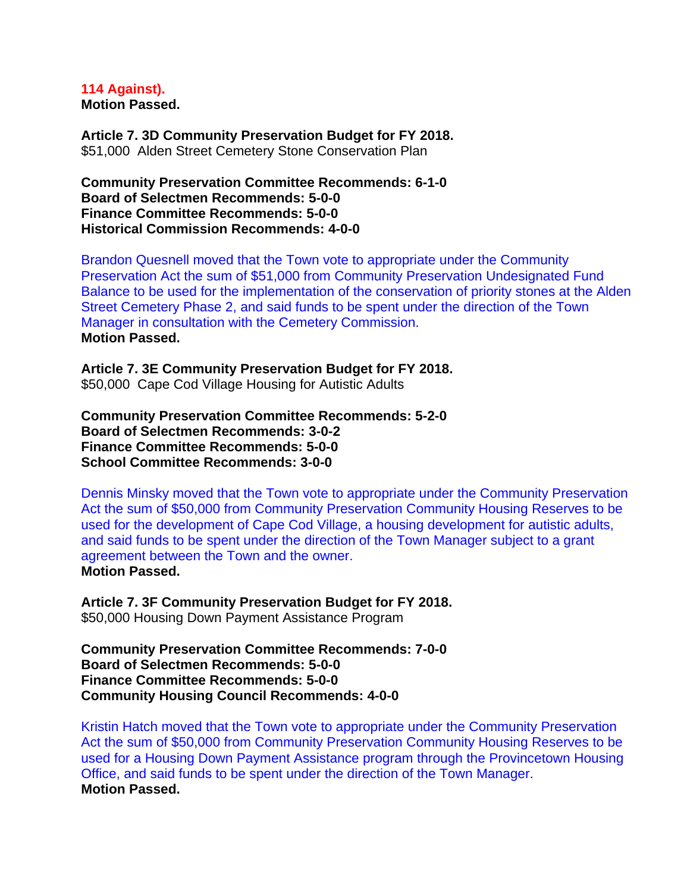**114 Against). Motion Passed.** 

**Article 7. 3D Community Preservation Budget for FY 2018.** \$51,000 Alden Street Cemetery Stone Conservation Plan

**Community Preservation Committee Recommends: 6-1-0 Board of Selectmen Recommends: 5-0-0 Finance Committee Recommends: 5-0-0 Historical Commission Recommends: 4-0-0** 

Brandon Quesnell moved that the Town vote to appropriate under the Community Preservation Act the sum of \$51,000 from Community Preservation Undesignated Fund Balance to be used for the implementation of the conservation of priority stones at the Alden Street Cemetery Phase 2, and said funds to be spent under the direction of the Town Manager in consultation with the Cemetery Commission. **Motion Passed.** 

**Article 7. 3E Community Preservation Budget for FY 2018.** \$50,000Cape Cod Village Housing for Autistic Adults

**Community Preservation Committee Recommends: 5-2-0 Board of Selectmen Recommends: 3-0-2 Finance Committee Recommends: 5-0-0 School Committee Recommends: 3-0-0** 

Dennis Minsky moved that the Town vote to appropriate under the Community Preservation Act the sum of \$50,000 from Community Preservation Community Housing Reserves to be used for the development of Cape Cod Village, a housing development for autistic adults, and said funds to be spent under the direction of the Town Manager subject to a grant agreement between the Town and the owner. **Motion Passed.** 

**Article 7. 3F Community Preservation Budget for FY 2018.** \$50,000 Housing Down Payment Assistance Program

**Community Preservation Committee Recommends: 7-0-0 Board of Selectmen Recommends: 5-0-0 Finance Committee Recommends: 5-0-0 Community Housing Council Recommends: 4-0-0** 

Kristin Hatch moved that the Town vote to appropriate under the Community Preservation Act the sum of \$50,000 from Community Preservation Community Housing Reserves to be used for a Housing Down Payment Assistance program through the Provincetown Housing Office, and said funds to be spent under the direction of the Town Manager. **Motion Passed.**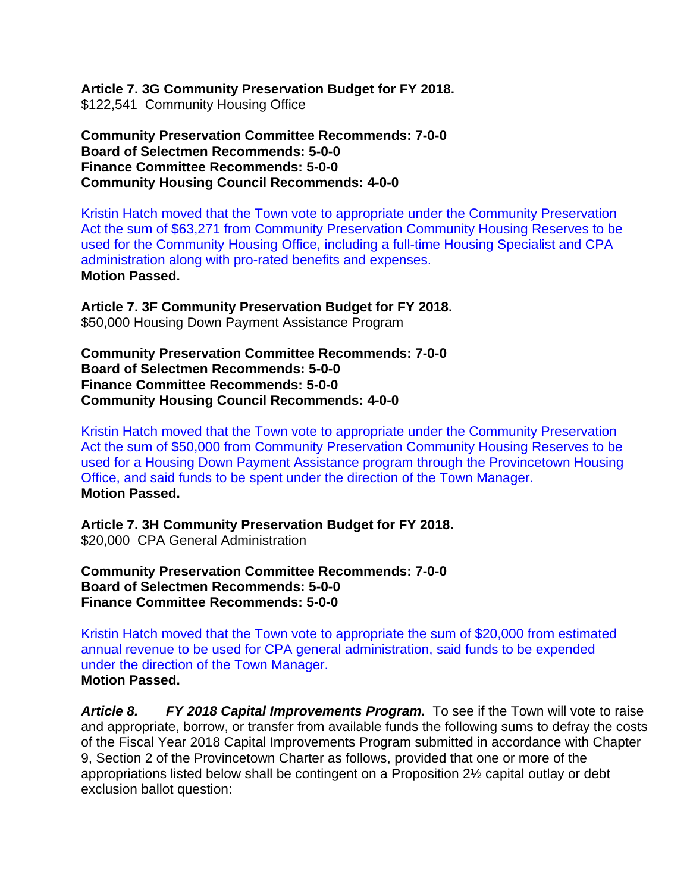**Article 7. 3G Community Preservation Budget for FY 2018.** \$122,541 Community Housing Office

**Community Preservation Committee Recommends: 7-0-0 Board of Selectmen Recommends: 5-0-0 Finance Committee Recommends: 5-0-0 Community Housing Council Recommends: 4-0-0** 

Kristin Hatch moved that the Town vote to appropriate under the Community Preservation Act the sum of \$63,271 from Community Preservation Community Housing Reserves to be used for the Community Housing Office, including a full-time Housing Specialist and CPA administration along with pro-rated benefits and expenses. **Motion Passed.** 

**Article 7. 3F Community Preservation Budget for FY 2018.** \$50,000 Housing Down Payment Assistance Program

**Community Preservation Committee Recommends: 7-0-0 Board of Selectmen Recommends: 5-0-0 Finance Committee Recommends: 5-0-0 Community Housing Council Recommends: 4-0-0** 

Kristin Hatch moved that the Town vote to appropriate under the Community Preservation Act the sum of \$50,000 from Community Preservation Community Housing Reserves to be used for a Housing Down Payment Assistance program through the Provincetown Housing Office, and said funds to be spent under the direction of the Town Manager. **Motion Passed.** 

**Article 7. 3H Community Preservation Budget for FY 2018.** \$20,000 CPA General Administration

**Community Preservation Committee Recommends: 7-0-0 Board of Selectmen Recommends: 5-0-0 Finance Committee Recommends: 5-0-0** 

Kristin Hatch moved that the Town vote to appropriate the sum of \$20,000 from estimated annual revenue to be used for CPA general administration, said funds to be expended under the direction of the Town Manager. **Motion Passed.** 

*Article 8. FY 2018 Capital Improvements Program.* To see if the Town will vote to raise and appropriate, borrow, or transfer from available funds the following sums to defray the costs of the Fiscal Year 2018 Capital Improvements Program submitted in accordance with Chapter 9, Section 2 of the Provincetown Charter as follows, provided that one or more of the appropriations listed below shall be contingent on a Proposition 2½ capital outlay or debt exclusion ballot question: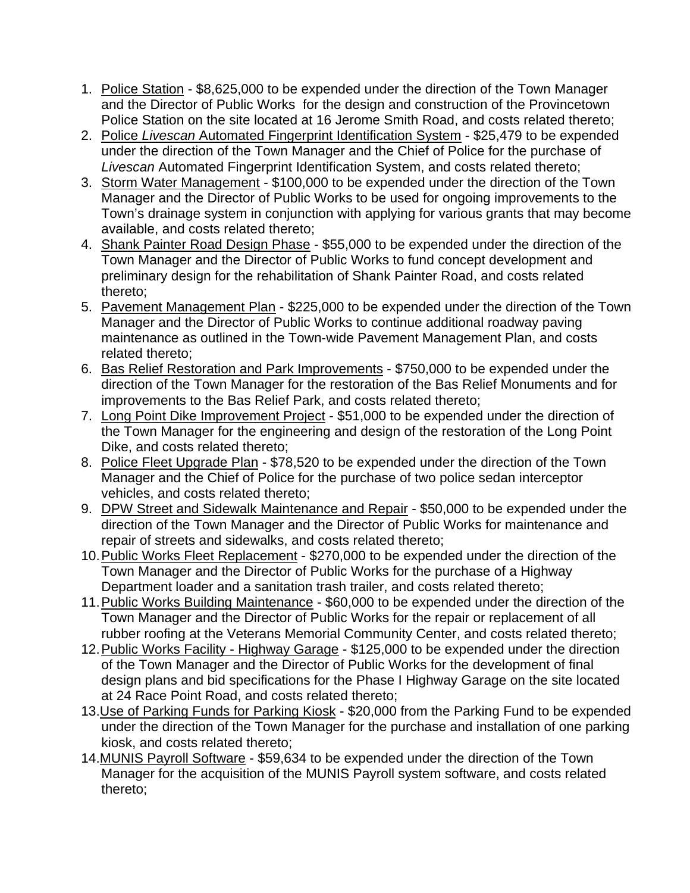- 1. Police Station \$8,625,000 to be expended under the direction of the Town Manager and the Director of Public Works for the design and construction of the Provincetown Police Station on the site located at 16 Jerome Smith Road, and costs related thereto;
- 2. Police *Livescan* Automated Fingerprint Identification System \$25,479 to be expended under the direction of the Town Manager and the Chief of Police for the purchase of *Livescan* Automated Fingerprint Identification System, and costs related thereto;
- 3. Storm Water Management \$100,000 to be expended under the direction of the Town Manager and the Director of Public Works to be used for ongoing improvements to the Town's drainage system in conjunction with applying for various grants that may become available, and costs related thereto;
- 4. Shank Painter Road Design Phase \$55,000 to be expended under the direction of the Town Manager and the Director of Public Works to fund concept development and preliminary design for the rehabilitation of Shank Painter Road, and costs related thereto;
- 5. Pavement Management Plan \$225,000 to be expended under the direction of the Town Manager and the Director of Public Works to continue additional roadway paving maintenance as outlined in the Town-wide Pavement Management Plan, and costs related thereto;
- 6. Bas Relief Restoration and Park Improvements \$750,000 to be expended under the direction of the Town Manager for the restoration of the Bas Relief Monuments and for improvements to the Bas Relief Park, and costs related thereto;
- 7. Long Point Dike Improvement Project \$51,000 to be expended under the direction of the Town Manager for the engineering and design of the restoration of the Long Point Dike, and costs related thereto;
- 8. Police Fleet Upgrade Plan \$78,520 to be expended under the direction of the Town Manager and the Chief of Police for the purchase of two police sedan interceptor vehicles, and costs related thereto;
- 9. DPW Street and Sidewalk Maintenance and Repair \$50,000 to be expended under the direction of the Town Manager and the Director of Public Works for maintenance and repair of streets and sidewalks, and costs related thereto;
- 10. Public Works Fleet Replacement \$270,000 to be expended under the direction of the Town Manager and the Director of Public Works for the purchase of a Highway Department loader and a sanitation trash trailer, and costs related thereto;
- 11. Public Works Building Maintenance \$60,000 to be expended under the direction of the Town Manager and the Director of Public Works for the repair or replacement of all rubber roofing at the Veterans Memorial Community Center, and costs related thereto;
- 12. Public Works Facility Highway Garage \$125,000 to be expended under the direction of the Town Manager and the Director of Public Works for the development of final design plans and bid specifications for the Phase I Highway Garage on the site located at 24 Race Point Road, and costs related thereto;
- 13. Use of Parking Funds for Parking Kiosk \$20,000 from the Parking Fund to be expended under the direction of the Town Manager for the purchase and installation of one parking kiosk, and costs related thereto;
- 14.MUNIS Payroll Software \$59,634 to be expended under the direction of the Town Manager for the acquisition of the MUNIS Payroll system software, and costs related thereto;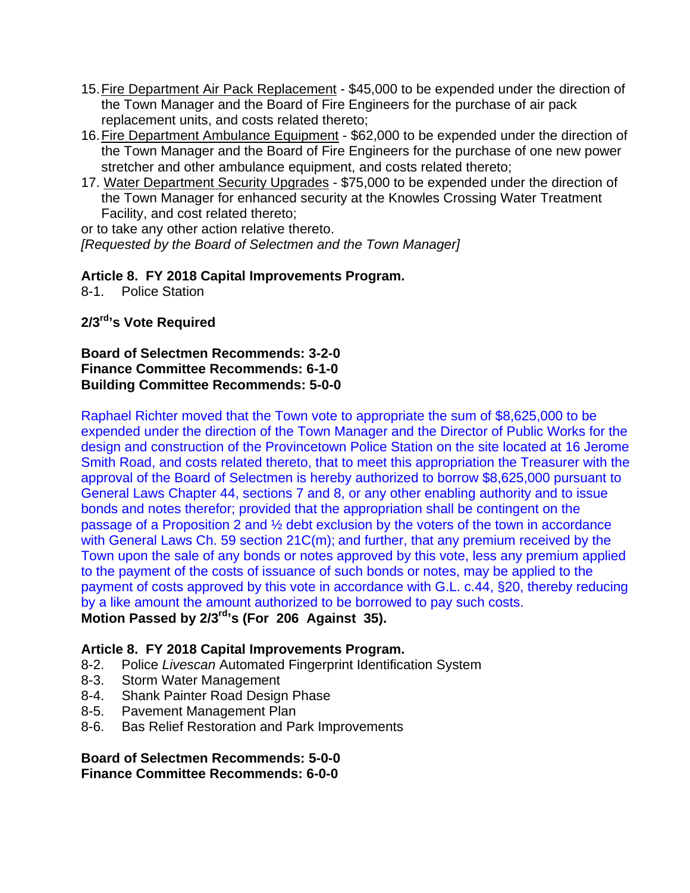- 15. Fire Department Air Pack Replacement \$45,000 to be expended under the direction of the Town Manager and the Board of Fire Engineers for the purchase of air pack replacement units, and costs related thereto;
- 16. Fire Department Ambulance Equipment \$62,000 to be expended under the direction of the Town Manager and the Board of Fire Engineers for the purchase of one new power stretcher and other ambulance equipment, and costs related thereto;
- 17. Water Department Security Upgrades \$75,000 to be expended under the direction of the Town Manager for enhanced security at the Knowles Crossing Water Treatment Facility, and cost related thereto;

or to take any other action relative thereto.

*[Requested by the Board of Selectmen and the Town Manager]*

## **Article 8. FY 2018 Capital Improvements Program.**

8-1. Police Station

**2/3rd's Vote Required** 

**Board of Selectmen Recommends: 3-2-0 Finance Committee Recommends: 6-1-0 Building Committee Recommends: 5-0-0** 

Raphael Richter moved that the Town vote to appropriate the sum of \$8,625,000 to be expended under the direction of the Town Manager and the Director of Public Works for the design and construction of the Provincetown Police Station on the site located at 16 Jerome Smith Road, and costs related thereto, that to meet this appropriation the Treasurer with the approval of the Board of Selectmen is hereby authorized to borrow \$8,625,000 pursuant to General Laws Chapter 44, sections 7 and 8, or any other enabling authority and to issue bonds and notes therefor; provided that the appropriation shall be contingent on the passage of a Proposition 2 and ½ debt exclusion by the voters of the town in accordance with General Laws Ch. 59 section 21C(m); and further, that any premium received by the Town upon the sale of any bonds or notes approved by this vote, less any premium applied to the payment of the costs of issuance of such bonds or notes, may be applied to the payment of costs approved by this vote in accordance with G.L. c.44, §20, thereby reducing by a like amount the amount authorized to be borrowed to pay such costs. **Motion Passed by 2/3rd's (For 206 Against 35).** 

## **Article 8. FY 2018 Capital Improvements Program.**

- 8-2. Police *Livescan* Automated Fingerprint Identification System
- 8-3. Storm Water Management
- 8-4. Shank Painter Road Design Phase
- 8-5. Pavement Management Plan
- 8-6. Bas Relief Restoration and Park Improvements

**Board of Selectmen Recommends: 5-0-0 Finance Committee Recommends: 6-0-0**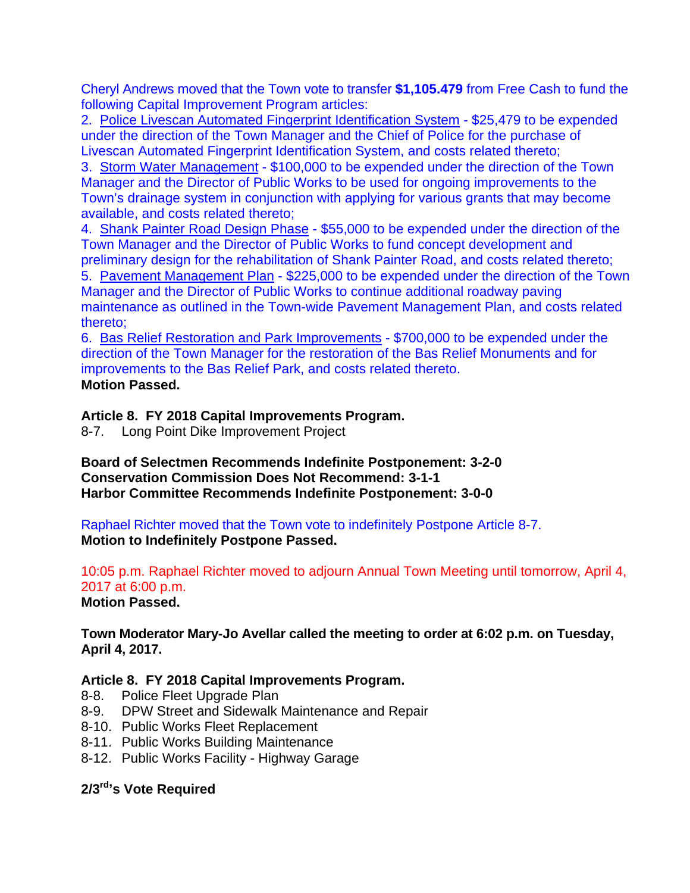Cheryl Andrews moved that the Town vote to transfer **\$1,105.479** from Free Cash to fund the following Capital Improvement Program articles:

2. Police Livescan Automated Fingerprint Identification System - \$25,479 to be expended under the direction of the Town Manager and the Chief of Police for the purchase of Livescan Automated Fingerprint Identification System, and costs related thereto;

3. Storm Water Management - \$100,000 to be expended under the direction of the Town Manager and the Director of Public Works to be used for ongoing improvements to the Town's drainage system in conjunction with applying for various grants that may become available, and costs related thereto;

4. Shank Painter Road Design Phase - \$55,000 to be expended under the direction of the Town Manager and the Director of Public Works to fund concept development and preliminary design for the rehabilitation of Shank Painter Road, and costs related thereto;

5. Pavement Management Plan - \$225,000 to be expended under the direction of the Town Manager and the Director of Public Works to continue additional roadway paving maintenance as outlined in the Town-wide Pavement Management Plan, and costs related thereto;

6. Bas Relief Restoration and Park Improvements - \$700,000 to be expended under the direction of the Town Manager for the restoration of the Bas Relief Monuments and for improvements to the Bas Relief Park, and costs related thereto. **Motion Passed.** 

#### **Article 8. FY 2018 Capital Improvements Program.**

8-7. Long Point Dike Improvement Project

**Board of Selectmen Recommends Indefinite Postponement: 3-2-0 Conservation Commission Does Not Recommend: 3-1-1 Harbor Committee Recommends Indefinite Postponement: 3-0-0** 

Raphael Richter moved that the Town vote to indefinitely Postpone Article 8-7. **Motion to Indefinitely Postpone Passed.** 

10:05 p.m. Raphael Richter moved to adjourn Annual Town Meeting until tomorrow, April 4, 2017 at 6:00 p.m.

**Motion Passed.** 

**Town Moderator Mary-Jo Avellar called the meeting to order at 6:02 p.m. on Tuesday, April 4, 2017.** 

#### **Article 8. FY 2018 Capital Improvements Program.**

- 8-8. Police Fleet Upgrade Plan
- 8-9. DPW Street and Sidewalk Maintenance and Repair
- 8-10. Public Works Fleet Replacement
- 8-11. Public Works Building Maintenance
- 8-12. Public Works Facility Highway Garage

## **2/3rd's Vote Required**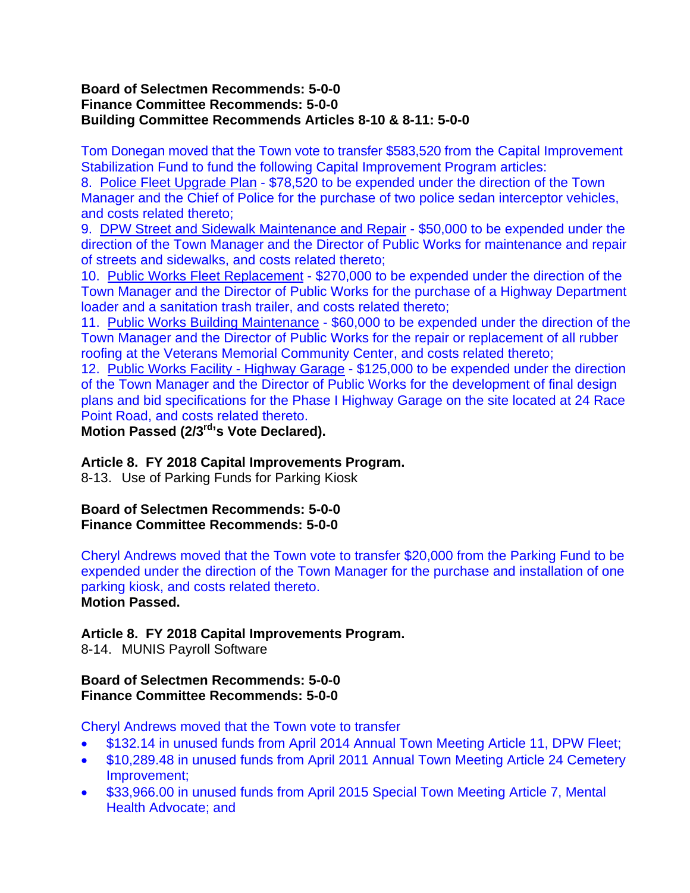#### **Board of Selectmen Recommends: 5-0-0 Finance Committee Recommends: 5-0-0 Building Committee Recommends Articles 8-10 & 8-11: 5-0-0**

Tom Donegan moved that the Town vote to transfer \$583,520 from the Capital Improvement Stabilization Fund to fund the following Capital Improvement Program articles:

8. Police Fleet Upgrade Plan - \$78,520 to be expended under the direction of the Town Manager and the Chief of Police for the purchase of two police sedan interceptor vehicles, and costs related thereto;

9. DPW Street and Sidewalk Maintenance and Repair - \$50,000 to be expended under the direction of the Town Manager and the Director of Public Works for maintenance and repair of streets and sidewalks, and costs related thereto;

10. Public Works Fleet Replacement - \$270,000 to be expended under the direction of the Town Manager and the Director of Public Works for the purchase of a Highway Department loader and a sanitation trash trailer, and costs related thereto;

11. Public Works Building Maintenance - \$60,000 to be expended under the direction of the Town Manager and the Director of Public Works for the repair or replacement of all rubber roofing at the Veterans Memorial Community Center, and costs related thereto;

12. Public Works Facility - Highway Garage - \$125,000 to be expended under the direction of the Town Manager and the Director of Public Works for the development of final design plans and bid specifications for the Phase I Highway Garage on the site located at 24 Race Point Road, and costs related thereto.

**Motion Passed (2/3rd's Vote Declared).** 

## **Article 8. FY 2018 Capital Improvements Program.**

8-13. Use of Parking Funds for Parking Kiosk

#### **Board of Selectmen Recommends: 5-0-0 Finance Committee Recommends: 5-0-0**

Cheryl Andrews moved that the Town vote to transfer \$20,000 from the Parking Fund to be expended under the direction of the Town Manager for the purchase and installation of one parking kiosk, and costs related thereto. **Motion Passed.** 

## **Article 8. FY 2018 Capital Improvements Program.**

8-14. MUNIS Payroll Software

#### **Board of Selectmen Recommends: 5-0-0 Finance Committee Recommends: 5-0-0**

Cheryl Andrews moved that the Town vote to transfer

- \$132.14 in unused funds from April 2014 Annual Town Meeting Article 11, DPW Fleet;
- \$10,289.48 in unused funds from April 2011 Annual Town Meeting Article 24 Cemetery Improvement;
- \$33,966.00 in unused funds from April 2015 Special Town Meeting Article 7, Mental Health Advocate; and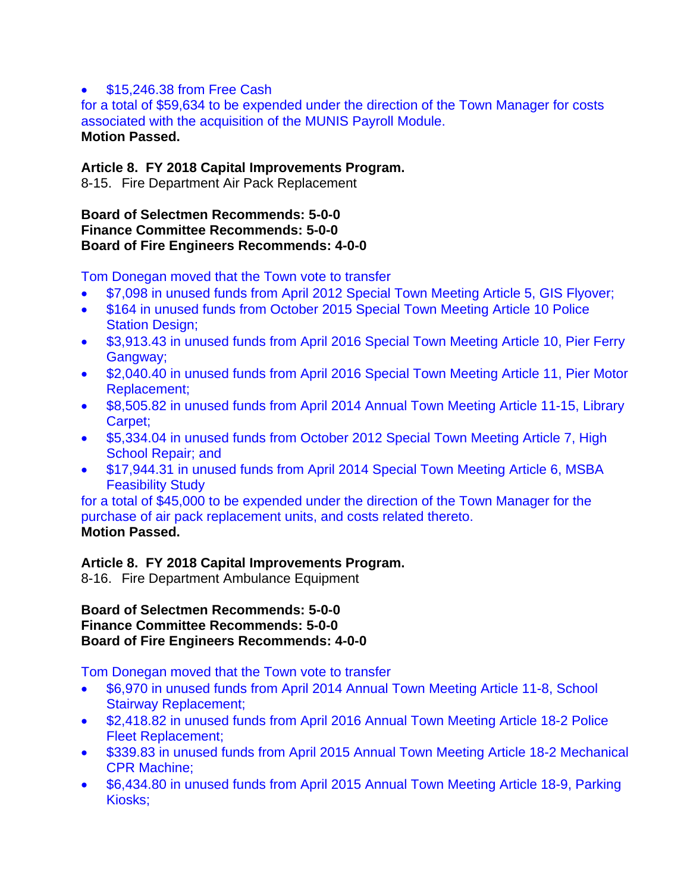#### \$15,246.38 from Free Cash

for a total of \$59,634 to be expended under the direction of the Town Manager for costs associated with the acquisition of the MUNIS Payroll Module. **Motion Passed.** 

### **Article 8. FY 2018 Capital Improvements Program.**

8-15. Fire Department Air Pack Replacement

#### **Board of Selectmen Recommends: 5-0-0 Finance Committee Recommends: 5-0-0 Board of Fire Engineers Recommends: 4-0-0**

Tom Donegan moved that the Town vote to transfer

- \$7,098 in unused funds from April 2012 Special Town Meeting Article 5, GIS Flyover;
- \$164 in unused funds from October 2015 Special Town Meeting Article 10 Police Station Design;
- \$3,913.43 in unused funds from April 2016 Special Town Meeting Article 10, Pier Ferry Gangway;
- \$2,040.40 in unused funds from April 2016 Special Town Meeting Article 11, Pier Motor Replacement;
- \$8,505.82 in unused funds from April 2014 Annual Town Meeting Article 11-15, Library Carpet;
- \$5,334.04 in unused funds from October 2012 Special Town Meeting Article 7, High School Repair; and
- \$17,944.31 in unused funds from April 2014 Special Town Meeting Article 6, MSBA Feasibility Study

for a total of \$45,000 to be expended under the direction of the Town Manager for the purchase of air pack replacement units, and costs related thereto. **Motion Passed.** 

## **Article 8. FY 2018 Capital Improvements Program.**

8-16. Fire Department Ambulance Equipment

#### **Board of Selectmen Recommends: 5-0-0 Finance Committee Recommends: 5-0-0 Board of Fire Engineers Recommends: 4-0-0**

Tom Donegan moved that the Town vote to transfer

- \$6,970 in unused funds from April 2014 Annual Town Meeting Article 11-8, School Stairway Replacement;
- \$2,418.82 in unused funds from April 2016 Annual Town Meeting Article 18-2 Police Fleet Replacement;
- \$339.83 in unused funds from April 2015 Annual Town Meeting Article 18-2 Mechanical CPR Machine;
- \$6,434.80 in unused funds from April 2015 Annual Town Meeting Article 18-9, Parking Kiosks;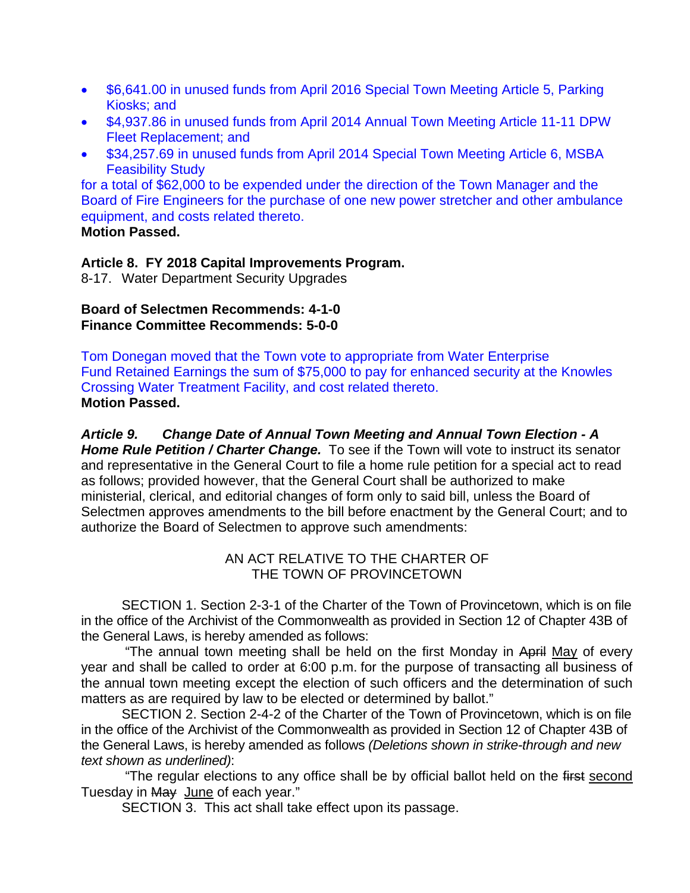- \$6,641.00 in unused funds from April 2016 Special Town Meeting Article 5, Parking Kiosks; and
- \$4,937.86 in unused funds from April 2014 Annual Town Meeting Article 11-11 DPW Fleet Replacement; and
- \$34,257.69 in unused funds from April 2014 Special Town Meeting Article 6, MSBA Feasibility Study

for a total of \$62,000 to be expended under the direction of the Town Manager and the Board of Fire Engineers for the purchase of one new power stretcher and other ambulance equipment, and costs related thereto.

## **Motion Passed.**

## **Article 8. FY 2018 Capital Improvements Program.**

8-17. Water Department Security Upgrades

#### **Board of Selectmen Recommends: 4-1-0 Finance Committee Recommends: 5-0-0**

Tom Donegan moved that the Town vote to appropriate from Water Enterprise Fund Retained Earnings the sum of \$75,000 to pay for enhanced security at the Knowles Crossing Water Treatment Facility, and cost related thereto. **Motion Passed.** 

*Article 9. Change Date of Annual Town Meeting and Annual Town Election - A Home Rule Petition / Charter Change.* To see if the Town will vote to instruct its senator and representative in the General Court to file a home rule petition for a special act to read as follows; provided however, that the General Court shall be authorized to make ministerial, clerical, and editorial changes of form only to said bill, unless the Board of Selectmen approves amendments to the bill before enactment by the General Court; and to authorize the Board of Selectmen to approve such amendments:

## AN ACT RELATIVE TO THE CHARTER OF THE TOWN OF PROVINCETOWN

SECTION 1. Section 2-3-1 of the Charter of the Town of Provincetown, which is on file in the office of the Archivist of the Commonwealth as provided in Section 12 of Chapter 43B of the General Laws, is hereby amended as follows:

"The annual town meeting shall be held on the first Monday in April May of every year and shall be called to order at 6:00 p.m. for the purpose of transacting all business of the annual town meeting except the election of such officers and the determination of such matters as are required by law to be elected or determined by ballot."

SECTION 2. Section 2-4-2 of the Charter of the Town of Provincetown, which is on file in the office of the Archivist of the Commonwealth as provided in Section 12 of Chapter 43B of the General Laws, is hereby amended as follows *(Deletions shown in strike-through and new text shown as underlined)*:

"The regular elections to any office shall be by official ballot held on the first second Tuesday in May June of each year."

SECTION 3. This act shall take effect upon its passage.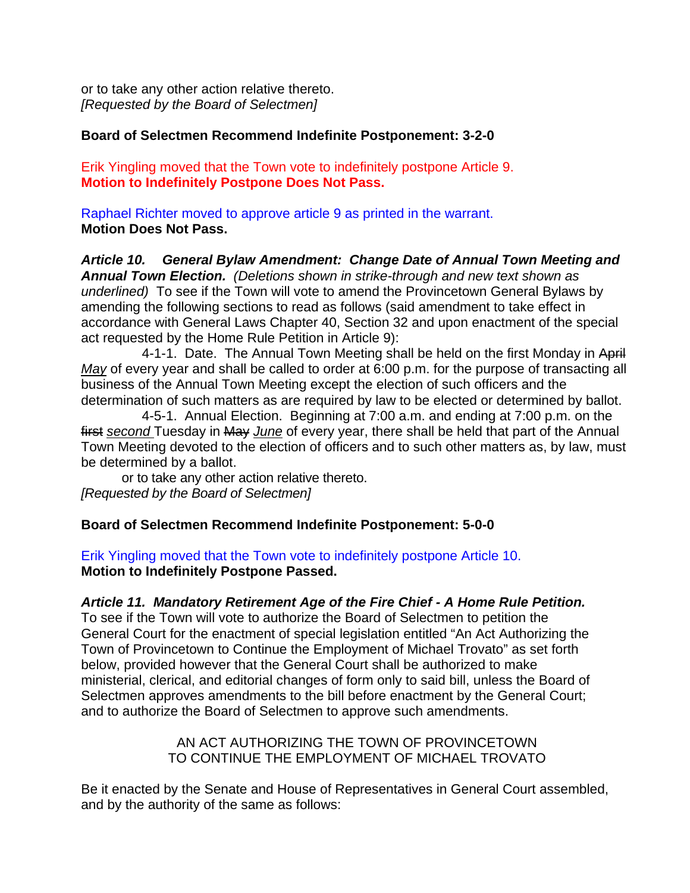or to take any other action relative thereto. *[Requested by the Board of Selectmen]*

#### **Board of Selectmen Recommend Indefinite Postponement: 3-2-0**

Erik Yingling moved that the Town vote to indefinitely postpone Article 9. **Motion to Indefinitely Postpone Does Not Pass.** 

Raphael Richter moved to approve article 9 as printed in the warrant. **Motion Does Not Pass.** 

*Article 10. General Bylaw Amendment: Change Date of Annual Town Meeting and Annual Town Election. (Deletions shown in strike-through and new text shown as underlined)* To see if the Town will vote to amend the Provincetown General Bylaws by amending the following sections to read as follows (said amendment to take effect in accordance with General Laws Chapter 40, Section 32 and upon enactment of the special act requested by the Home Rule Petition in Article 9):

4-1-1. Date. The Annual Town Meeting shall be held on the first Monday in April *May* of every year and shall be called to order at 6:00 p.m. for the purpose of transacting all business of the Annual Town Meeting except the election of such officers and the determination of such matters as are required by law to be elected or determined by ballot.

 4-5-1. Annual Election. Beginning at 7:00 a.m. and ending at 7:00 p.m. on the first *second* Tuesday in May *June* of every year, there shall be held that part of the Annual Town Meeting devoted to the election of officers and to such other matters as, by law, must be determined by a ballot.

or to take any other action relative thereto. *[Requested by the Board of Selectmen]* 

#### **Board of Selectmen Recommend Indefinite Postponement: 5-0-0**

Erik Yingling moved that the Town vote to indefinitely postpone Article 10. **Motion to Indefinitely Postpone Passed.** 

#### *Article 11. Mandatory Retirement Age of the Fire Chief - A Home Rule Petition.*

To see if the Town will vote to authorize the Board of Selectmen to petition the General Court for the enactment of special legislation entitled "An Act Authorizing the Town of Provincetown to Continue the Employment of Michael Trovato" as set forth below, provided however that the General Court shall be authorized to make ministerial, clerical, and editorial changes of form only to said bill, unless the Board of Selectmen approves amendments to the bill before enactment by the General Court; and to authorize the Board of Selectmen to approve such amendments.

> AN ACT AUTHORIZING THE TOWN OF PROVINCETOWN TO CONTINUE THE EMPLOYMENT OF MICHAEL TROVATO

Be it enacted by the Senate and House of Representatives in General Court assembled, and by the authority of the same as follows: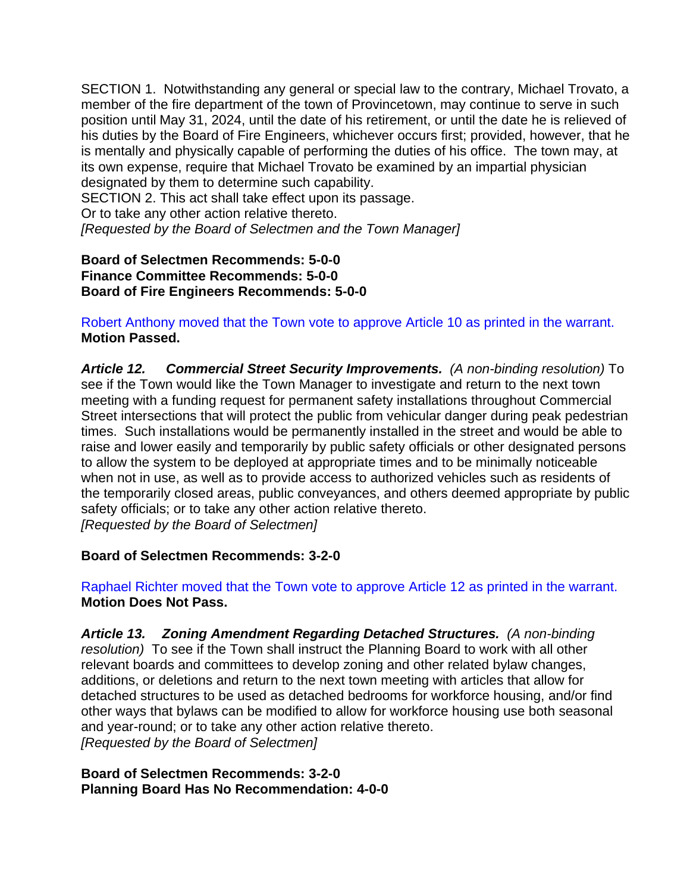SECTION 1. Notwithstanding any general or special law to the contrary, Michael Trovato, a member of the fire department of the town of Provincetown, may continue to serve in such position until May 31, 2024, until the date of his retirement, or until the date he is relieved of his duties by the Board of Fire Engineers, whichever occurs first; provided, however, that he is mentally and physically capable of performing the duties of his office. The town may, at its own expense, require that Michael Trovato be examined by an impartial physician designated by them to determine such capability.

SECTION 2. This act shall take effect upon its passage.

Or to take any other action relative thereto.

*[Requested by the Board of Selectmen and the Town Manager]* 

#### **Board of Selectmen Recommends: 5-0-0 Finance Committee Recommends: 5-0-0 Board of Fire Engineers Recommends: 5-0-0**

Robert Anthony moved that the Town vote to approve Article 10 as printed in the warrant. **Motion Passed.** 

*Article 12. Commercial Street Security Improvements. (A non-binding resolution)* To see if the Town would like the Town Manager to investigate and return to the next town meeting with a funding request for permanent safety installations throughout Commercial Street intersections that will protect the public from vehicular danger during peak pedestrian times. Such installations would be permanently installed in the street and would be able to raise and lower easily and temporarily by public safety officials or other designated persons to allow the system to be deployed at appropriate times and to be minimally noticeable when not in use, as well as to provide access to authorized vehicles such as residents of the temporarily closed areas, public conveyances, and others deemed appropriate by public safety officials; or to take any other action relative thereto. *[Requested by the Board of Selectmen]* 

#### **Board of Selectmen Recommends: 3-2-0**

Raphael Richter moved that the Town vote to approve Article 12 as printed in the warrant. **Motion Does Not Pass.** 

*Article 13. Zoning Amendment Regarding Detached Structures. (A non-binding resolution)* To see if the Town shall instruct the Planning Board to work with all other relevant boards and committees to develop zoning and other related bylaw changes, additions, or deletions and return to the next town meeting with articles that allow for detached structures to be used as detached bedrooms for workforce housing, and/or find other ways that bylaws can be modified to allow for workforce housing use both seasonal and year-round; or to take any other action relative thereto. *[Requested by the Board of Selectmen]* 

#### **Board of Selectmen Recommends: 3-2-0 Planning Board Has No Recommendation: 4-0-0**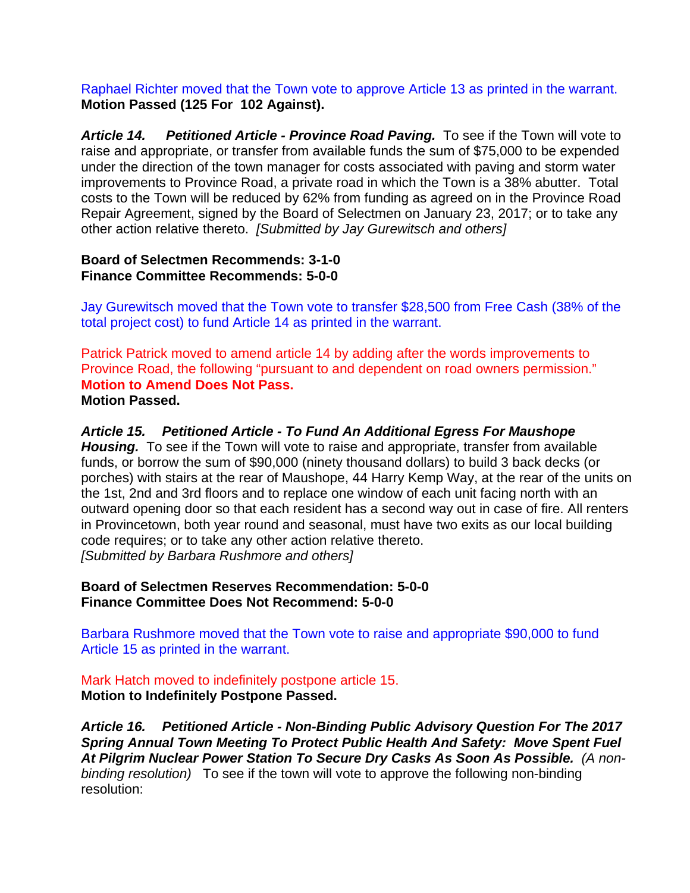Raphael Richter moved that the Town vote to approve Article 13 as printed in the warrant. **Motion Passed (125 For 102 Against).** 

*Article 14. Petitioned Article - Province Road Paving.* To see if the Town will vote to raise and appropriate, or transfer from available funds the sum of \$75,000 to be expended under the direction of the town manager for costs associated with paving and storm water improvements to Province Road, a private road in which the Town is a 38% abutter. Total costs to the Town will be reduced by 62% from funding as agreed on in the Province Road Repair Agreement, signed by the Board of Selectmen on January 23, 2017; or to take any other action relative thereto. *[Submitted by Jay Gurewitsch and others]* 

### **Board of Selectmen Recommends: 3-1-0 Finance Committee Recommends: 5-0-0**

Jay Gurewitsch moved that the Town vote to transfer \$28,500 from Free Cash (38% of the total project cost) to fund Article 14 as printed in the warrant.

Patrick Patrick moved to amend article 14 by adding after the words improvements to Province Road, the following "pursuant to and dependent on road owners permission." **Motion to Amend Does Not Pass. Motion Passed.** 

*Article 15. Petitioned Article - To Fund An Additional Egress For Maushope Housing.* To see if the Town will vote to raise and appropriate, transfer from available funds, or borrow the sum of \$90,000 (ninety thousand dollars) to build 3 back decks (or porches) with stairs at the rear of Maushope, 44 Harry Kemp Way, at the rear of the units on the 1st, 2nd and 3rd floors and to replace one window of each unit facing north with an outward opening door so that each resident has a second way out in case of fire. All renters in Provincetown, both year round and seasonal, must have two exits as our local building code requires; or to take any other action relative thereto. *[Submitted by Barbara Rushmore and others]* 

**Board of Selectmen Reserves Recommendation: 5-0-0 Finance Committee Does Not Recommend: 5-0-0** 

Barbara Rushmore moved that the Town vote to raise and appropriate \$90,000 to fund Article 15 as printed in the warrant.

## Mark Hatch moved to indefinitely postpone article 15. **Motion to Indefinitely Postpone Passed.**

*Article 16. Petitioned Article - Non-Binding Public Advisory Question For The 2017 Spring Annual Town Meeting To Protect Public Health And Safety: Move Spent Fuel At Pilgrim Nuclear Power Station To Secure Dry Casks As Soon As Possible. (A nonbinding resolution)* To see if the town will vote to approve the following non-binding resolution: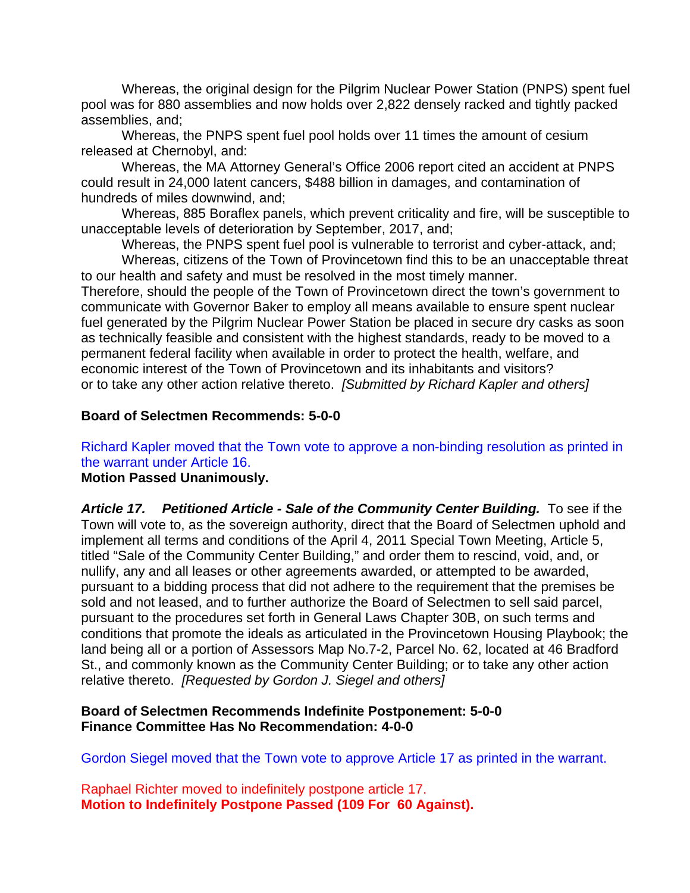Whereas, the original design for the Pilgrim Nuclear Power Station (PNPS) spent fuel pool was for 880 assemblies and now holds over 2,822 densely racked and tightly packed assemblies, and;

Whereas, the PNPS spent fuel pool holds over 11 times the amount of cesium released at Chernobyl, and:

Whereas, the MA Attorney General's Office 2006 report cited an accident at PNPS could result in 24,000 latent cancers, \$488 billion in damages, and contamination of hundreds of miles downwind, and;

Whereas, 885 Boraflex panels, which prevent criticality and fire, will be susceptible to unacceptable levels of deterioration by September, 2017, and;

Whereas, the PNPS spent fuel pool is vulnerable to terrorist and cyber-attack, and;

 Whereas, citizens of the Town of Provincetown find this to be an unacceptable threat to our health and safety and must be resolved in the most timely manner. Therefore, should the people of the Town of Provincetown direct the town's government to communicate with Governor Baker to employ all means available to ensure spent nuclear fuel generated by the Pilgrim Nuclear Power Station be placed in secure dry casks as soon as technically feasible and consistent with the highest standards, ready to be moved to a permanent federal facility when available in order to protect the health, welfare, and economic interest of the Town of Provincetown and its inhabitants and visitors? or to take any other action relative thereto. *[Submitted by Richard Kapler and others]* 

#### **Board of Selectmen Recommends: 5-0-0**

## Richard Kapler moved that the Town vote to approve a non-binding resolution as printed in the warrant under Article 16.

#### **Motion Passed Unanimously.**

Article 17. Petitioned Article - Sale of the Community Center Building. To see if the Town will vote to, as the sovereign authority, direct that the Board of Selectmen uphold and implement all terms and conditions of the April 4, 2011 Special Town Meeting, Article 5, titled "Sale of the Community Center Building," and order them to rescind, void, and, or nullify, any and all leases or other agreements awarded, or attempted to be awarded, pursuant to a bidding process that did not adhere to the requirement that the premises be sold and not leased, and to further authorize the Board of Selectmen to sell said parcel, pursuant to the procedures set forth in General Laws Chapter 30B, on such terms and conditions that promote the ideals as articulated in the Provincetown Housing Playbook; the land being all or a portion of Assessors Map No.7-2, Parcel No. 62, located at 46 Bradford St., and commonly known as the Community Center Building; or to take any other action relative thereto. *[Requested by Gordon J. Siegel and others]* 

#### **Board of Selectmen Recommends Indefinite Postponement: 5-0-0 Finance Committee Has No Recommendation: 4-0-0**

Gordon Siegel moved that the Town vote to approve Article 17 as printed in the warrant.

Raphael Richter moved to indefinitely postpone article 17. **Motion to Indefinitely Postpone Passed (109 For 60 Against).**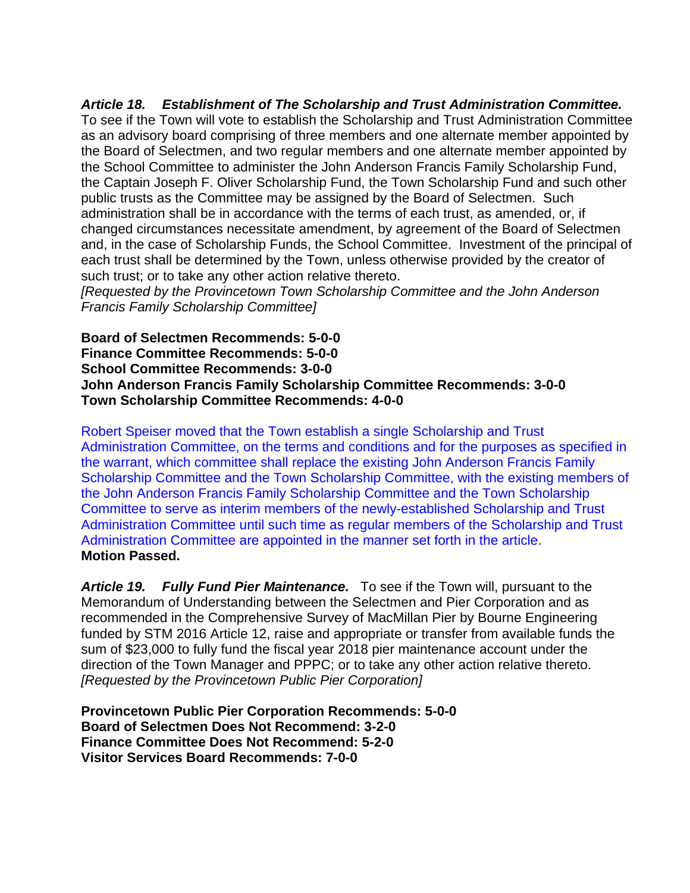## *Article 18. Establishment of The Scholarship and Trust Administration Committee.*

To see if the Town will vote to establish the Scholarship and Trust Administration Committee as an advisory board comprising of three members and one alternate member appointed by the Board of Selectmen, and two regular members and one alternate member appointed by the School Committee to administer the John Anderson Francis Family Scholarship Fund, the Captain Joseph F. Oliver Scholarship Fund, the Town Scholarship Fund and such other public trusts as the Committee may be assigned by the Board of Selectmen. Such administration shall be in accordance with the terms of each trust, as amended, or, if changed circumstances necessitate amendment, by agreement of the Board of Selectmen and, in the case of Scholarship Funds, the School Committee. Investment of the principal of each trust shall be determined by the Town, unless otherwise provided by the creator of such trust; or to take any other action relative thereto.

*[Requested by the Provincetown Town Scholarship Committee and the John Anderson Francis Family Scholarship Committee]* 

**Board of Selectmen Recommends: 5-0-0 Finance Committee Recommends: 5-0-0 School Committee Recommends: 3-0-0 John Anderson Francis Family Scholarship Committee Recommends: 3-0-0 Town Scholarship Committee Recommends: 4-0-0** 

Robert Speiser moved that the Town establish a single Scholarship and Trust Administration Committee, on the terms and conditions and for the purposes as specified in the warrant, which committee shall replace the existing John Anderson Francis Family Scholarship Committee and the Town Scholarship Committee, with the existing members of the John Anderson Francis Family Scholarship Committee and the Town Scholarship Committee to serve as interim members of the newly-established Scholarship and Trust Administration Committee until such time as regular members of the Scholarship and Trust Administration Committee are appointed in the manner set forth in the article. **Motion Passed.** 

*Article 19. Fully Fund Pier Maintenance.* To see if the Town will, pursuant to the Memorandum of Understanding between the Selectmen and Pier Corporation and as recommended in the Comprehensive Survey of MacMillan Pier by Bourne Engineering funded by STM 2016 Article 12, raise and appropriate or transfer from available funds the sum of \$23,000 to fully fund the fiscal year 2018 pier maintenance account under the direction of the Town Manager and PPPC; or to take any other action relative thereto. *[Requested by the Provincetown Public Pier Corporation]* 

**Provincetown Public Pier Corporation Recommends: 5-0-0 Board of Selectmen Does Not Recommend: 3-2-0 Finance Committee Does Not Recommend: 5-2-0 Visitor Services Board Recommends: 7-0-0**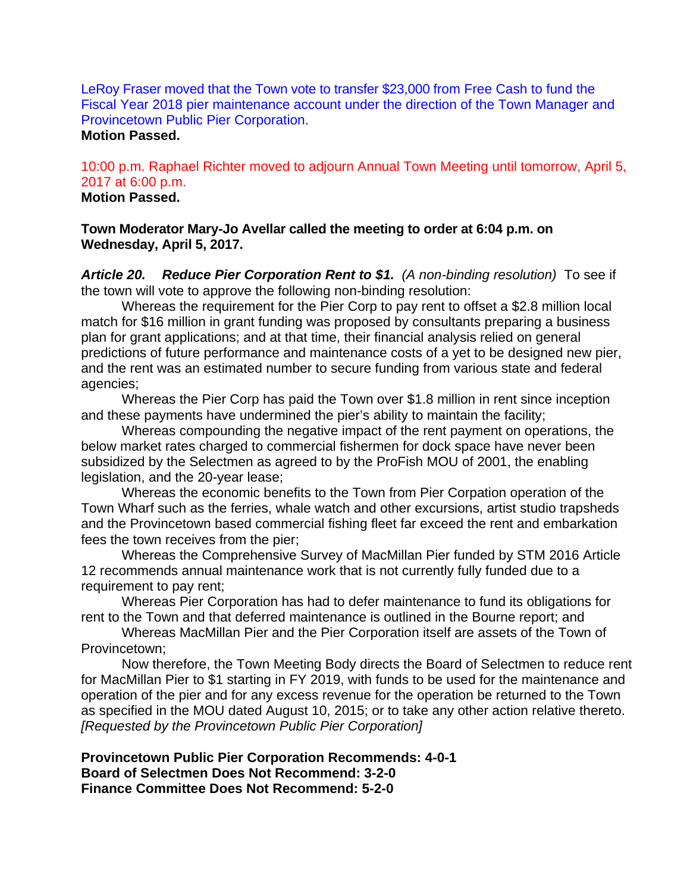LeRoy Fraser moved that the Town vote to transfer \$23,000 from Free Cash to fund the Fiscal Year 2018 pier maintenance account under the direction of the Town Manager and Provincetown Public Pier Corporation.

#### **Motion Passed.**

10:00 p.m. Raphael Richter moved to adjourn Annual Town Meeting until tomorrow, April 5, 2017 at 6:00 p.m. **Motion Passed.** 

**Town Moderator Mary-Jo Avellar called the meeting to order at 6:04 p.m. on Wednesday, April 5, 2017.** 

*Article 20. Reduce Pier Corporation Rent to \$1.**(A non-binding resolution)* To see if the town will vote to approve the following non-binding resolution:

 Whereas the requirement for the Pier Corp to pay rent to offset a \$2.8 million local match for \$16 million in grant funding was proposed by consultants preparing a business plan for grant applications; and at that time, their financial analysis relied on general predictions of future performance and maintenance costs of a yet to be designed new pier, and the rent was an estimated number to secure funding from various state and federal agencies;

 Whereas the Pier Corp has paid the Town over \$1.8 million in rent since inception and these payments have undermined the pier's ability to maintain the facility;

 Whereas compounding the negative impact of the rent payment on operations, the below market rates charged to commercial fishermen for dock space have never been subsidized by the Selectmen as agreed to by the ProFish MOU of 2001, the enabling legislation, and the 20-year lease;

 Whereas the economic benefits to the Town from Pier Corpation operation of the Town Wharf such as the ferries, whale watch and other excursions, artist studio trapsheds and the Provincetown based commercial fishing fleet far exceed the rent and embarkation fees the town receives from the pier;

 Whereas the Comprehensive Survey of MacMillan Pier funded by STM 2016 Article 12 recommends annual maintenance work that is not currently fully funded due to a requirement to pay rent;

 Whereas Pier Corporation has had to defer maintenance to fund its obligations for rent to the Town and that deferred maintenance is outlined in the Bourne report; and

 Whereas MacMillan Pier and the Pier Corporation itself are assets of the Town of Provincetown;

 Now therefore, the Town Meeting Body directs the Board of Selectmen to reduce rent for MacMillan Pier to \$1 starting in FY 2019, with funds to be used for the maintenance and operation of the pier and for any excess revenue for the operation be returned to the Town as specified in the MOU dated August 10, 2015; or to take any other action relative thereto. *[Requested by the Provincetown Public Pier Corporation]* 

**Provincetown Public Pier Corporation Recommends: 4-0-1 Board of Selectmen Does Not Recommend: 3-2-0 Finance Committee Does Not Recommend: 5-2-0**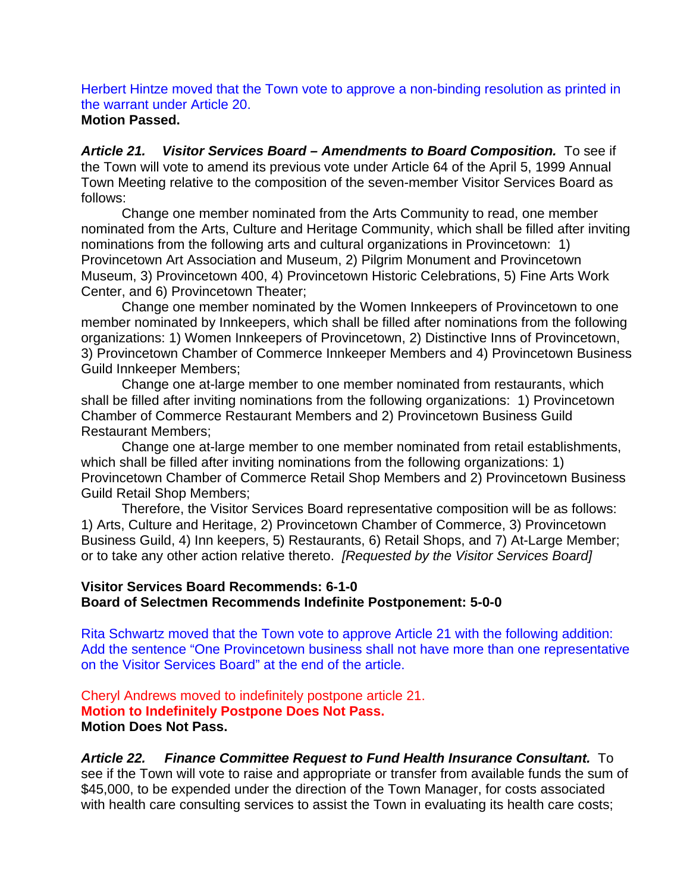Herbert Hintze moved that the Town vote to approve a non-binding resolution as printed in the warrant under Article 20.

#### **Motion Passed.**

Article 21. Visitor Services Board – Amendments to Board Composition. To see if the Town will vote to amend its previous vote under Article 64 of the April 5, 1999 Annual Town Meeting relative to the composition of the seven-member Visitor Services Board as follows:

Change one member nominated from the Arts Community to read, one member nominated from the Arts, Culture and Heritage Community, which shall be filled after inviting nominations from the following arts and cultural organizations in Provincetown: 1) Provincetown Art Association and Museum, 2) Pilgrim Monument and Provincetown Museum, 3) Provincetown 400, 4) Provincetown Historic Celebrations, 5) Fine Arts Work Center, and 6) Provincetown Theater;

Change one member nominated by the Women Innkeepers of Provincetown to one member nominated by Innkeepers, which shall be filled after nominations from the following organizations: 1) Women Innkeepers of Provincetown, 2) Distinctive Inns of Provincetown, 3) Provincetown Chamber of Commerce Innkeeper Members and 4) Provincetown Business Guild Innkeeper Members;

Change one at-large member to one member nominated from restaurants, which shall be filled after inviting nominations from the following organizations: 1) Provincetown Chamber of Commerce Restaurant Members and 2) Provincetown Business Guild Restaurant Members;

Change one at-large member to one member nominated from retail establishments, which shall be filled after inviting nominations from the following organizations: 1) Provincetown Chamber of Commerce Retail Shop Members and 2) Provincetown Business Guild Retail Shop Members;

Therefore, the Visitor Services Board representative composition will be as follows: 1) Arts, Culture and Heritage, 2) Provincetown Chamber of Commerce, 3) Provincetown Business Guild, 4) Inn keepers, 5) Restaurants, 6) Retail Shops, and 7) At-Large Member; or to take any other action relative thereto. *[Requested by the Visitor Services Board]*

#### **Visitor Services Board Recommends: 6-1-0 Board of Selectmen Recommends Indefinite Postponement: 5-0-0**

Rita Schwartz moved that the Town vote to approve Article 21 with the following addition: Add the sentence "One Provincetown business shall not have more than one representative on the Visitor Services Board" at the end of the article.

Cheryl Andrews moved to indefinitely postpone article 21. **Motion to Indefinitely Postpone Does Not Pass. Motion Does Not Pass.** 

*Article 22. Finance Committee Request to Fund Health Insurance Consultant.* To see if the Town will vote to raise and appropriate or transfer from available funds the sum of \$45,000, to be expended under the direction of the Town Manager, for costs associated with health care consulting services to assist the Town in evaluating its health care costs;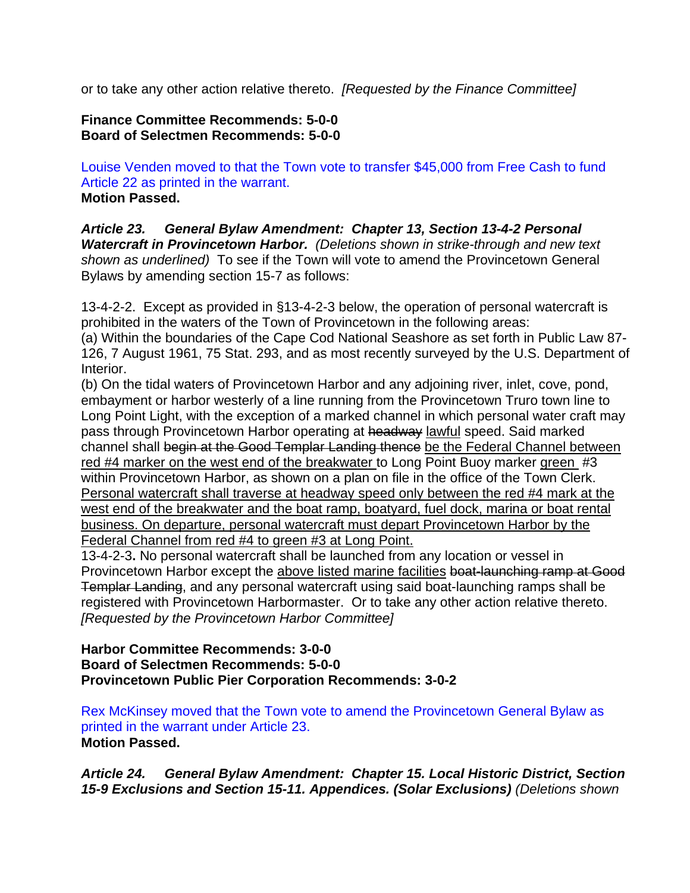or to take any other action relative thereto. *[Requested by the Finance Committee]*

## **Finance Committee Recommends: 5-0-0 Board of Selectmen Recommends: 5-0-0**

Louise Venden moved to that the Town vote to transfer \$45,000 from Free Cash to fund Article 22 as printed in the warrant. **Motion Passed.** 

*Article 23. General Bylaw Amendment: Chapter 13, Section 13-4-2 Personal Watercraft in Provincetown Harbor. (Deletions shown in strike-through and new text shown as underlined)* To see if the Town will vote to amend the Provincetown General Bylaws by amending section 15-7 as follows:

13-4-2-2. Except as provided in §13-4-2-3 below, the operation of personal watercraft is prohibited in the waters of the Town of Provincetown in the following areas:

(a) Within the boundaries of the Cape Cod National Seashore as set forth in Public Law 87- 126, 7 August 1961, 75 Stat. 293, and as most recently surveyed by the U.S. Department of Interior.

(b) On the tidal waters of Provincetown Harbor and any adjoining river, inlet, cove, pond, embayment or harbor westerly of a line running from the Provincetown Truro town line to Long Point Light, with the exception of a marked channel in which personal water craft may pass through Provincetown Harbor operating at headway lawful speed. Said marked channel shall begin at the Good Templar Landing thence be the Federal Channel between red #4 marker on the west end of the breakwater to Long Point Buoy marker green #3 within Provincetown Harbor, as shown on a plan on file in the office of the Town Clerk. Personal watercraft shall traverse at headway speed only between the red #4 mark at the west end of the breakwater and the boat ramp, boatyard, fuel dock, marina or boat rental business. On departure, personal watercraft must depart Provincetown Harbor by the Federal Channel from red #4 to green #3 at Long Point.

13-4-2-3**.** No personal watercraft shall be launched from any location or vessel in Provincetown Harbor except the above listed marine facilities boat-launching ramp at Good Templar Landing, and any personal watercraft using said boat-launching ramps shall be registered with Provincetown Harbormaster. Or to take any other action relative thereto. *[Requested by the Provincetown Harbor Committee]*

#### **Harbor Committee Recommends: 3-0-0 Board of Selectmen Recommends: 5-0-0 Provincetown Public Pier Corporation Recommends: 3-0-2**

Rex McKinsey moved that the Town vote to amend the Provincetown General Bylaw as printed in the warrant under Article 23. **Motion Passed.** 

*Article 24. General Bylaw Amendment: Chapter 15. Local Historic District, Section 15-9 Exclusions and Section 15-11. Appendices. (Solar Exclusions) (Deletions shown*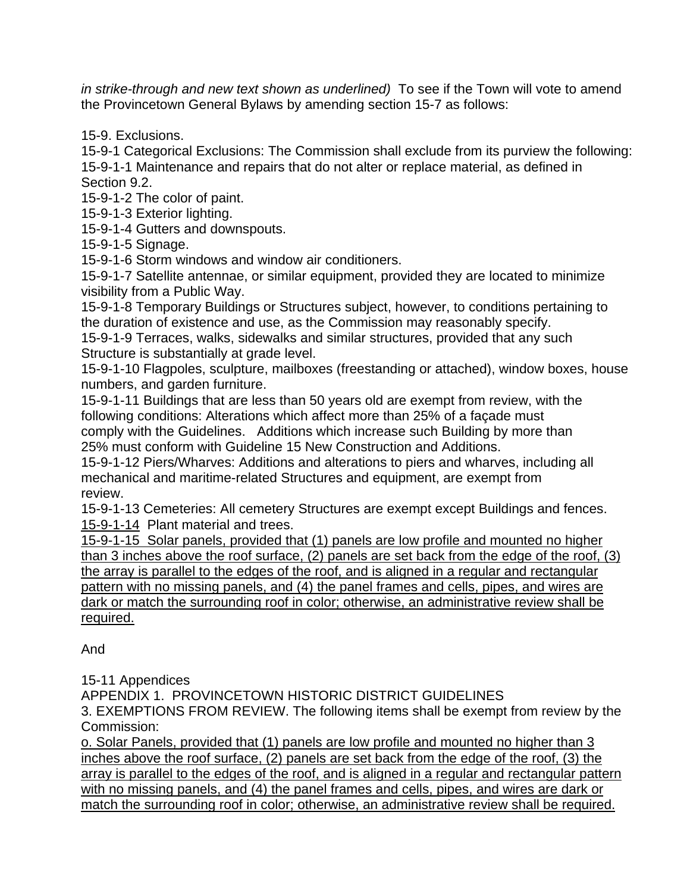*in strike-through and new text shown as underlined)* To see if the Town will vote to amend the Provincetown General Bylaws by amending section 15-7 as follows:

15-9. Exclusions.

15-9-1 Categorical Exclusions: The Commission shall exclude from its purview the following: 15-9-1-1 Maintenance and repairs that do not alter or replace material, as defined in Section 9.2.

15-9-1-2 The color of paint.

15-9-1-3 Exterior lighting.

15-9-1-4 Gutters and downspouts.

15-9-1-5 Signage.

15-9-1-6 Storm windows and window air conditioners.

15-9-1-7 Satellite antennae, or similar equipment, provided they are located to minimize visibility from a Public Way.

15-9-1-8 Temporary Buildings or Structures subject, however, to conditions pertaining to the duration of existence and use, as the Commission may reasonably specify.

15-9-1-9 Terraces, walks, sidewalks and similar structures, provided that any such Structure is substantially at grade level.

15-9-1-10 Flagpoles, sculpture, mailboxes (freestanding or attached), window boxes, house numbers, and garden furniture.

15-9-1-11 Buildings that are less than 50 years old are exempt from review, with the following conditions: Alterations which affect more than 25% of a façade must comply with the Guidelines. Additions which increase such Building by more than 25% must conform with Guideline 15 New Construction and Additions.

15-9-1-12 Piers/Wharves: Additions and alterations to piers and wharves, including all mechanical and maritime-related Structures and equipment, are exempt from review.

15-9-1-13 Cemeteries: All cemetery Structures are exempt except Buildings and fences. 15-9-1-14 Plant material and trees.

15-9-1-15 Solar panels, provided that (1) panels are low profile and mounted no higher than 3 inches above the roof surface, (2) panels are set back from the edge of the roof, (3) the array is parallel to the edges of the roof, and is aligned in a regular and rectangular pattern with no missing panels, and (4) the panel frames and cells, pipes, and wires are dark or match the surrounding roof in color; otherwise, an administrative review shall be required.

And

15-11 Appendices

APPENDIX 1. PROVINCETOWN HISTORIC DISTRICT GUIDELINES

3. EXEMPTIONS FROM REVIEW. The following items shall be exempt from review by the Commission:

o. Solar Panels, provided that (1) panels are low profile and mounted no higher than 3 inches above the roof surface, (2) panels are set back from the edge of the roof, (3) the array is parallel to the edges of the roof, and is aligned in a regular and rectangular pattern with no missing panels, and (4) the panel frames and cells, pipes, and wires are dark or match the surrounding roof in color; otherwise, an administrative review shall be required.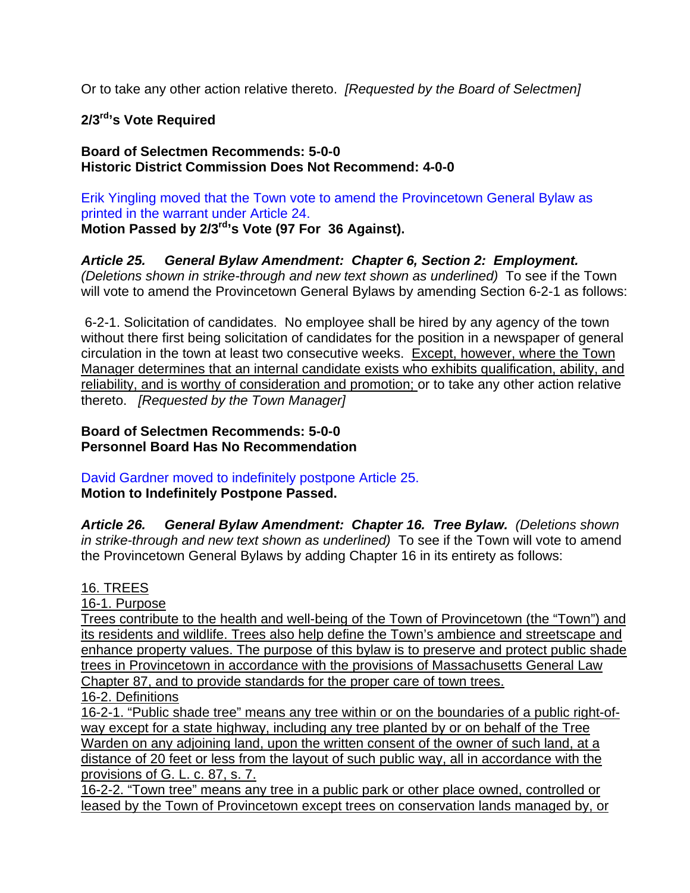Or to take any other action relative thereto. *[Requested by the Board of Selectmen]*

## **2/3rd's Vote Required**

#### **Board of Selectmen Recommends: 5-0-0 Historic District Commission Does Not Recommend: 4-0-0**

Erik Yingling moved that the Town vote to amend the Provincetown General Bylaw as printed in the warrant under Article 24. **Motion Passed by 2/3rd's Vote (97 For 36 Against).** 

*Article 25. General Bylaw Amendment: Chapter 6, Section 2: Employment. (Deletions shown in strike-through and new text shown as underlined)* To see if the Town will vote to amend the Provincetown General Bylaws by amending Section 6-2-1 as follows:

6-2-1. Solicitation of candidates. No employee shall be hired by any agency of the town without there first being solicitation of candidates for the position in a newspaper of general circulation in the town at least two consecutive weeks. Except, however, where the Town Manager determines that an internal candidate exists who exhibits qualification, ability, and reliability, and is worthy of consideration and promotion; or to take any other action relative thereto. *[Requested by the Town Manager]*

**Board of Selectmen Recommends: 5-0-0 Personnel Board Has No Recommendation** 

David Gardner moved to indefinitely postpone Article 25. **Motion to Indefinitely Postpone Passed.** 

*Article 26. General Bylaw Amendment: Chapter 16. Tree Bylaw. (Deletions shown in strike-through and new text shown as underlined)* To see if the Town will vote to amend the Provincetown General Bylaws by adding Chapter 16 in its entirety as follows:

## 16. TREES

16-1. Purpose

Trees contribute to the health and well-being of the Town of Provincetown (the "Town") and its residents and wildlife. Trees also help define the Town's ambience and streetscape and enhance property values. The purpose of this bylaw is to preserve and protect public shade trees in Provincetown in accordance with the provisions of Massachusetts General Law Chapter 87, and to provide standards for the proper care of town trees. 16-2. Definitions

16-2-1. "Public shade tree" means any tree within or on the boundaries of a public right-ofway except for a state highway, including any tree planted by or on behalf of the Tree Warden on any adjoining land, upon the written consent of the owner of such land, at a distance of 20 feet or less from the layout of such public way, all in accordance with the provisions of G. L. c. 87, s. 7.

16-2-2. "Town tree" means any tree in a public park or other place owned, controlled or leased by the Town of Provincetown except trees on conservation lands managed by, or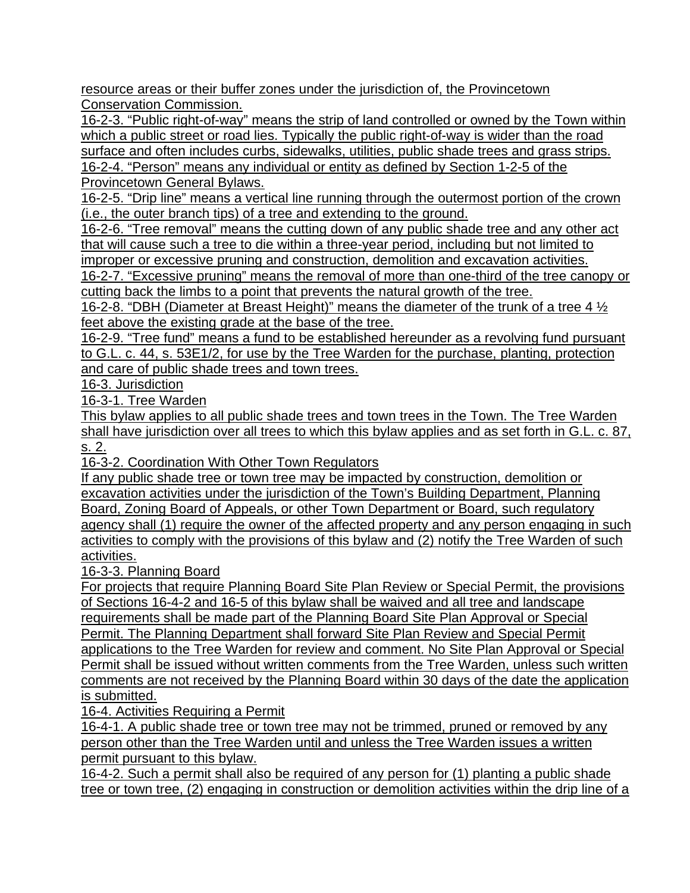resource areas or their buffer zones under the jurisdiction of, the Provincetown Conservation Commission.

16-2-3. "Public right-of-way" means the strip of land controlled or owned by the Town within which a public street or road lies. Typically the public right-of-way is wider than the road surface and often includes curbs, sidewalks, utilities, public shade trees and grass strips. 16-2-4. "Person" means any individual or entity as defined by Section 1-2-5 of the

Provincetown General Bylaws.

16-2-5. "Drip line" means a vertical line running through the outermost portion of the crown (i.e., the outer branch tips) of a tree and extending to the ground.

16-2-6. "Tree removal" means the cutting down of any public shade tree and any other act that will cause such a tree to die within a three-year period, including but not limited to improper or excessive pruning and construction, demolition and excavation activities.

16-2-7. "Excessive pruning" means the removal of more than one-third of the tree canopy or cutting back the limbs to a point that prevents the natural growth of the tree.

16-2-8. "DBH (Diameter at Breast Height)" means the diameter of the trunk of a tree 4  $\frac{1}{2}$ feet above the existing grade at the base of the tree.

16-2-9. "Tree fund" means a fund to be established hereunder as a revolving fund pursuant to G.L. c. 44, s. 53E1/2, for use by the Tree Warden for the purchase, planting, protection and care of public shade trees and town trees.

16-3. Jurisdiction

16-3-1. Tree Warden

This bylaw applies to all public shade trees and town trees in the Town. The Tree Warden shall have jurisdiction over all trees to which this bylaw applies and as set forth in G.L. c. 87, s. 2.

16-3-2. Coordination With Other Town Regulators

If any public shade tree or town tree may be impacted by construction, demolition or excavation activities under the jurisdiction of the Town's Building Department, Planning Board, Zoning Board of Appeals, or other Town Department or Board, such regulatory agency shall (1) require the owner of the affected property and any person engaging in such activities to comply with the provisions of this bylaw and (2) notify the Tree Warden of such activities.

16-3-3. Planning Board

For projects that require Planning Board Site Plan Review or Special Permit, the provisions of Sections 16-4-2 and 16-5 of this bylaw shall be waived and all tree and landscape requirements shall be made part of the Planning Board Site Plan Approval or Special Permit. The Planning Department shall forward Site Plan Review and Special Permit applications to the Tree Warden for review and comment. No Site Plan Approval or Special Permit shall be issued without written comments from the Tree Warden, unless such written comments are not received by the Planning Board within 30 days of the date the application is submitted.

16-4. Activities Requiring a Permit

16-4-1. A public shade tree or town tree may not be trimmed, pruned or removed by any person other than the Tree Warden until and unless the Tree Warden issues a written permit pursuant to this bylaw.

16-4-2. Such a permit shall also be required of any person for (1) planting a public shade tree or town tree, (2) engaging in construction or demolition activities within the drip line of a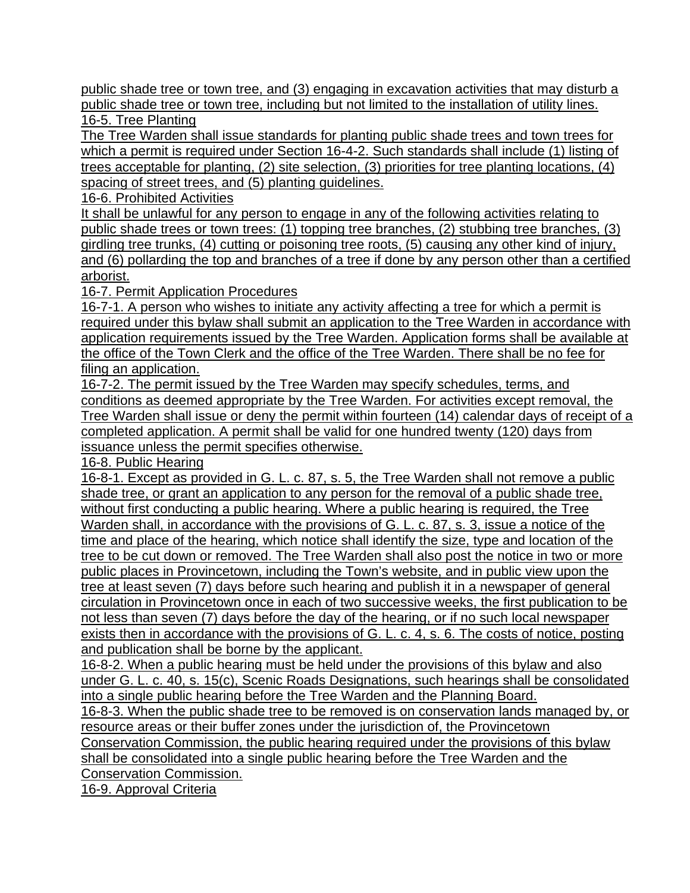public shade tree or town tree, and (3) engaging in excavation activities that may disturb a public shade tree or town tree, including but not limited to the installation of utility lines. 16-5. Tree Planting

The Tree Warden shall issue standards for planting public shade trees and town trees for which a permit is required under Section 16-4-2. Such standards shall include (1) listing of trees acceptable for planting, (2) site selection, (3) priorities for tree planting locations, (4) spacing of street trees, and (5) planting guidelines.

16-6. Prohibited Activities

It shall be unlawful for any person to engage in any of the following activities relating to public shade trees or town trees: (1) topping tree branches, (2) stubbing tree branches, (3) girdling tree trunks, (4) cutting or poisoning tree roots, (5) causing any other kind of injury, and (6) pollarding the top and branches of a tree if done by any person other than a certified arborist.

16-7. Permit Application Procedures

16-7-1. A person who wishes to initiate any activity affecting a tree for which a permit is required under this bylaw shall submit an application to the Tree Warden in accordance with application requirements issued by the Tree Warden. Application forms shall be available at the office of the Town Clerk and the office of the Tree Warden. There shall be no fee for filing an application.

16-7-2. The permit issued by the Tree Warden may specify schedules, terms, and conditions as deemed appropriate by the Tree Warden. For activities except removal, the Tree Warden shall issue or deny the permit within fourteen (14) calendar days of receipt of a completed application. A permit shall be valid for one hundred twenty (120) days from issuance unless the permit specifies otherwise.

16-8. Public Hearing

16-8-1. Except as provided in G. L. c. 87, s. 5, the Tree Warden shall not remove a public shade tree, or grant an application to any person for the removal of a public shade tree, without first conducting a public hearing. Where a public hearing is required, the Tree Warden shall, in accordance with the provisions of G. L. c. 87, s. 3, issue a notice of the time and place of the hearing, which notice shall identify the size, type and location of the tree to be cut down or removed. The Tree Warden shall also post the notice in two or more public places in Provincetown, including the Town's website, and in public view upon the tree at least seven (7) days before such hearing and publish it in a newspaper of general circulation in Provincetown once in each of two successive weeks, the first publication to be not less than seven (7) days before the day of the hearing, or if no such local newspaper exists then in accordance with the provisions of G. L. c. 4, s. 6. The costs of notice, posting and publication shall be borne by the applicant.

16-8-2. When a public hearing must be held under the provisions of this bylaw and also under G. L. c. 40, s. 15(c), Scenic Roads Designations, such hearings shall be consolidated into a single public hearing before the Tree Warden and the Planning Board.

16-8-3. When the public shade tree to be removed is on conservation lands managed by, or resource areas or their buffer zones under the jurisdiction of, the Provincetown Conservation Commission, the public hearing required under the provisions of this bylaw shall be consolidated into a single public hearing before the Tree Warden and the Conservation Commission.

16-9. Approval Criteria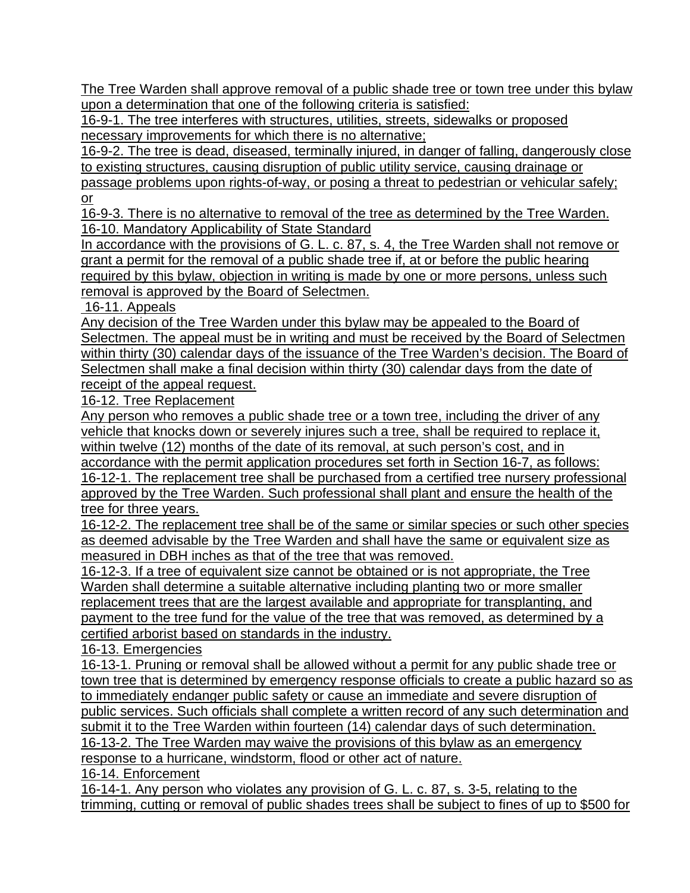The Tree Warden shall approve removal of a public shade tree or town tree under this bylaw upon a determination that one of the following criteria is satisfied:

16-9-1. The tree interferes with structures, utilities, streets, sidewalks or proposed necessary improvements for which there is no alternative;

16-9-2. The tree is dead, diseased, terminally injured, in danger of falling, dangerously close to existing structures, causing disruption of public utility service, causing drainage or

passage problems upon rights-of-way, or posing a threat to pedestrian or vehicular safely; or

16-9-3. There is no alternative to removal of the tree as determined by the Tree Warden. 16-10. Mandatory Applicability of State Standard

In accordance with the provisions of G. L. c. 87, s. 4, the Tree Warden shall not remove or grant a permit for the removal of a public shade tree if, at or before the public hearing required by this bylaw, objection in writing is made by one or more persons, unless such removal is approved by the Board of Selectmen.

16-11. Appeals

Any decision of the Tree Warden under this bylaw may be appealed to the Board of Selectmen. The appeal must be in writing and must be received by the Board of Selectmen within thirty (30) calendar days of the issuance of the Tree Warden's decision. The Board of Selectmen shall make a final decision within thirty (30) calendar days from the date of receipt of the appeal request.

16-12. Tree Replacement

Any person who removes a public shade tree or a town tree, including the driver of any vehicle that knocks down or severely injures such a tree, shall be required to replace it, within twelve (12) months of the date of its removal, at such person's cost, and in

accordance with the permit application procedures set forth in Section 16-7, as follows: 16-12-1. The replacement tree shall be purchased from a certified tree nursery professional approved by the Tree Warden. Such professional shall plant and ensure the health of the tree for three years.

16-12-2. The replacement tree shall be of the same or similar species or such other species as deemed advisable by the Tree Warden and shall have the same or equivalent size as measured in DBH inches as that of the tree that was removed.

16-12-3. If a tree of equivalent size cannot be obtained or is not appropriate, the Tree Warden shall determine a suitable alternative including planting two or more smaller replacement trees that are the largest available and appropriate for transplanting, and payment to the tree fund for the value of the tree that was removed, as determined by a certified arborist based on standards in the industry.

16-13. Emergencies

16-13-1. Pruning or removal shall be allowed without a permit for any public shade tree or town tree that is determined by emergency response officials to create a public hazard so as to immediately endanger public safety or cause an immediate and severe disruption of public services. Such officials shall complete a written record of any such determination and submit it to the Tree Warden within fourteen (14) calendar days of such determination. 16-13-2. The Tree Warden may waive the provisions of this bylaw as an emergency

response to a hurricane, windstorm, flood or other act of nature.

16-14. Enforcement

16-14-1. Any person who violates any provision of G. L. c. 87, s. 3-5, relating to the trimming, cutting or removal of public shades trees shall be subject to fines of up to \$500 for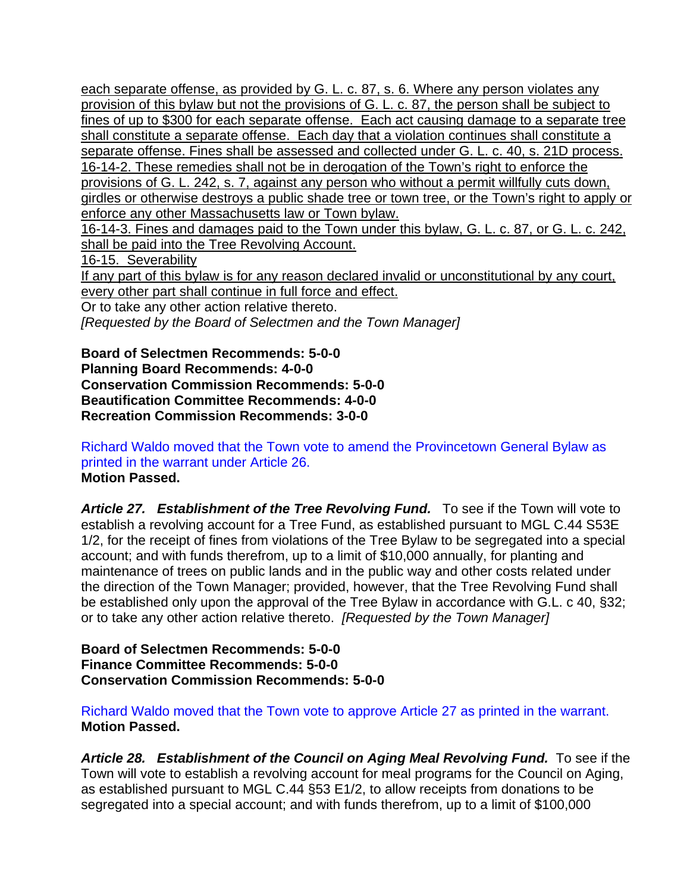each separate offense, as provided by G. L. c. 87, s. 6. Where any person violates any provision of this bylaw but not the provisions of G. L. c. 87, the person shall be subject to fines of up to \$300 for each separate offense. Each act causing damage to a separate tree shall constitute a separate offense. Each day that a violation continues shall constitute a separate offense. Fines shall be assessed and collected under G. L. c. 40, s. 21D process. 16-14-2. These remedies shall not be in derogation of the Town's right to enforce the provisions of G. L. 242, s. 7, against any person who without a permit willfully cuts down, girdles or otherwise destroys a public shade tree or town tree, or the Town's right to apply or enforce any other Massachusetts law or Town bylaw. 16-14-3. Fines and damages paid to the Town under this bylaw, G. L. c. 87, or G. L. c. 242, shall be paid into the Tree Revolving Account. 16-15. Severability If any part of this bylaw is for any reason declared invalid or unconstitutional by any court, every other part shall continue in full force and effect. Or to take any other action relative thereto.

*[Requested by the Board of Selectmen and the Town Manager]* 

**Board of Selectmen Recommends: 5-0-0 Planning Board Recommends: 4-0-0 Conservation Commission Recommends: 5-0-0 Beautification Committee Recommends: 4-0-0 Recreation Commission Recommends: 3-0-0** 

Richard Waldo moved that the Town vote to amend the Provincetown General Bylaw as printed in the warrant under Article 26. **Motion Passed.** 

Article 27. Establishment of the Tree Revolving Fund. To see if the Town will vote to establish a revolving account for a Tree Fund, as established pursuant to MGL C.44 S53E 1/2, for the receipt of fines from violations of the Tree Bylaw to be segregated into a special account; and with funds therefrom, up to a limit of \$10,000 annually, for planting and maintenance of trees on public lands and in the public way and other costs related under the direction of the Town Manager; provided, however, that the Tree Revolving Fund shall be established only upon the approval of the Tree Bylaw in accordance with G.L. c 40, §32; or to take any other action relative thereto. *[Requested by the Town Manager]*

**Board of Selectmen Recommends: 5-0-0 Finance Committee Recommends: 5-0-0 Conservation Commission Recommends: 5-0-0** 

Richard Waldo moved that the Town vote to approve Article 27 as printed in the warrant. **Motion Passed.** 

Article 28. Establishment of the Council on Aging Meal Revolving Fund. To see if the Town will vote to establish a revolving account for meal programs for the Council on Aging, as established pursuant to MGL C.44 §53 E1/2, to allow receipts from donations to be segregated into a special account; and with funds therefrom, up to a limit of \$100,000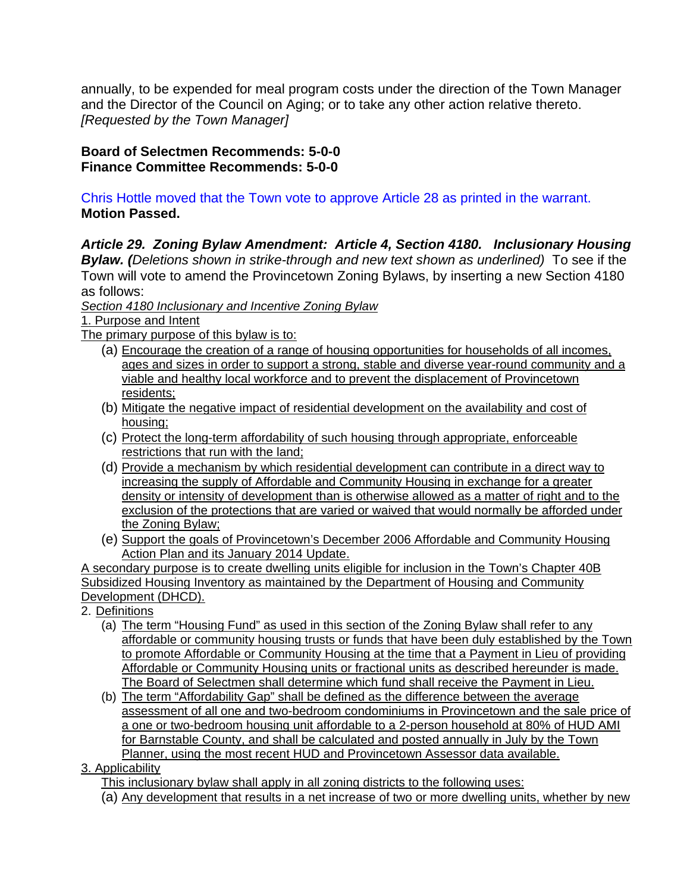annually, to be expended for meal program costs under the direction of the Town Manager and the Director of the Council on Aging; or to take any other action relative thereto. *[Requested by the Town Manager]* 

**Board of Selectmen Recommends: 5-0-0 Finance Committee Recommends: 5-0-0** 

Chris Hottle moved that the Town vote to approve Article 28 as printed in the warrant. **Motion Passed.** 

*Article 29. Zoning Bylaw Amendment: Article 4, Section 4180. Inclusionary Housing Bylaw. (Deletions shown in strike-through and new text shown as underlined)* To see if the Town will vote to amend the Provincetown Zoning Bylaws, by inserting a new Section 4180 as follows:

*Section 4180 Inclusionary and Incentive Zoning Bylaw* 

1. Purpose and Intent

The primary purpose of this bylaw is to:

- (a) Encourage the creation of a range of housing opportunities for households of all incomes, ages and sizes in order to support a strong, stable and diverse year-round community and a viable and healthy local workforce and to prevent the displacement of Provincetown residents;
- (b) Mitigate the negative impact of residential development on the availability and cost of housing;
- (c) Protect the long-term affordability of such housing through appropriate, enforceable restrictions that run with the land;
- (d) Provide a mechanism by which residential development can contribute in a direct way to increasing the supply of Affordable and Community Housing in exchange for a greater density or intensity of development than is otherwise allowed as a matter of right and to the exclusion of the protections that are varied or waived that would normally be afforded under the Zoning Bylaw;
- (e) Support the goals of Provincetown's December 2006 Affordable and Community Housing Action Plan and its January 2014 Update.

A secondary purpose is to create dwelling units eligible for inclusion in the Town's Chapter 40B Subsidized Housing Inventory as maintained by the Department of Housing and Community Development (DHCD).

- 2. Definitions
	- (a) The term "Housing Fund" as used in this section of the Zoning Bylaw shall refer to any affordable or community housing trusts or funds that have been duly established by the Town to promote Affordable or Community Housing at the time that a Payment in Lieu of providing Affordable or Community Housing units or fractional units as described hereunder is made. The Board of Selectmen shall determine which fund shall receive the Payment in Lieu.
	- (b) The term "Affordability Gap" shall be defined as the difference between the average assessment of all one and two-bedroom condominiums in Provincetown and the sale price of a one or two-bedroom housing unit affordable to a 2-person household at 80% of HUD AMI for Barnstable County, and shall be calculated and posted annually in July by the Town Planner, using the most recent HUD and Provincetown Assessor data available.
- 3. Applicability

This inclusionary bylaw shall apply in all zoning districts to the following uses:

(a) Any development that results in a net increase of two or more dwelling units, whether by new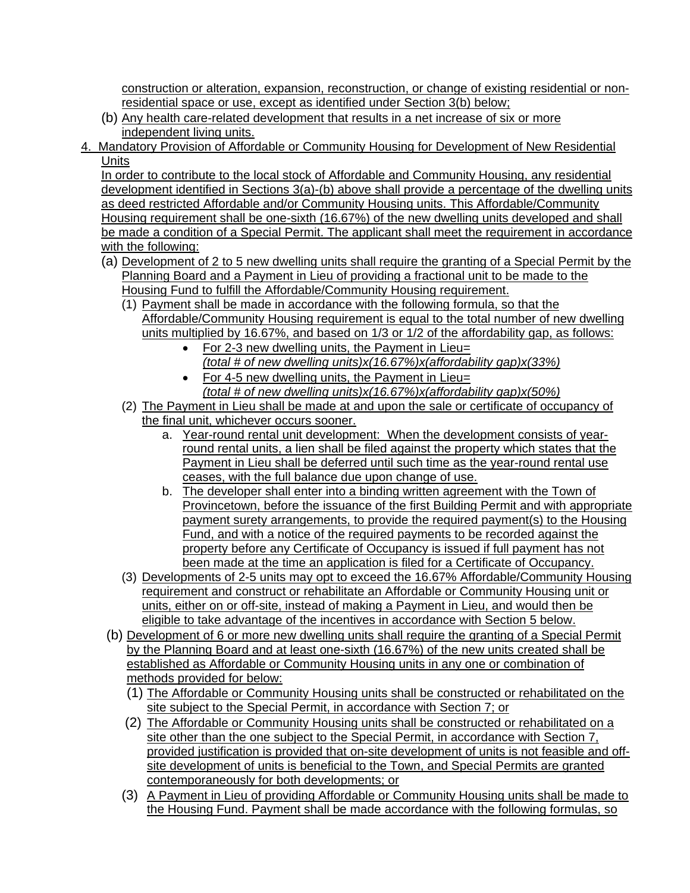construction or alteration, expansion, reconstruction, or change of existing residential or nonresidential space or use, except as identified under Section 3(b) below;

- (b) Any health care-related development that results in a net increase of six or more independent living units.
- 4. Mandatory Provision of Affordable or Community Housing for Development of New Residential **Units**

In order to contribute to the local stock of Affordable and Community Housing, any residential development identified in Sections 3(a)-(b) above shall provide a percentage of the dwelling units as deed restricted Affordable and/or Community Housing units. This Affordable/Community Housing requirement shall be one-sixth (16.67%) of the new dwelling units developed and shall be made a condition of a Special Permit. The applicant shall meet the requirement in accordance with the following:

- (a) Development of 2 to 5 new dwelling units shall require the granting of a Special Permit by the Planning Board and a Payment in Lieu of providing a fractional unit to be made to the Housing Fund to fulfill the Affordable/Community Housing requirement.
	- (1) Payment shall be made in accordance with the following formula, so that the Affordable/Community Housing requirement is equal to the total number of new dwelling units multiplied by 16.67%, and based on 1/3 or 1/2 of the affordability gap, as follows:
		- For 2-3 new dwelling units, the Payment in Lieu= *(total # of new dwelling units)x(16.67%)x(affordability gap)x(33%)*
		- For 4-5 new dwelling units, the Payment in Lieu=
			- *(total # of new dwelling units)x(16.67%)x(affordability gap)x(50%)*
	- (2) The Payment in Lieu shall be made at and upon the sale or certificate of occupancy of the final unit, whichever occurs sooner.
		- a. Year-round rental unit development: When the development consists of yearround rental units, a lien shall be filed against the property which states that the Payment in Lieu shall be deferred until such time as the year-round rental use ceases, with the full balance due upon change of use.
		- b. The developer shall enter into a binding written agreement with the Town of Provincetown, before the issuance of the first Building Permit and with appropriate payment surety arrangements, to provide the required payment(s) to the Housing Fund, and with a notice of the required payments to be recorded against the property before any Certificate of Occupancy is issued if full payment has not been made at the time an application is filed for a Certificate of Occupancy.
	- (3) Developments of 2-5 units may opt to exceed the 16.67% Affordable/Community Housing requirement and construct or rehabilitate an Affordable or Community Housing unit or units, either on or off-site, instead of making a Payment in Lieu, and would then be eligible to take advantage of the incentives in accordance with Section 5 below.
- (b) Development of 6 or more new dwelling units shall require the granting of a Special Permit by the Planning Board and at least one-sixth (16.67%) of the new units created shall be established as Affordable or Community Housing units in any one or combination of methods provided for below:
	- (1) The Affordable or Community Housing units shall be constructed or rehabilitated on the site subject to the Special Permit, in accordance with Section 7; or
	- (2) The Affordable or Community Housing units shall be constructed or rehabilitated on a site other than the one subject to the Special Permit, in accordance with Section 7, provided justification is provided that on-site development of units is not feasible and offsite development of units is beneficial to the Town, and Special Permits are granted contemporaneously for both developments; or
	- (3) A Payment in Lieu of providing Affordable or Community Housing units shall be made to the Housing Fund. Payment shall be made accordance with the following formulas, so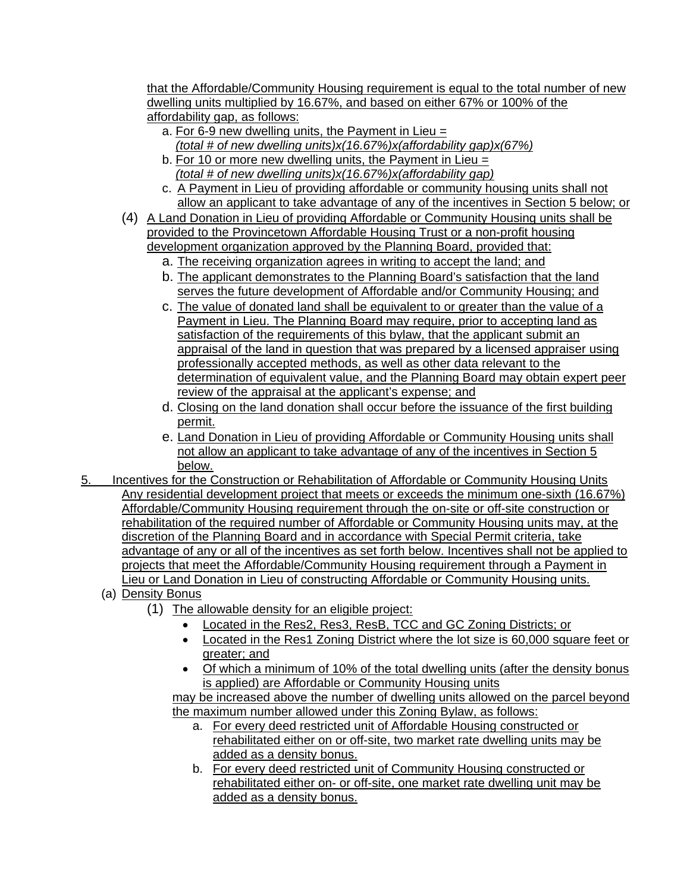that the Affordable/Community Housing requirement is equal to the total number of new dwelling units multiplied by 16.67%, and based on either 67% or 100% of the affordability gap, as follows:

- a. For 6-9 new dwelling units, the Payment in Lieu  $=$
- *(total # of new dwelling units)x(16.67%)x(affordability gap)x(67%)*
- b. For 10 or more new dwelling units, the Payment in Lieu = *(total # of new dwelling units)x(16.67%)x(affordability gap)*
- c. A Payment in Lieu of providing affordable or community housing units shall not allow an applicant to take advantage of any of the incentives in Section 5 below; or
- (4) A Land Donation in Lieu of providing Affordable or Community Housing units shall be provided to the Provincetown Affordable Housing Trust or a non-profit housing development organization approved by the Planning Board, provided that:
	- a. The receiving organization agrees in writing to accept the land; and
	- b. The applicant demonstrates to the Planning Board's satisfaction that the land serves the future development of Affordable and/or Community Housing; and
	- c. The value of donated land shall be equivalent to or greater than the value of a Payment in Lieu. The Planning Board may require, prior to accepting land as satisfaction of the requirements of this bylaw, that the applicant submit an appraisal of the land in question that was prepared by a licensed appraiser using professionally accepted methods, as well as other data relevant to the determination of equivalent value, and the Planning Board may obtain expert peer review of the appraisal at the applicant's expense; and
	- d. Closing on the land donation shall occur before the issuance of the first building permit.
	- e. Land Donation in Lieu of providing Affordable or Community Housing units shall not allow an applicant to take advantage of any of the incentives in Section 5 below.
- 5. Incentives for the Construction or Rehabilitation of Affordable or Community Housing Units Any residential development project that meets or exceeds the minimum one-sixth (16.67%) Affordable/Community Housing requirement through the on-site or off-site construction or rehabilitation of the required number of Affordable or Community Housing units may, at the discretion of the Planning Board and in accordance with Special Permit criteria, take advantage of any or all of the incentives as set forth below. Incentives shall not be applied to projects that meet the Affordable/Community Housing requirement through a Payment in Lieu or Land Donation in Lieu of constructing Affordable or Community Housing units.
	- (a) Density Bonus
		- (1) The allowable density for an eligible project:
			- Located in the Res2, Res3, ResB, TCC and GC Zoning Districts; or
			- Located in the Res1 Zoning District where the lot size is 60,000 square feet or greater; and
			- Of which a minimum of 10% of the total dwelling units (after the density bonus is applied) are Affordable or Community Housing units

may be increased above the number of dwelling units allowed on the parcel beyond the maximum number allowed under this Zoning Bylaw, as follows:

- a. For every deed restricted unit of Affordable Housing constructed or rehabilitated either on or off-site, two market rate dwelling units may be added as a density bonus.
- b. For every deed restricted unit of Community Housing constructed or rehabilitated either on- or off-site, one market rate dwelling unit may be added as a density bonus.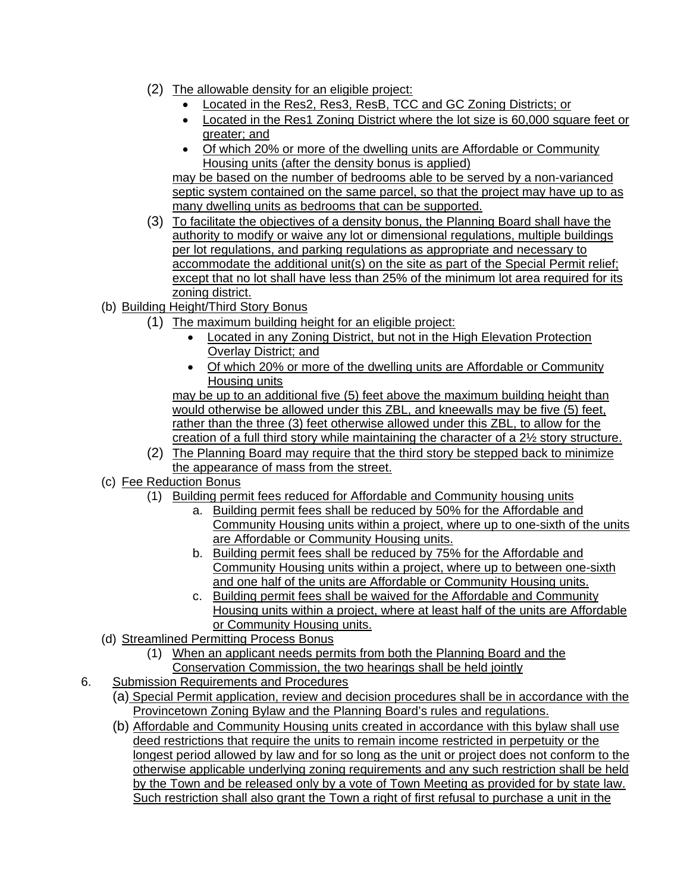- (2) The allowable density for an eligible project:
	- Located in the Res2, Res3, ResB, TCC and GC Zoning Districts; or
	- Located in the Res1 Zoning District where the lot size is 60,000 square feet or greater; and
	- Of which 20% or more of the dwelling units are Affordable or Community Housing units (after the density bonus is applied)

may be based on the number of bedrooms able to be served by a non-varianced septic system contained on the same parcel, so that the project may have up to as many dwelling units as bedrooms that can be supported.

- (3) To facilitate the objectives of a density bonus, the Planning Board shall have the authority to modify or waive any lot or dimensional regulations, multiple buildings per lot regulations, and parking regulations as appropriate and necessary to accommodate the additional unit(s) on the site as part of the Special Permit relief; except that no lot shall have less than 25% of the minimum lot area required for its zoning district.
- (b) Building Height/Third Story Bonus
	- (1) The maximum building height for an eligible project:
		- Located in any Zoning District, but not in the High Elevation Protection Overlay District; and
		- Of which 20% or more of the dwelling units are Affordable or Community Housing units

may be up to an additional five (5) feet above the maximum building height than would otherwise be allowed under this ZBL, and kneewalls may be five (5) feet, rather than the three (3) feet otherwise allowed under this ZBL, to allow for the creation of a full third story while maintaining the character of a 2½ story structure.

- (2) The Planning Board may require that the third story be stepped back to minimize the appearance of mass from the street.
- (c) Fee Reduction Bonus
	- (1) Building permit fees reduced for Affordable and Community housing units
		- a. Building permit fees shall be reduced by 50% for the Affordable and Community Housing units within a project, where up to one-sixth of the units are Affordable or Community Housing units.
		- b. Building permit fees shall be reduced by 75% for the Affordable and Community Housing units within a project, where up to between one-sixth and one half of the units are Affordable or Community Housing units.
		- c. Building permit fees shall be waived for the Affordable and Community Housing units within a project, where at least half of the units are Affordable or Community Housing units.
- (d) Streamlined Permitting Process Bonus
	- (1) When an applicant needs permits from both the Planning Board and the Conservation Commission, the two hearings shall be held jointly
- 6. Submission Requirements and Procedures
	- (a) Special Permit application, review and decision procedures shall be in accordance with the Provincetown Zoning Bylaw and the Planning Board's rules and regulations.
	- (b) Affordable and Community Housing units created in accordance with this bylaw shall use deed restrictions that require the units to remain income restricted in perpetuity or the longest period allowed by law and for so long as the unit or project does not conform to the otherwise applicable underlying zoning requirements and any such restriction shall be held by the Town and be released only by a vote of Town Meeting as provided for by state law. Such restriction shall also grant the Town a right of first refusal to purchase a unit in the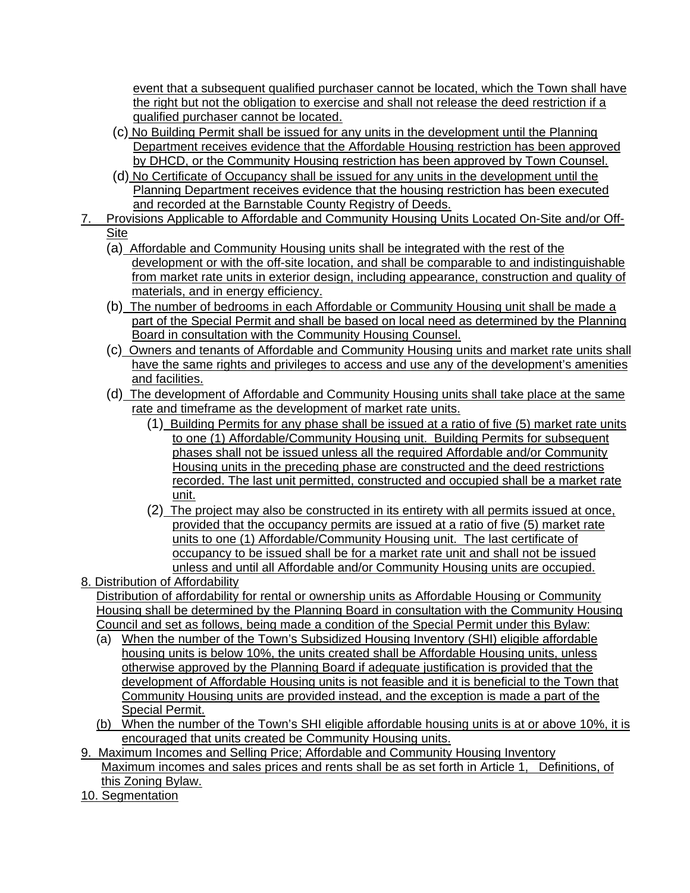event that a subsequent qualified purchaser cannot be located, which the Town shall have the right but not the obligation to exercise and shall not release the deed restriction if a qualified purchaser cannot be located.

- (c) No Building Permit shall be issued for any units in the development until the Planning Department receives evidence that the Affordable Housing restriction has been approved by DHCD, or the Community Housing restriction has been approved by Town Counsel.
- (d) No Certificate of Occupancy shall be issued for any units in the development until the Planning Department receives evidence that the housing restriction has been executed and recorded at the Barnstable County Registry of Deeds.
- 7. Provisions Applicable to Affordable and Community Housing Units Located On-Site and/or Off-Site
- (a) Affordable and Community Housing units shall be integrated with the rest of the
- development or with the off-site location, and shall be comparable to and indistinguishable from market rate units in exterior design, including appearance, construction and quality of materials, and in energy efficiency.
- (b) The number of bedrooms in each Affordable or Community Housing unit shall be made a part of the Special Permit and shall be based on local need as determined by the Planning Board in consultation with the Community Housing Counsel.
- (c) Owners and tenants of Affordable and Community Housing units and market rate units shall have the same rights and privileges to access and use any of the development's amenities and facilities.
- (d) The development of Affordable and Community Housing units shall take place at the same rate and timeframe as the development of market rate units.
	- (1) Building Permits for any phase shall be issued at a ratio of five (5) market rate units to one (1) Affordable/Community Housing unit. Building Permits for subsequent phases shall not be issued unless all the required Affordable and/or Community Housing units in the preceding phase are constructed and the deed restrictions recorded. The last unit permitted, constructed and occupied shall be a market rate unit.
	- (2) The project may also be constructed in its entirety with all permits issued at once, provided that the occupancy permits are issued at a ratio of five (5) market rate units to one (1) Affordable/Community Housing unit. The last certificate of occupancy to be issued shall be for a market rate unit and shall not be issued unless and until all Affordable and/or Community Housing units are occupied.

8. Distribution of Affordability Distribution of affordability for rental or ownership units as Affordable Housing or Community Housing shall be determined by the Planning Board in consultation with the Community Housing Council and set as follows, being made a condition of the Special Permit under this Bylaw:

- (a) When the number of the Town's Subsidized Housing Inventory (SHI) eligible affordable housing units is below 10%, the units created shall be Affordable Housing units, unless otherwise approved by the Planning Board if adequate justification is provided that the development of Affordable Housing units is not feasible and it is beneficial to the Town that Community Housing units are provided instead, and the exception is made a part of the Special Permit.
- (b) When the number of the Town's SHI eligible affordable housing units is at or above 10%, it is encouraged that units created be Community Housing units.
- 9. Maximum Incomes and Selling Price; Affordable and Community Housing Inventory Maximum incomes and sales prices and rents shall be as set forth in Article 1, Definitions, of this Zoning Bylaw.
- 10. Segmentation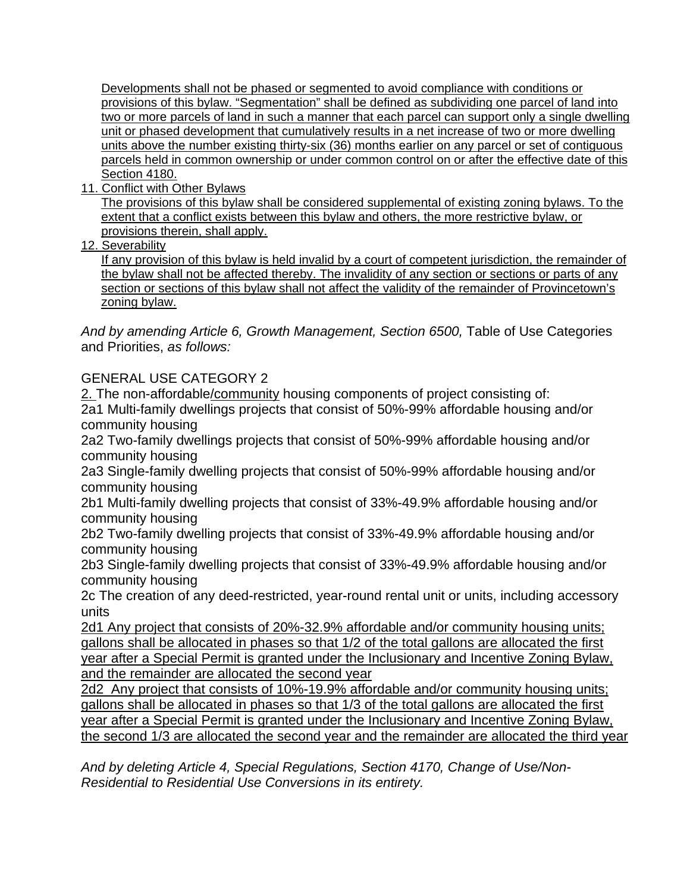Developments shall not be phased or segmented to avoid compliance with conditions or provisions of this bylaw. "Segmentation" shall be defined as subdividing one parcel of land into two or more parcels of land in such a manner that each parcel can support only a single dwelling unit or phased development that cumulatively results in a net increase of two or more dwelling units above the number existing thirty-six (36) months earlier on any parcel or set of contiguous parcels held in common ownership or under common control on or after the effective date of this Section 4180.

11. Conflict with Other Bylaws

The provisions of this bylaw shall be considered supplemental of existing zoning bylaws. To the extent that a conflict exists between this bylaw and others, the more restrictive bylaw, or provisions therein, shall apply.

12. Severability

If any provision of this bylaw is held invalid by a court of competent jurisdiction, the remainder of the bylaw shall not be affected thereby. The invalidity of any section or sections or parts of any section or sections of this bylaw shall not affect the validity of the remainder of Provincetown's zoning bylaw.

And by amending Article 6, Growth Management, Section 6500, Table of Use Categories and Priorities, *as follows:* 

## GENERAL USE CATEGORY 2

2. The non-affordable/community housing components of project consisting of: 2a1 Multi-family dwellings projects that consist of 50%-99% affordable housing and/or community housing

2a2 Two-family dwellings projects that consist of 50%-99% affordable housing and/or community housing

2a3 Single-family dwelling projects that consist of 50%-99% affordable housing and/or community housing

2b1 Multi-family dwelling projects that consist of 33%-49.9% affordable housing and/or community housing

2b2 Two-family dwelling projects that consist of 33%-49.9% affordable housing and/or community housing

2b3 Single-family dwelling projects that consist of 33%-49.9% affordable housing and/or community housing

2c The creation of any deed-restricted, year-round rental unit or units, including accessory units

2d1 Any project that consists of 20%-32.9% affordable and/or community housing units; gallons shall be allocated in phases so that 1/2 of the total gallons are allocated the first year after a Special Permit is granted under the Inclusionary and Incentive Zoning Bylaw, and the remainder are allocated the second year

2d2 Any project that consists of 10%-19.9% affordable and/or community housing units; gallons shall be allocated in phases so that 1/3 of the total gallons are allocated the first year after a Special Permit is granted under the Inclusionary and Incentive Zoning Bylaw, the second 1/3 are allocated the second year and the remainder are allocated the third year

*And by deleting Article 4, Special Regulations, Section 4170, Change of Use/Non-Residential to Residential Use Conversions in its entirety.*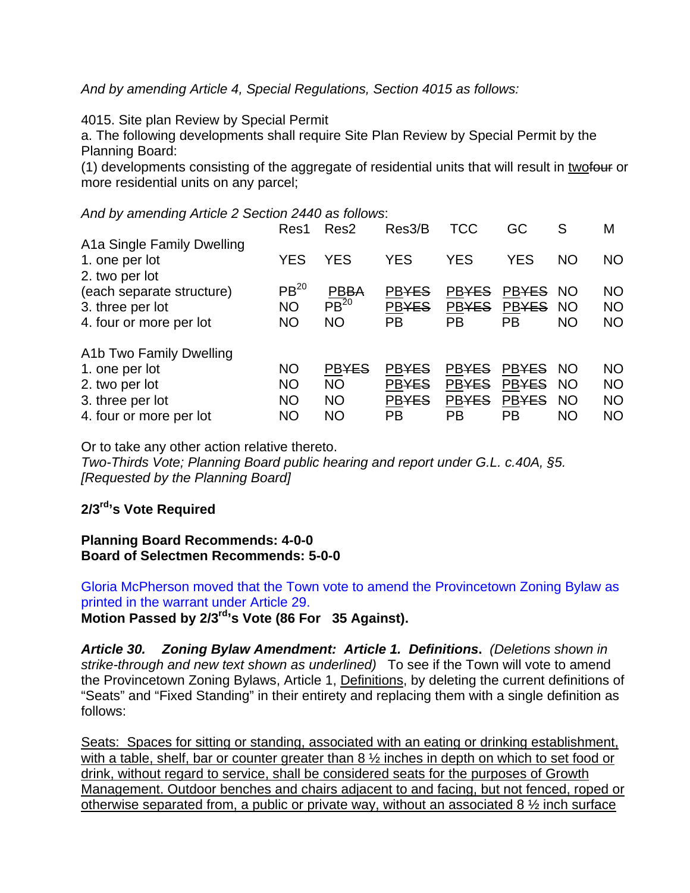*And by amending Article 4, Special Regulations, Section 4015 as follows:* 

4015. Site plan Review by Special Permit

a. The following developments shall require Site Plan Review by Special Permit by the Planning Board:

(1) developments consisting of the aggregate of residential units that will result in twofour or more residential units on any parcel;

#### *And by amending Article 2 Section 2440 as follows*:

|                            | Res1             | Res <sub>2</sub>     | Res3/B       | TCC          | GC           | S         | M         |
|----------------------------|------------------|----------------------|--------------|--------------|--------------|-----------|-----------|
| A1a Single Family Dwelling |                  |                      |              |              |              |           |           |
| 1. one per lot             | <b>YES</b>       | <b>YES</b>           | <b>YES</b>   | <b>YES</b>   | <b>YES</b>   | <b>NO</b> | NO.       |
| 2. two per lot             |                  |                      |              |              |              |           |           |
| (each separate structure)  | PB <sup>20</sup> | <b>PBBA</b>          | <b>PBYES</b> | <b>PBYES</b> | <b>PBYES</b> | <b>NO</b> | <b>NO</b> |
| 3. three per lot           | <b>NO</b>        | $\overline{PB}^{20}$ | <b>PBYES</b> | <b>PBYES</b> | <b>PBYES</b> | <b>NO</b> | <b>NO</b> |
| 4. four or more per lot    | <b>NO</b>        | <b>NO</b>            | <b>PB</b>    | PB           | <b>PB</b>    | <b>NO</b> | <b>NO</b> |
| A1b Two Family Dwelling    |                  |                      |              |              |              |           |           |
| 1. one per lot             | <b>NO</b>        | <b>PBYES</b>         | <b>PBYES</b> | <b>PBYES</b> | <b>PBYES</b> | <b>NO</b> | <b>NO</b> |
| 2. two per lot             | <b>NO</b>        | <b>NO</b>            | <b>PBYES</b> | <b>PBYES</b> | <b>PBYES</b> | <b>NO</b> | <b>NO</b> |
| 3. three per lot           | <b>NO</b>        | <b>NO</b>            | <b>PBYES</b> | <b>PBYES</b> | <b>PBYES</b> | <b>NO</b> | <b>NO</b> |
| 4. four or more per lot    | <b>NO</b>        | <b>NO</b>            | PB           | РB           | PB           | ΝO        | <b>NO</b> |

Or to take any other action relative thereto.

*Two-Thirds Vote; Planning Board public hearing and report under G.L. c.40A, §5. [Requested by the Planning Board]* 

## **2/3rd's Vote Required**

**Planning Board Recommends: 4-0-0 Board of Selectmen Recommends: 5-0-0** 

Gloria McPherson moved that the Town vote to amend the Provincetown Zoning Bylaw as printed in the warrant under Article 29.

**Motion Passed by 2/3rd's Vote (86 For 35 Against).** 

*Article 30. Zoning Bylaw Amendment: Article 1. Definitions***.** *(Deletions shown in strike-through and new text shown as underlined)* To see if the Town will vote to amend the Provincetown Zoning Bylaws, Article 1, Definitions, by deleting the current definitions of "Seats" and "Fixed Standing" in their entirety and replacing them with a single definition as follows:

Seats: Spaces for sitting or standing, associated with an eating or drinking establishment, with a table, shelf, bar or counter greater than 8  $\frac{1}{2}$  inches in depth on which to set food or drink, without regard to service, shall be considered seats for the purposes of Growth Management. Outdoor benches and chairs adjacent to and facing, but not fenced, roped or otherwise separated from, a public or private way, without an associated 8 ½ inch surface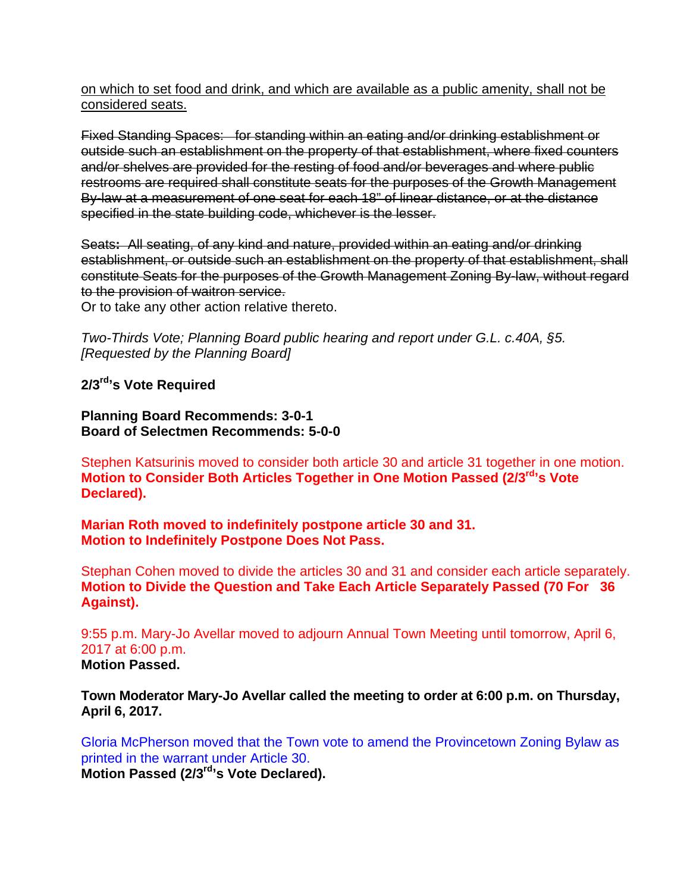on which to set food and drink, and which are available as a public amenity, shall not be considered seats.

Fixed Standing Spaces: for standing within an eating and/or drinking establishment or outside such an establishment on the property of that establishment, where fixed counters and/or shelves are provided for the resting of food and/or beverages and where public restrooms are required shall constitute seats for the purposes of the Growth Management By-law at a measurement of one seat for each 18" of linear distance, or at the distance specified in the state building code, whichever is the lesser.

Seats**:** All seating, of any kind and nature, provided within an eating and/or drinking establishment, or outside such an establishment on the property of that establishment, shall constitute Seats for the purposes of the Growth Management Zoning By-law, without regard to the provision of waitron service.

Or to take any other action relative thereto.

*Two-Thirds Vote; Planning Board public hearing and report under G.L. c.40A, §5. [Requested by the Planning Board]* 

**2/3rd's Vote Required** 

**Planning Board Recommends: 3-0-1 Board of Selectmen Recommends: 5-0-0** 

Stephen Katsurinis moved to consider both article 30 and article 31 together in one motion. **Motion to Consider Both Articles Together in One Motion Passed (2/3rd's Vote Declared).** 

**Marian Roth moved to indefinitely postpone article 30 and 31. Motion to Indefinitely Postpone Does Not Pass.** 

Stephan Cohen moved to divide the articles 30 and 31 and consider each article separately. **Motion to Divide the Question and Take Each Article Separately Passed (70 For 36 Against).** 

9:55 p.m. Mary-Jo Avellar moved to adjourn Annual Town Meeting until tomorrow, April 6, 2017 at 6:00 p.m. **Motion Passed.** 

**Town Moderator Mary-Jo Avellar called the meeting to order at 6:00 p.m. on Thursday, April 6, 2017.** 

Gloria McPherson moved that the Town vote to amend the Provincetown Zoning Bylaw as printed in the warrant under Article 30. **Motion Passed (2/3rd's Vote Declared).**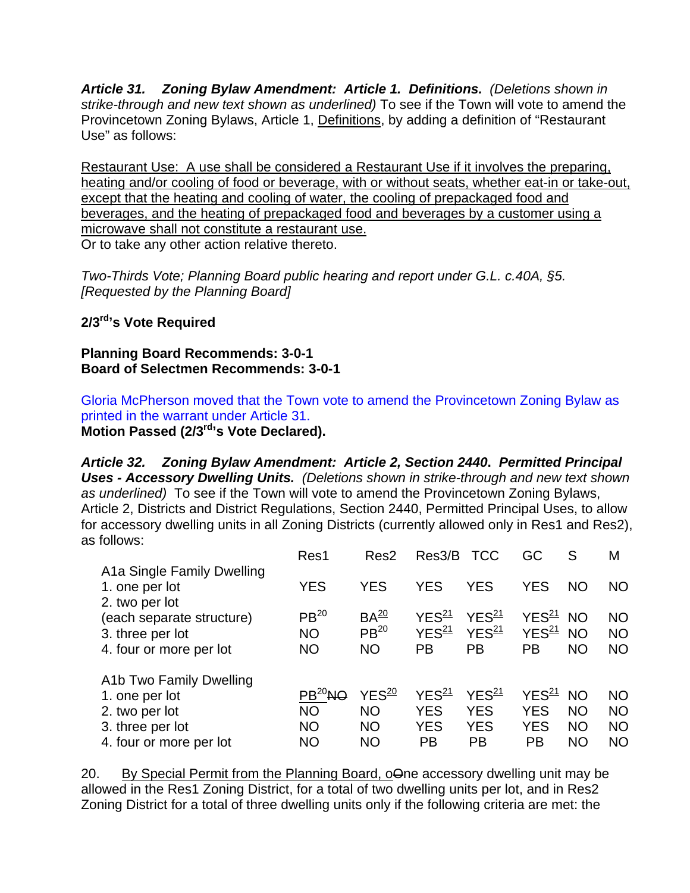*Article 31. Zoning Bylaw Amendment: Article 1. Definitions.**(Deletions shown in strike-through and new text shown as underlined)* To see if the Town will vote to amend the Provincetown Zoning Bylaws, Article 1, Definitions, by adding a definition of "Restaurant Use" as follows:

Restaurant Use: A use shall be considered a Restaurant Use if it involves the preparing, heating and/or cooling of food or beverage, with or without seats, whether eat-in or take-out, except that the heating and cooling of water, the cooling of prepackaged food and beverages, and the heating of prepackaged food and beverages by a customer using a microwave shall not constitute a restaurant use. Or to take any other action relative thereto.

*Two-Thirds Vote; Planning Board public hearing and report under G.L. c.40A, §5. [Requested by the Planning Board]* 

## **2/3rd's Vote Required**

**Planning Board Recommends: 3-0-1 Board of Selectmen Recommends: 3-0-1** 

Gloria McPherson moved that the Town vote to amend the Provincetown Zoning Bylaw as printed in the warrant under Article 31.

**Motion Passed (2/3rd's Vote Declared).** 

*Article 32. Zoning Bylaw Amendment: Article 2, Section 2440***.** *Permitted Principal Uses - Accessory Dwelling Units. (Deletions shown in strike-through and new text shown as underlined)* To see if the Town will vote to amend the Provincetown Zoning Bylaws, Article 2, Districts and District Regulations, Section 2440, Permitted Principal Uses, to allow for accessory dwelling units in all Zoning Districts (currently allowed only in Res1 and Res2), as follows:

|                                  | Res1             | Res <sub>2</sub>  | Res3/B            | <b>TCC</b>        | GC                   | S         | M         |
|----------------------------------|------------------|-------------------|-------------------|-------------------|----------------------|-----------|-----------|
| A1a Single Family Dwelling       |                  |                   |                   |                   |                      |           |           |
| 1. one per lot<br>2. two per lot | <b>YES</b>       | <b>YES</b>        | <b>YES</b>        | <b>YES</b>        | <b>YES</b>           | <b>NO</b> | <b>NO</b> |
| (each separate structure)        | PB <sup>20</sup> | BA <sup>20</sup>  | YES <sup>21</sup> | YES <sup>21</sup> | YES <sup>21</sup> NO |           | <b>NO</b> |
| 3. three per lot                 | <b>NO</b>        | PB <sup>20</sup>  | YES <sup>21</sup> | YES <sup>21</sup> | YES <sup>21</sup>    | <b>NO</b> | <b>NO</b> |
| 4. four or more per lot          | <b>NO</b>        | <b>NO</b>         | PB                | PB                | <b>PB</b>            | <b>NO</b> | <b>NO</b> |
| A1b Two Family Dwelling          |                  |                   |                   |                   |                      |           |           |
| 1. one per lot                   | $PB20$ NO        | YES <sup>20</sup> | YES <sup>21</sup> | YES <sup>21</sup> | YES <sup>21</sup>    | <b>NO</b> | <b>NO</b> |
| 2. two per lot                   | <b>NO</b>        | <b>NO</b>         | <b>YES</b>        | <b>YES</b>        | <b>YES</b>           | <b>NO</b> | <b>NO</b> |
| 3. three per lot                 | <b>NO</b>        | <b>NO</b>         | <b>YES</b>        | <b>YES</b>        | <b>YES</b>           | <b>NO</b> | <b>NO</b> |
| 4. four or more per lot          | <b>NO</b>        | <b>NO</b>         | <b>PB</b>         | <b>PB</b>         | <b>PB</b>            | <b>NO</b> | <b>NO</b> |

20. By Special Permit from the Planning Board, oone accessory dwelling unit may be allowed in the Res1 Zoning District, for a total of two dwelling units per lot, and in Res2 Zoning District for a total of three dwelling units only if the following criteria are met: the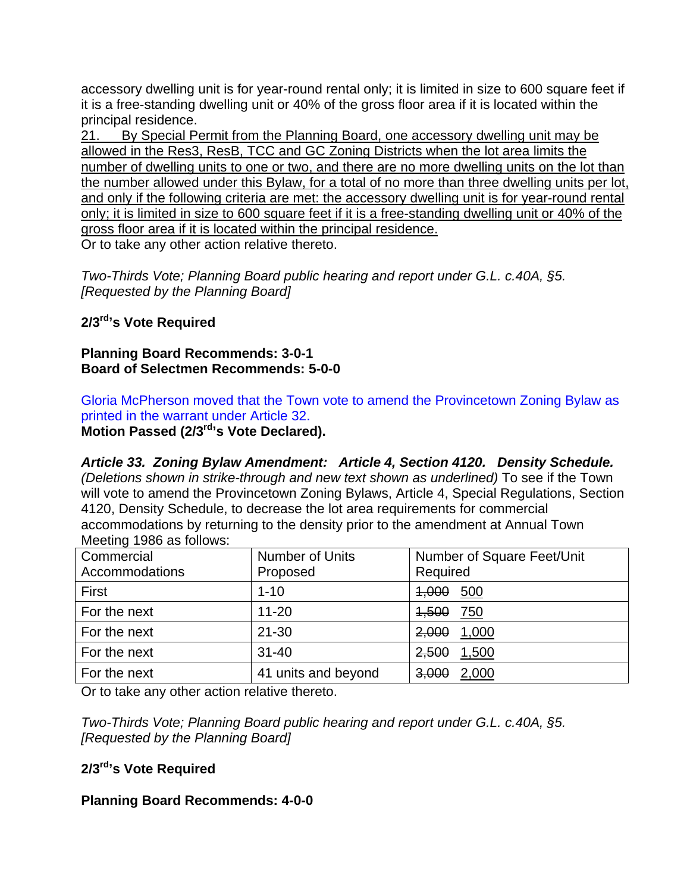accessory dwelling unit is for year-round rental only; it is limited in size to 600 square feet if it is a free-standing dwelling unit or 40% of the gross floor area if it is located within the principal residence.

21. By Special Permit from the Planning Board, one accessory dwelling unit may be allowed in the Res3, ResB, TCC and GC Zoning Districts when the lot area limits the number of dwelling units to one or two, and there are no more dwelling units on the lot than the number allowed under this Bylaw, for a total of no more than three dwelling units per lot, and only if the following criteria are met: the accessory dwelling unit is for year-round rental only; it is limited in size to 600 square feet if it is a free-standing dwelling unit or 40% of the gross floor area if it is located within the principal residence.

Or to take any other action relative thereto.

*Two-Thirds Vote; Planning Board public hearing and report under G.L. c.40A, §5. [Requested by the Planning Board]* 

## **2/3rd's Vote Required**

**Planning Board Recommends: 3-0-1 Board of Selectmen Recommends: 5-0-0** 

Gloria McPherson moved that the Town vote to amend the Provincetown Zoning Bylaw as printed in the warrant under Article 32.

**Motion Passed (2/3rd's Vote Declared).** 

*Article 33. Zoning Bylaw Amendment: Article 4, Section 4120. Density Schedule. (Deletions shown in strike-through and new text shown as underlined)* To see if the Town will vote to amend the Provincetown Zoning Bylaws, Article 4, Special Regulations, Section 4120, Density Schedule, to decrease the lot area requirements for commercial accommodations by returning to the density prior to the amendment at Annual Town Meeting 1986 as follows:

| Commercial<br><b>Accommodations</b> | <b>Number of Units</b><br>Proposed | Number of Square Feet/Unit<br>Required |
|-------------------------------------|------------------------------------|----------------------------------------|
| First                               | $1 - 10$                           | <del>1,000</del> 500                   |
| For the next                        | $11 - 20$                          | <del>1,500</del> 750                   |
| For the next                        | $21 - 30$                          | 2,000 1,000                            |
| For the next                        | $31 - 40$                          | 2,500 1,500                            |
| For the next                        | 41 units and beyond                | $3,000$ 2,000                          |

Or to take any other action relative thereto.

*Two-Thirds Vote; Planning Board public hearing and report under G.L. c.40A, §5. [Requested by the Planning Board]* 

## **2/3rd's Vote Required**

## **Planning Board Recommends: 4-0-0**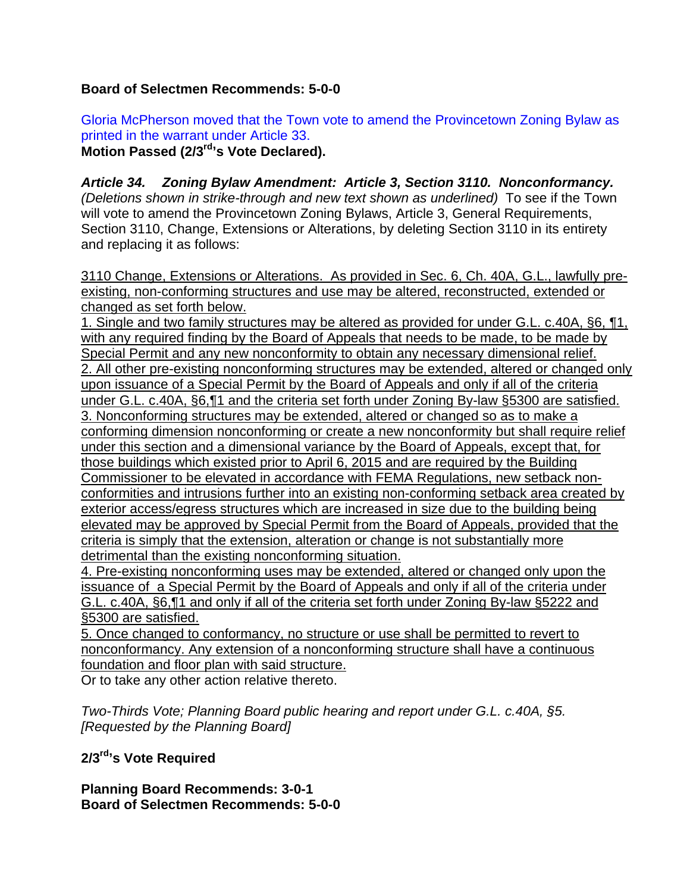## **Board of Selectmen Recommends: 5-0-0**

Gloria McPherson moved that the Town vote to amend the Provincetown Zoning Bylaw as printed in the warrant under Article 33. **Motion Passed (2/3rd's Vote Declared).** 

*Article 34. Zoning Bylaw Amendment: Article 3, Section 3110. Nonconformancy. (Deletions shown in strike-through and new text shown as underlined)* To see if the Town will vote to amend the Provincetown Zoning Bylaws, Article 3, General Requirements, Section 3110, Change, Extensions or Alterations, by deleting Section 3110 in its entirety and replacing it as follows:

3110 Change, Extensions or Alterations. As provided in Sec. 6, Ch. 40A, G.L., lawfully preexisting, non-conforming structures and use may be altered, reconstructed, extended or changed as set forth below.

1. Single and two family structures may be altered as provided for under G.L. c.40A, §6, ¶1, with any required finding by the Board of Appeals that needs to be made, to be made by Special Permit and any new nonconformity to obtain any necessary dimensional relief. 2. All other pre-existing nonconforming structures may be extended, altered or changed only upon issuance of a Special Permit by the Board of Appeals and only if all of the criteria under G.L. c.40A, §6,¶1 and the criteria set forth under Zoning By-law §5300 are satisfied. 3. Nonconforming structures may be extended, altered or changed so as to make a conforming dimension nonconforming or create a new nonconformity but shall require relief under this section and a dimensional variance by the Board of Appeals, except that, for those buildings which existed prior to April 6, 2015 and are required by the Building Commissioner to be elevated in accordance with FEMA Regulations, new setback nonconformities and intrusions further into an existing non-conforming setback area created by exterior access/egress structures which are increased in size due to the building being elevated may be approved by Special Permit from the Board of Appeals, provided that the criteria is simply that the extension, alteration or change is not substantially more detrimental than the existing nonconforming situation.

4. Pre-existing nonconforming uses may be extended, altered or changed only upon the issuance of a Special Permit by the Board of Appeals and only if all of the criteria under G.L. c.40A, §6,¶1 and only if all of the criteria set forth under Zoning By-law §5222 and §5300 are satisfied.

5. Once changed to conformancy, no structure or use shall be permitted to revert to nonconformancy. Any extension of a nonconforming structure shall have a continuous foundation and floor plan with said structure.

Or to take any other action relative thereto.

*Two-Thirds Vote; Planning Board public hearing and report under G.L. c.40A, §5. [Requested by the Planning Board]* 

**2/3rd's Vote Required** 

**Planning Board Recommends: 3-0-1 Board of Selectmen Recommends: 5-0-0**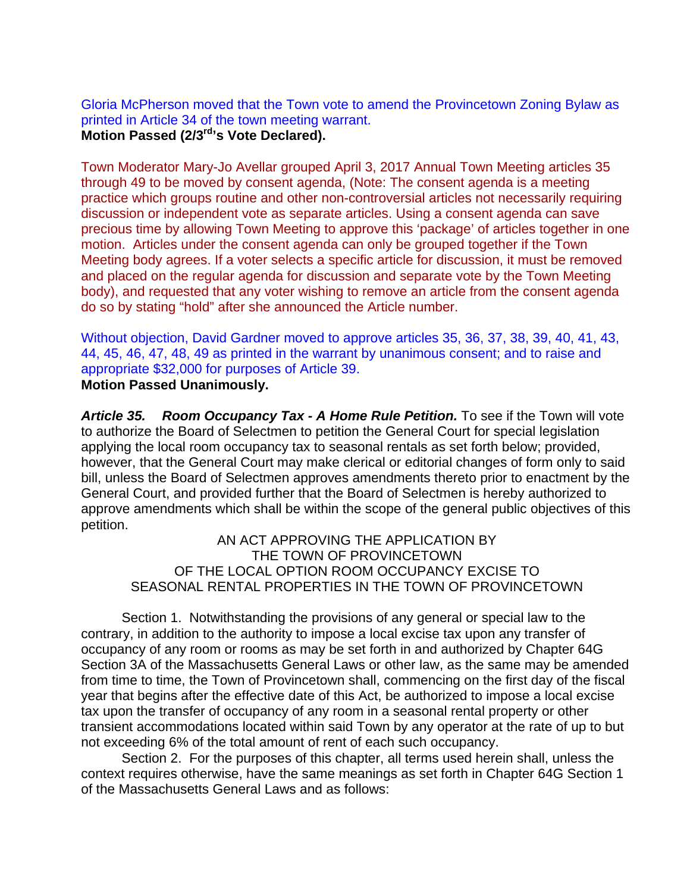Gloria McPherson moved that the Town vote to amend the Provincetown Zoning Bylaw as printed in Article 34 of the town meeting warrant.

**Motion Passed (2/3rd's Vote Declared).** 

Town Moderator Mary-Jo Avellar grouped April 3, 2017 Annual Town Meeting articles 35 through 49 to be moved by consent agenda, (Note: The consent agenda is a meeting practice which groups routine and other non-controversial articles not necessarily requiring discussion or independent vote as separate articles. Using a consent agenda can save precious time by allowing Town Meeting to approve this 'package' of articles together in one motion. Articles under the consent agenda can only be grouped together if the Town Meeting body agrees. If a voter selects a specific article for discussion, it must be removed and placed on the regular agenda for discussion and separate vote by the Town Meeting body), and requested that any voter wishing to remove an article from the consent agenda do so by stating "hold" after she announced the Article number.

Without objection, David Gardner moved to approve articles 35, 36, 37, 38, 39, 40, 41, 43, 44, 45, 46, 47, 48, 49 as printed in the warrant by unanimous consent; and to raise and appropriate \$32,000 for purposes of Article 39. **Motion Passed Unanimously.** 

*Article 35. Room Occupancy Tax - A Home Rule Petition.* To see if the Town will vote to authorize the Board of Selectmen to petition the General Court for special legislation applying the local room occupancy tax to seasonal rentals as set forth below; provided, however, that the General Court may make clerical or editorial changes of form only to said bill, unless the Board of Selectmen approves amendments thereto prior to enactment by the General Court, and provided further that the Board of Selectmen is hereby authorized to approve amendments which shall be within the scope of the general public objectives of this petition.

AN ACT APPROVING THE APPLICATION BY THE TOWN OF PROVINCETOWN OF THE LOCAL OPTION ROOM OCCUPANCY EXCISE TO SEASONAL RENTAL PROPERTIES IN THE TOWN OF PROVINCETOWN

Section 1. Notwithstanding the provisions of any general or special law to the contrary, in addition to the authority to impose a local excise tax upon any transfer of occupancy of any room or rooms as may be set forth in and authorized by Chapter 64G Section 3A of the Massachusetts General Laws or other law, as the same may be amended from time to time, the Town of Provincetown shall, commencing on the first day of the fiscal year that begins after the effective date of this Act, be authorized to impose a local excise tax upon the transfer of occupancy of any room in a seasonal rental property or other transient accommodations located within said Town by any operator at the rate of up to but not exceeding 6% of the total amount of rent of each such occupancy.

Section 2. For the purposes of this chapter, all terms used herein shall, unless the context requires otherwise, have the same meanings as set forth in Chapter 64G Section 1 of the Massachusetts General Laws and as follows: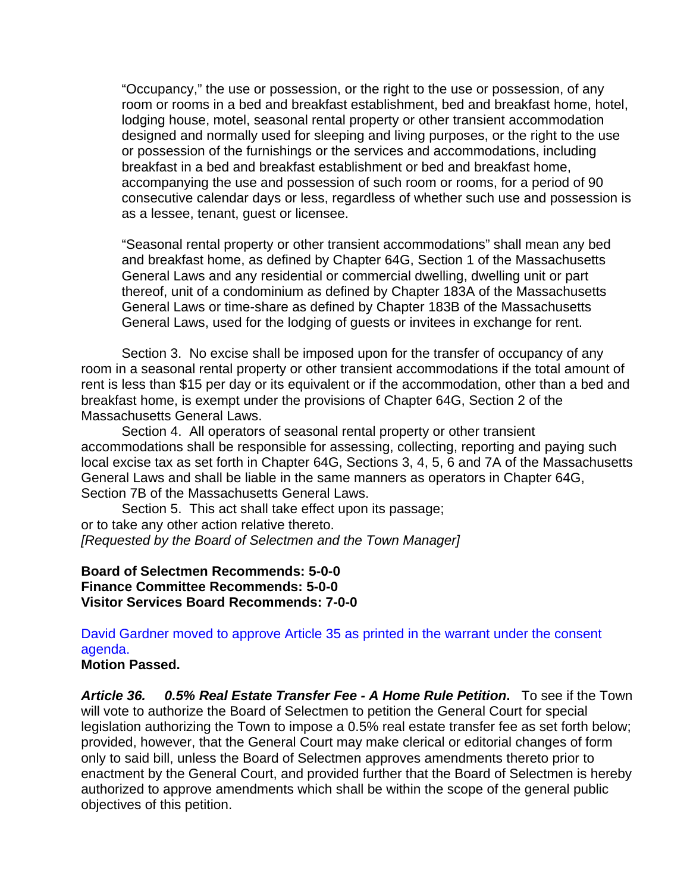"Occupancy," the use or possession, or the right to the use or possession, of any room or rooms in a bed and breakfast establishment, bed and breakfast home, hotel, lodging house, motel, seasonal rental property or other transient accommodation designed and normally used for sleeping and living purposes, or the right to the use or possession of the furnishings or the services and accommodations, including breakfast in a bed and breakfast establishment or bed and breakfast home, accompanying the use and possession of such room or rooms, for a period of 90 consecutive calendar days or less, regardless of whether such use and possession is as a lessee, tenant, guest or licensee.

"Seasonal rental property or other transient accommodations" shall mean any bed and breakfast home, as defined by Chapter 64G, Section 1 of the Massachusetts General Laws and any residential or commercial dwelling, dwelling unit or part thereof, unit of a condominium as defined by Chapter 183A of the Massachusetts General Laws or time-share as defined by Chapter 183B of the Massachusetts General Laws, used for the lodging of guests or invitees in exchange for rent.

Section 3. No excise shall be imposed upon for the transfer of occupancy of any room in a seasonal rental property or other transient accommodations if the total amount of rent is less than \$15 per day or its equivalent or if the accommodation, other than a bed and breakfast home, is exempt under the provisions of Chapter 64G, Section 2 of the Massachusetts General Laws.

Section 4. All operators of seasonal rental property or other transient accommodations shall be responsible for assessing, collecting, reporting and paying such local excise tax as set forth in Chapter 64G, Sections 3, 4, 5, 6 and 7A of the Massachusetts General Laws and shall be liable in the same manners as operators in Chapter 64G, Section 7B of the Massachusetts General Laws.

Section 5. This act shall take effect upon its passage; or to take any other action relative thereto. *[Requested by the Board of Selectmen and the Town Manager]* 

**Board of Selectmen Recommends: 5-0-0 Finance Committee Recommends: 5-0-0 Visitor Services Board Recommends: 7-0-0** 

## David Gardner moved to approve Article 35 as printed in the warrant under the consent agenda.

#### **Motion Passed.**

*Article 36. 0.5% Real Estate Transfer Fee - A Home Rule Petition***.** To see if the Town will vote to authorize the Board of Selectmen to petition the General Court for special legislation authorizing the Town to impose a 0.5% real estate transfer fee as set forth below; provided, however, that the General Court may make clerical or editorial changes of form only to said bill, unless the Board of Selectmen approves amendments thereto prior to enactment by the General Court, and provided further that the Board of Selectmen is hereby authorized to approve amendments which shall be within the scope of the general public objectives of this petition.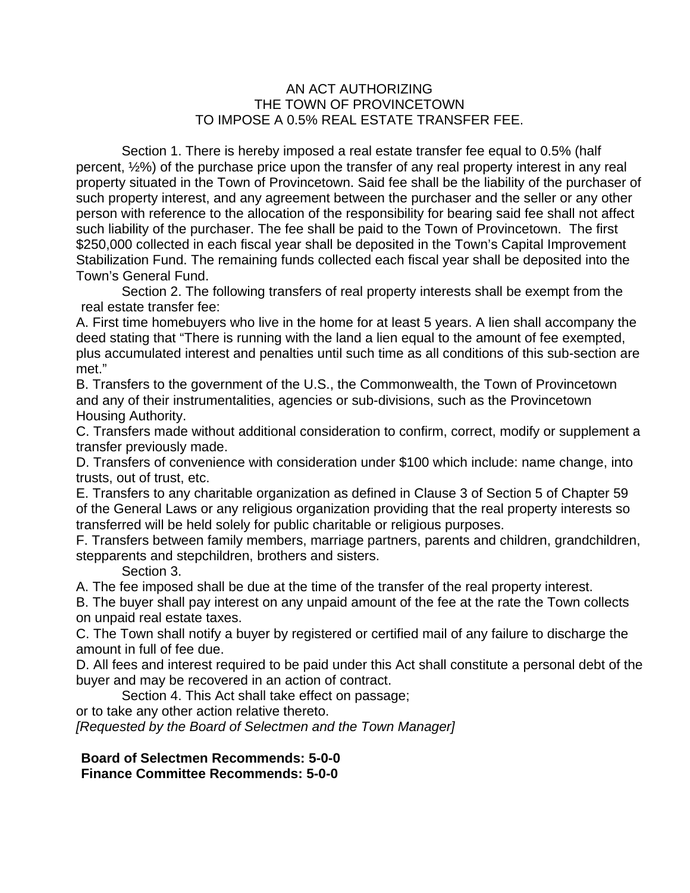#### AN ACT AUTHORIZING THE TOWN OF PROVINCETOWN TO IMPOSE A 0.5% REAL ESTATE TRANSFER FEE.

Section 1. There is hereby imposed a real estate transfer fee equal to 0.5% (half percent, ½%) of the purchase price upon the transfer of any real property interest in any real property situated in the Town of Provincetown. Said fee shall be the liability of the purchaser of such property interest, and any agreement between the purchaser and the seller or any other person with reference to the allocation of the responsibility for bearing said fee shall not affect such liability of the purchaser. The fee shall be paid to the Town of Provincetown. The first \$250,000 collected in each fiscal year shall be deposited in the Town's Capital Improvement Stabilization Fund. The remaining funds collected each fiscal year shall be deposited into the Town's General Fund.

Section 2. The following transfers of real property interests shall be exempt from the real estate transfer fee:

A. First time homebuyers who live in the home for at least 5 years. A lien shall accompany the deed stating that "There is running with the land a lien equal to the amount of fee exempted, plus accumulated interest and penalties until such time as all conditions of this sub-section are met."

B. Transfers to the government of the U.S., the Commonwealth, the Town of Provincetown and any of their instrumentalities, agencies or sub-divisions, such as the Provincetown Housing Authority.

C. Transfers made without additional consideration to confirm, correct, modify or supplement a transfer previously made.

D. Transfers of convenience with consideration under \$100 which include: name change, into trusts, out of trust, etc.

E. Transfers to any charitable organization as defined in Clause 3 of Section 5 of Chapter 59 of the General Laws or any religious organization providing that the real property interests so transferred will be held solely for public charitable or religious purposes.

F. Transfers between family members, marriage partners, parents and children, grandchildren, stepparents and stepchildren, brothers and sisters.

Section 3.

A. The fee imposed shall be due at the time of the transfer of the real property interest.

B. The buyer shall pay interest on any unpaid amount of the fee at the rate the Town collects on unpaid real estate taxes.

C. The Town shall notify a buyer by registered or certified mail of any failure to discharge the amount in full of fee due.

D. All fees and interest required to be paid under this Act shall constitute a personal debt of the buyer and may be recovered in an action of contract.

Section 4. This Act shall take effect on passage;

or to take any other action relative thereto.

*[Requested by the Board of Selectmen and the Town Manager]* 

**Board of Selectmen Recommends: 5-0-0 Finance Committee Recommends: 5-0-0**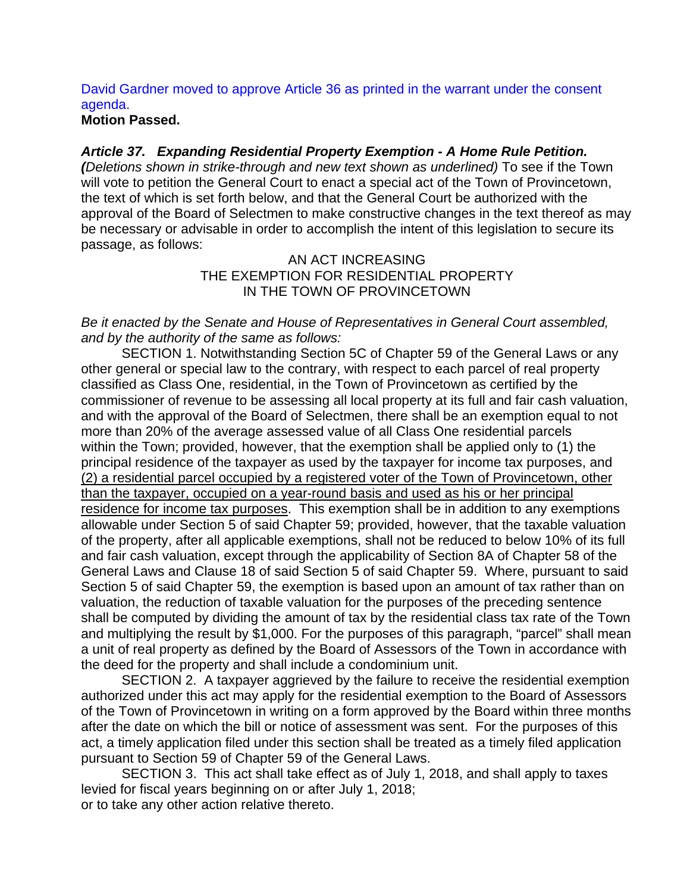## David Gardner moved to approve Article 36 as printed in the warrant under the consent agenda.

#### **Motion Passed.**

#### *Article 37. Expanding Residential Property Exemption - A Home Rule Petition.*

*(Deletions shown in strike-through and new text shown as underlined)* To see if the Town will vote to petition the General Court to enact a special act of the Town of Provincetown, the text of which is set forth below, and that the General Court be authorized with the approval of the Board of Selectmen to make constructive changes in the text thereof as may be necessary or advisable in order to accomplish the intent of this legislation to secure its passage, as follows:

#### AN ACT INCREASING THE EXEMPTION FOR RESIDENTIAL PROPERTY IN THE TOWN OF PROVINCETOWN

#### *Be it enacted by the Senate and House of Representatives in General Court assembled, and by the authority of the same as follows:*

SECTION 1. Notwithstanding Section 5C of Chapter 59 of the General Laws or any other general or special law to the contrary, with respect to each parcel of real property classified as Class One, residential, in the Town of Provincetown as certified by the commissioner of revenue to be assessing all local property at its full and fair cash valuation, and with the approval of the Board of Selectmen, there shall be an exemption equal to not more than 20% of the average assessed value of all Class One residential parcels within the Town; provided, however, that the exemption shall be applied only to (1) the principal residence of the taxpayer as used by the taxpayer for income tax purposes, and (2) a residential parcel occupied by a registered voter of the Town of Provincetown, other than the taxpayer, occupied on a year-round basis and used as his or her principal residence for income tax purposes. This exemption shall be in addition to any exemptions allowable under Section 5 of said Chapter 59; provided, however, that the taxable valuation of the property, after all applicable exemptions, shall not be reduced to below 10% of its full and fair cash valuation, except through the applicability of Section 8A of Chapter 58 of the General Laws and Clause 18 of said Section 5 of said Chapter 59. Where, pursuant to said Section 5 of said Chapter 59, the exemption is based upon an amount of tax rather than on valuation, the reduction of taxable valuation for the purposes of the preceding sentence shall be computed by dividing the amount of tax by the residential class tax rate of the Town and multiplying the result by \$1,000. For the purposes of this paragraph, "parcel" shall mean a unit of real property as defined by the Board of Assessors of the Town in accordance with the deed for the property and shall include a condominium unit.

SECTION 2. A taxpayer aggrieved by the failure to receive the residential exemption authorized under this act may apply for the residential exemption to the Board of Assessors of the Town of Provincetown in writing on a form approved by the Board within three months after the date on which the bill or notice of assessment was sent. For the purposes of this act, a timely application filed under this section shall be treated as a timely filed application pursuant to Section 59 of Chapter 59 of the General Laws.

SECTION 3. This act shall take effect as of July 1, 2018, and shall apply to taxes levied for fiscal years beginning on or after July 1, 2018; or to take any other action relative thereto.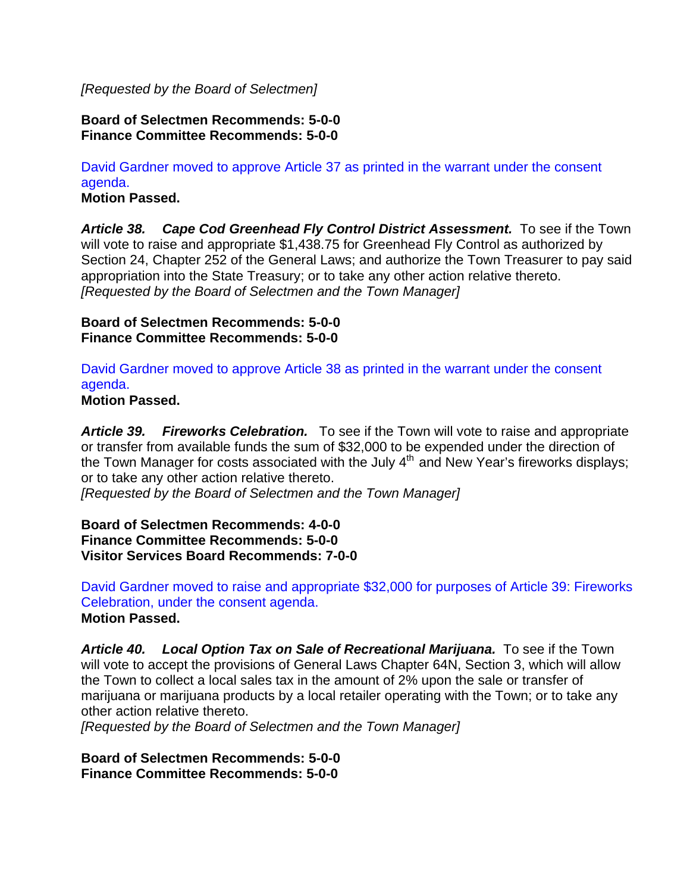#### *[Requested by the Board of Selectmen]*

#### **Board of Selectmen Recommends: 5-0-0 Finance Committee Recommends: 5-0-0**

## David Gardner moved to approve Article 37 as printed in the warrant under the consent agenda.

**Motion Passed.** 

*Article 38. Cape Cod Greenhead Fly Control District Assessment.* To see if the Town will vote to raise and appropriate \$1,438.75 for Greenhead Fly Control as authorized by Section 24, Chapter 252 of the General Laws; and authorize the Town Treasurer to pay said appropriation into the State Treasury; or to take any other action relative thereto. *[Requested by the Board of Selectmen and the Town Manager]* 

#### **Board of Selectmen Recommends: 5-0-0 Finance Committee Recommends: 5-0-0**

David Gardner moved to approve Article 38 as printed in the warrant under the consent agenda.

**Motion Passed.** 

*Article 39. Fireworks Celebration.* To see if the Town will vote to raise and appropriate or transfer from available funds the sum of \$32,000 to be expended under the direction of the Town Manager for costs associated with the July  $4<sup>th</sup>$  and New Year's fireworks displays; or to take any other action relative thereto.

*[Requested by the Board of Selectmen and the Town Manager]* 

**Board of Selectmen Recommends: 4-0-0 Finance Committee Recommends: 5-0-0 Visitor Services Board Recommends: 7-0-0** 

David Gardner moved to raise and appropriate \$32,000 for purposes of Article 39: Fireworks Celebration, under the consent agenda. **Motion Passed.** 

Article 40. Local Option Tax on Sale of Recreational Marijuana. To see if the Town will vote to accept the provisions of General Laws Chapter 64N, Section 3, which will allow the Town to collect a local sales tax in the amount of 2% upon the sale or transfer of marijuana or marijuana products by a local retailer operating with the Town; or to take any other action relative thereto.

*[Requested by the Board of Selectmen and the Town Manager]*

**Board of Selectmen Recommends: 5-0-0 Finance Committee Recommends: 5-0-0**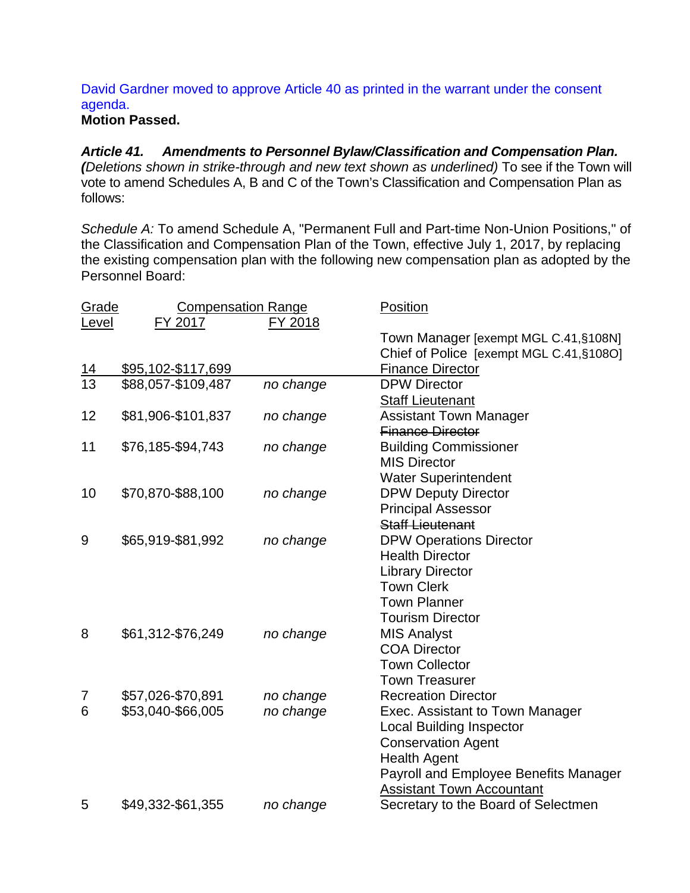## David Gardner moved to approve Article 40 as printed in the warrant under the consent agenda.

## **Motion Passed.**

*Article 41. Amendments to Personnel Bylaw/Classification and Compensation Plan. (Deletions shown in strike-through and new text shown as underlined)* To see if the Town will vote to amend Schedules A, B and C of the Town's Classification and Compensation Plan as follows:

*Schedule A:* To amend Schedule A, "Permanent Full and Part-time Non-Union Positions," of the Classification and Compensation Plan of the Town, effective July 1, 2017, by replacing the existing compensation plan with the following new compensation plan as adopted by the Personnel Board:

| <b>Grade</b> | <b>Compensation Range</b> |           | <u>Position</u>                          |
|--------------|---------------------------|-----------|------------------------------------------|
| Level        | FY 2017                   | FY 2018   |                                          |
|              |                           |           | Town Manager [exempt MGL C.41, §108N]    |
|              |                           |           | Chief of Police [exempt MGL C.41, §1080] |
| <u> 14</u>   | \$95,102-\$117,699        |           | <b>Finance Director</b>                  |
| 13           | \$88,057-\$109,487        | no change | <b>DPW Director</b>                      |
|              |                           |           | <b>Staff Lieutenant</b>                  |
| 12           | \$81,906-\$101,837        | no change | <b>Assistant Town Manager</b>            |
|              |                           |           | <b>Finance Director</b>                  |
| 11           | \$76,185-\$94,743         | no change | <b>Building Commissioner</b>             |
|              |                           |           | <b>MIS Director</b>                      |
|              |                           |           | <b>Water Superintendent</b>              |
| 10           | \$70,870-\$88,100         | no change | <b>DPW Deputy Director</b>               |
|              |                           |           | <b>Principal Assessor</b>                |
|              |                           |           | <b>Staff Lieutenant</b>                  |
| 9            | \$65,919-\$81,992         | no change | <b>DPW Operations Director</b>           |
|              |                           |           | <b>Health Director</b>                   |
|              |                           |           | <b>Library Director</b>                  |
|              |                           |           | <b>Town Clerk</b>                        |
|              |                           |           | <b>Town Planner</b>                      |
|              |                           |           | <b>Tourism Director</b>                  |
| 8            | \$61,312-\$76,249         | no change | <b>MIS Analyst</b>                       |
|              |                           |           | <b>COA Director</b>                      |
|              |                           |           | <b>Town Collector</b>                    |
|              |                           |           | <b>Town Treasurer</b>                    |
| 7            | \$57,026-\$70,891         | no change | <b>Recreation Director</b>               |
| 6            | \$53,040-\$66,005         | no change | Exec. Assistant to Town Manager          |
|              |                           |           | <b>Local Building Inspector</b>          |
|              |                           |           | <b>Conservation Agent</b>                |
|              |                           |           | <b>Health Agent</b>                      |
|              |                           |           | Payroll and Employee Benefits Manager    |
|              |                           |           | <b>Assistant Town Accountant</b>         |
| 5            | \$49,332-\$61,355         | no change | Secretary to the Board of Selectmen      |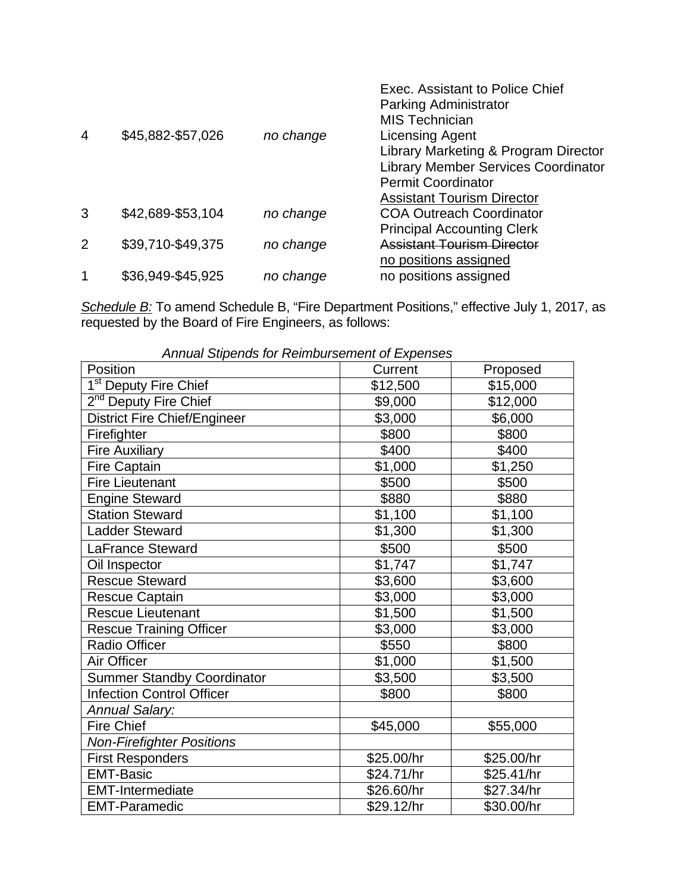| 4             | \$45,882-\$57,026 | no change | Exec. Assistant to Police Chief<br>Parking Administrator<br><b>MIS Technician</b><br>Licensing Agent<br>Library Marketing & Program Director<br><b>Library Member Services Coordinator</b><br><b>Permit Coordinator</b><br><b>Assistant Tourism Director</b> |
|---------------|-------------------|-----------|--------------------------------------------------------------------------------------------------------------------------------------------------------------------------------------------------------------------------------------------------------------|
| 3             | \$42,689-\$53,104 | no change | <b>COA Outreach Coordinator</b>                                                                                                                                                                                                                              |
|               |                   |           | <b>Principal Accounting Clerk</b>                                                                                                                                                                                                                            |
| $\mathcal{P}$ | \$39,710-\$49,375 | no change | <b>Assistant Tourism Director</b>                                                                                                                                                                                                                            |
|               |                   |           | no positions assigned                                                                                                                                                                                                                                        |
|               | \$36,949-\$45,925 | no change | no positions assigned                                                                                                                                                                                                                                        |

*Schedule B:* To amend Schedule B, "Fire Department Positions," effective July 1, 2017, as requested by the Board of Fire Engineers, as follows:

| Arinual Superius for Reimbursement of Expenses |            |            |  |  |  |
|------------------------------------------------|------------|------------|--|--|--|
| Position                                       | Current    | Proposed   |  |  |  |
| 1 <sup>st</sup> Deputy Fire Chief              | \$12,500   | \$15,000   |  |  |  |
| 2 <sup>nd</sup> Deputy Fire Chief              | \$9,000    | \$12,000   |  |  |  |
| <b>District Fire Chief/Engineer</b>            | \$3,000    | \$6,000    |  |  |  |
| Firefighter                                    | \$800      | \$800      |  |  |  |
| <b>Fire Auxiliary</b>                          | \$400      | \$400      |  |  |  |
| <b>Fire Captain</b>                            | \$1,000    | \$1,250    |  |  |  |
| <b>Fire Lieutenant</b>                         | \$500      | \$500      |  |  |  |
| <b>Engine Steward</b>                          | \$880      | \$880      |  |  |  |
| <b>Station Steward</b>                         | \$1,100    | \$1,100    |  |  |  |
| <b>Ladder Steward</b>                          | \$1,300    | \$1,300    |  |  |  |
| <b>LaFrance Steward</b>                        | \$500      | \$500      |  |  |  |
| Oil Inspector                                  | \$1,747    | \$1,747    |  |  |  |
| <b>Rescue Steward</b>                          | \$3,600    | \$3,600    |  |  |  |
| <b>Rescue Captain</b>                          | \$3,000    | \$3,000    |  |  |  |
| <b>Rescue Lieutenant</b>                       | \$1,500    | \$1,500    |  |  |  |
| <b>Rescue Training Officer</b>                 | \$3,000    | \$3,000    |  |  |  |
| <b>Radio Officer</b>                           | \$550      | \$800      |  |  |  |
| Air Officer                                    | \$1,000    | \$1,500    |  |  |  |
| <b>Summer Standby Coordinator</b>              | \$3,500    | \$3,500    |  |  |  |
| <b>Infection Control Officer</b>               | \$800      | \$800      |  |  |  |
| <b>Annual Salary:</b>                          |            |            |  |  |  |
| <b>Fire Chief</b>                              | \$45,000   | \$55,000   |  |  |  |
| <b>Non-Firefighter Positions</b>               |            |            |  |  |  |
| <b>First Responders</b>                        | \$25.00/hr | \$25.00/hr |  |  |  |
| <b>EMT-Basic</b>                               | \$24.71/hr | \$25.41/hr |  |  |  |
| <b>EMT-Intermediate</b>                        | \$26.60/hr | \$27.34/hr |  |  |  |
| <b>EMT-Paramedic</b>                           | \$29.12/hr | \$30.00/hr |  |  |  |

*Annual Stipends for Reimbursement of Expenses*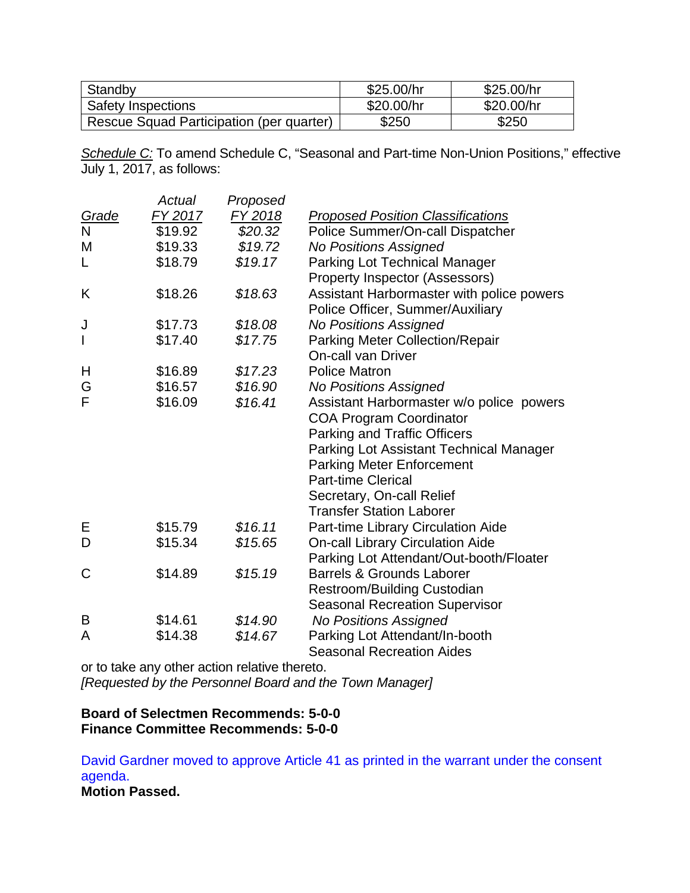| Standby                                  | \$25.00/hr | \$25.00/hr |
|------------------------------------------|------------|------------|
| <b>Safety Inspections</b>                | \$20.00/hr | \$20.00/hr |
| Rescue Squad Participation (per quarter) | \$250      | \$250      |

*Schedule C:* To amend Schedule C, "Seasonal and Part-time Non-Union Positions," effective July 1, 2017, as follows:

|              | Actual  | Proposed       |                                           |
|--------------|---------|----------------|-------------------------------------------|
| <b>Grade</b> | FY 2017 | <u>FY 2018</u> | <b>Proposed Position Classifications</b>  |
| $\mathsf{N}$ | \$19.92 | \$20.32        | Police Summer/On-call Dispatcher          |
| M            | \$19.33 | \$19.72        | <b>No Positions Assigned</b>              |
| L            | \$18.79 | \$19.17        | <b>Parking Lot Technical Manager</b>      |
|              |         |                | Property Inspector (Assessors)            |
| Κ            | \$18.26 | \$18.63        | Assistant Harbormaster with police powers |
|              |         |                | Police Officer, Summer/Auxiliary          |
| J            | \$17.73 | \$18.08        | <b>No Positions Assigned</b>              |
| I            | \$17.40 | \$17.75        | <b>Parking Meter Collection/Repair</b>    |
|              |         |                | <b>On-call van Driver</b>                 |
| Н            | \$16.89 | \$17.23        | <b>Police Matron</b>                      |
| G            | \$16.57 | \$16.90        | <b>No Positions Assigned</b>              |
| F            | \$16.09 | \$16.41        | Assistant Harbormaster w/o police powers  |
|              |         |                | <b>COA Program Coordinator</b>            |
|              |         |                | <b>Parking and Traffic Officers</b>       |
|              |         |                | Parking Lot Assistant Technical Manager   |
|              |         |                | <b>Parking Meter Enforcement</b>          |
|              |         |                | <b>Part-time Clerical</b>                 |
|              |         |                | Secretary, On-call Relief                 |
|              |         |                | <b>Transfer Station Laborer</b>           |
| Е            | \$15.79 | \$16.11        | Part-time Library Circulation Aide        |
| D            | \$15.34 | \$15.65        | <b>On-call Library Circulation Aide</b>   |
|              |         |                | Parking Lot Attendant/Out-booth/Floater   |
| C            | \$14.89 | \$15.19        | <b>Barrels &amp; Grounds Laborer</b>      |
|              |         |                | <b>Restroom/Building Custodian</b>        |
|              |         |                | <b>Seasonal Recreation Supervisor</b>     |
| B            | \$14.61 | \$14.90        | <b>No Positions Assigned</b>              |
| A            | \$14.38 | \$14.67        | Parking Lot Attendant/In-booth            |
|              |         |                | <b>Seasonal Recreation Aides</b>          |

or to take any other action relative thereto.

*[Requested by the Personnel Board and the Town Manager]* 

#### **Board of Selectmen Recommends: 5-0-0 Finance Committee Recommends: 5-0-0**

David Gardner moved to approve Article 41 as printed in the warrant under the consent agenda. **Motion Passed.**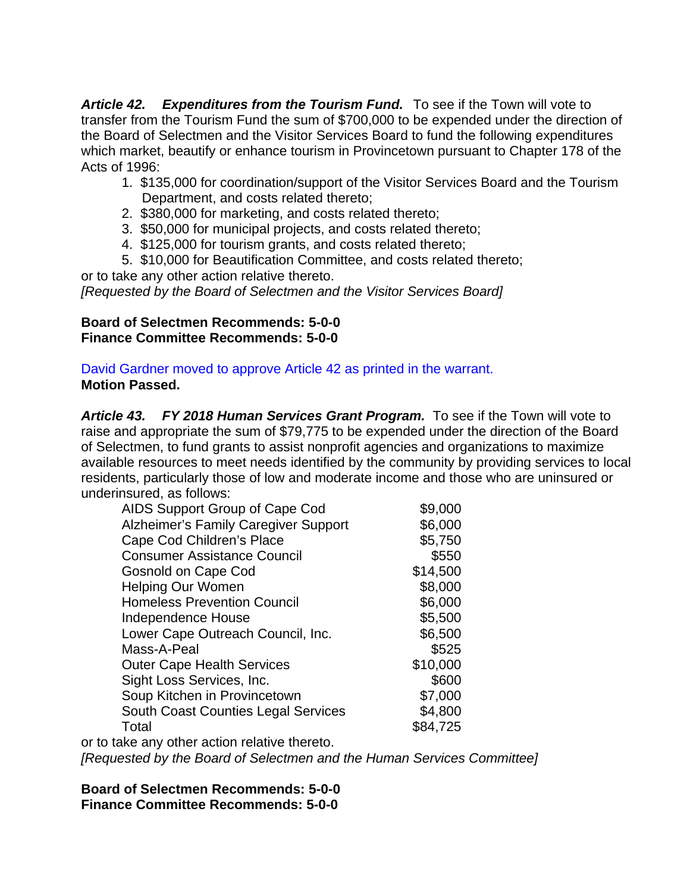*Article 42. Expenditures from the Tourism Fund.* To see if the Town will vote to transfer from the Tourism Fund the sum of \$700,000 to be expended under the direction of the Board of Selectmen and the Visitor Services Board to fund the following expenditures which market, beautify or enhance tourism in Provincetown pursuant to Chapter 178 of the Acts of 1996:

- 1. \$135,000 for coordination/support of the Visitor Services Board and the Tourism Department, and costs related thereto;
- 2. \$380,000 for marketing, and costs related thereto;
- 3. \$50,000 for municipal projects, and costs related thereto;
- 4. \$125,000 for tourism grants, and costs related thereto;
- 5. \$10,000 for Beautification Committee, and costs related thereto;

or to take any other action relative thereto. *[Requested by the Board of Selectmen and the Visitor Services Board]*

## **Board of Selectmen Recommends: 5-0-0 Finance Committee Recommends: 5-0-0**

David Gardner moved to approve Article 42 as printed in the warrant. **Motion Passed.** 

*Article 43. FY 2018 Human Services Grant Program.* To see if the Town will vote to raise and appropriate the sum of \$79,775 to be expended under the direction of the Board of Selectmen, to fund grants to assist nonprofit agencies and organizations to maximize available resources to meet needs identified by the community by providing services to local residents, particularly those of low and moderate income and those who are uninsured or underinsured, as follows:

| AIDS Support Group of Cape Cod                          | \$9,000  |
|---------------------------------------------------------|----------|
| <b>Alzheimer's Family Caregiver Support</b>             | \$6,000  |
| Cape Cod Children's Place                               | \$5,750  |
| <b>Consumer Assistance Council</b>                      | \$550    |
| Gosnold on Cape Cod                                     | \$14,500 |
| <b>Helping Our Women</b>                                | \$8,000  |
| <b>Homeless Prevention Council</b>                      | \$6,000  |
| Independence House                                      | \$5,500  |
| Lower Cape Outreach Council, Inc.                       | \$6,500  |
| Mass-A-Peal                                             | \$525    |
| <b>Outer Cape Health Services</b>                       | \$10,000 |
| Sight Loss Services, Inc.                               | \$600    |
| Soup Kitchen in Provincetown                            | \$7,000  |
| <b>South Coast Counties Legal Services</b>              | \$4,800  |
| Total                                                   | \$84,725 |
| ومرضوع المستنقل والمساحد والمعاصر مرضا والمتوارد ومرضان |          |

or to take any other action relative thereto. *[Requested by the Board of Selectmen and the Human Services Committee]* 

**Board of Selectmen Recommends: 5-0-0 Finance Committee Recommends: 5-0-0**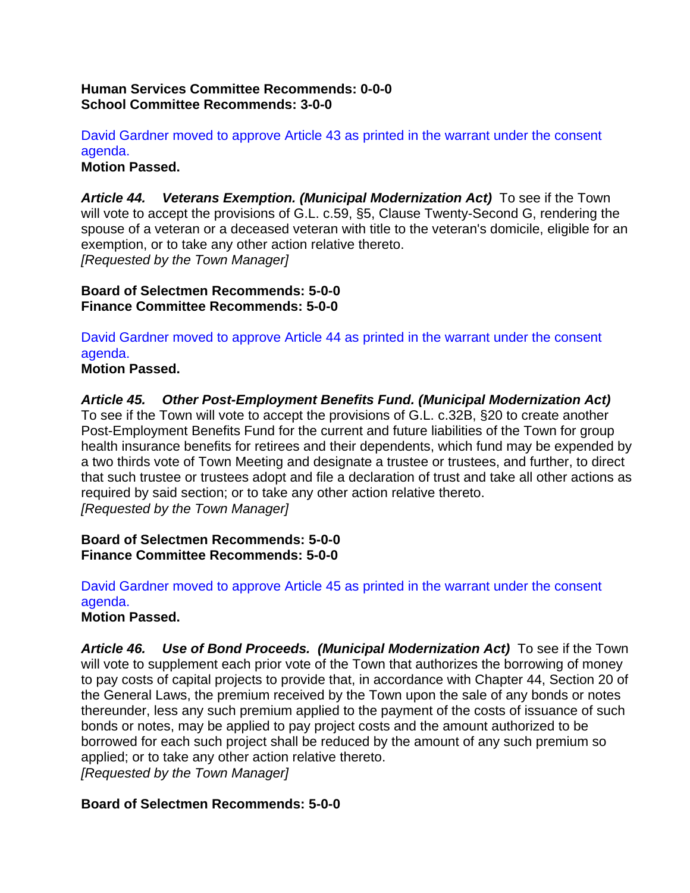#### **Human Services Committee Recommends: 0-0-0 School Committee Recommends: 3-0-0**

David Gardner moved to approve Article 43 as printed in the warrant under the consent agenda.

**Motion Passed.** 

Article 44. Veterans Exemption. (Municipal Modernization Act) To see if the Town will vote to accept the provisions of G.L. c.59, §5, Clause Twenty-Second G, rendering the spouse of a veteran or a deceased veteran with title to the veteran's domicile, eligible for an exemption, or to take any other action relative thereto. *[Requested by the Town Manager]* 

**Board of Selectmen Recommends: 5-0-0 Finance Committee Recommends: 5-0-0** 

David Gardner moved to approve Article 44 as printed in the warrant under the consent agenda.

**Motion Passed.** 

*Article 45. Other Post-Employment Benefits Fund. (Municipal Modernization Act)* 

To see if the Town will vote to accept the provisions of G.L. c.32B, §20 to create another Post-Employment Benefits Fund for the current and future liabilities of the Town for group health insurance benefits for retirees and their dependents, which fund may be expended by a two thirds vote of Town Meeting and designate a trustee or trustees, and further, to direct that such trustee or trustees adopt and file a declaration of trust and take all other actions as required by said section; or to take any other action relative thereto. *[Requested by the Town Manager]* 

**Board of Selectmen Recommends: 5-0-0 Finance Committee Recommends: 5-0-0** 

David Gardner moved to approve Article 45 as printed in the warrant under the consent agenda.

**Motion Passed.** 

Article 46. Use of Bond Proceeds. (Municipal Modernization Act) To see if the Town will vote to supplement each prior vote of the Town that authorizes the borrowing of money to pay costs of capital projects to provide that, in accordance with Chapter 44, Section 20 of the General Laws, the premium received by the Town upon the sale of any bonds or notes thereunder, less any such premium applied to the payment of the costs of issuance of such bonds or notes, may be applied to pay project costs and the amount authorized to be borrowed for each such project shall be reduced by the amount of any such premium so applied; or to take any other action relative thereto.

*[Requested by the Town Manager]* 

#### **Board of Selectmen Recommends: 5-0-0**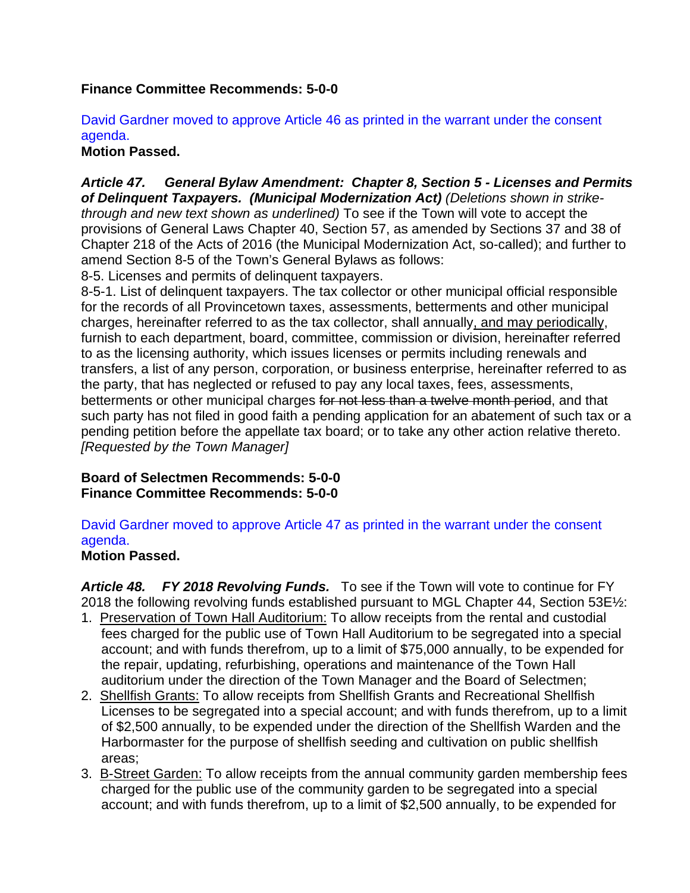## **Finance Committee Recommends: 5-0-0**

## David Gardner moved to approve Article 46 as printed in the warrant under the consent agenda.

## **Motion Passed.**

*Article 47. General Bylaw Amendment: Chapter 8, Section 5 - Licenses and Permits of Delinquent Taxpayers. (Municipal Modernization Act) (Deletions shown in strikethrough and new text shown as underlined)* To see if the Town will vote to accept the provisions of General Laws Chapter 40, Section 57, as amended by Sections 37 and 38 of Chapter 218 of the Acts of 2016 (the Municipal Modernization Act, so-called); and further to amend Section 8-5 of the Town's General Bylaws as follows:

8-5. Licenses and permits of delinquent taxpayers.

8-5-1. List of delinquent taxpayers. The tax collector or other municipal official responsible for the records of all Provincetown taxes, assessments, betterments and other municipal charges, hereinafter referred to as the tax collector, shall annually, and may periodically, furnish to each department, board, committee, commission or division, hereinafter referred to as the licensing authority, which issues licenses or permits including renewals and transfers, a list of any person, corporation, or business enterprise, hereinafter referred to as the party, that has neglected or refused to pay any local taxes, fees, assessments, betterments or other municipal charges for not less than a twelve month period, and that such party has not filed in good faith a pending application for an abatement of such tax or a pending petition before the appellate tax board; or to take any other action relative thereto. *[Requested by the Town Manager]* 

**Board of Selectmen Recommends: 5-0-0 Finance Committee Recommends: 5-0-0** 

David Gardner moved to approve Article 47 as printed in the warrant under the consent agenda.

## **Motion Passed.**

*Article 48. FY 2018 Revolving Funds.* To see if the Town will vote to continue for FY 2018 the following revolving funds established pursuant to MGL Chapter 44, Section 53E½:

- 1. Preservation of Town Hall Auditorium: To allow receipts from the rental and custodial fees charged for the public use of Town Hall Auditorium to be segregated into a special account; and with funds therefrom, up to a limit of \$75,000 annually, to be expended for the repair, updating, refurbishing, operations and maintenance of the Town Hall auditorium under the direction of the Town Manager and the Board of Selectmen;
- 2. Shellfish Grants: To allow receipts from Shellfish Grants and Recreational Shellfish Licenses to be segregated into a special account; and with funds therefrom, up to a limit of \$2,500 annually, to be expended under the direction of the Shellfish Warden and the Harbormaster for the purpose of shellfish seeding and cultivation on public shellfish areas;
- 3. B-Street Garden: To allow receipts from the annual community garden membership fees charged for the public use of the community garden to be segregated into a special account; and with funds therefrom, up to a limit of \$2,500 annually, to be expended for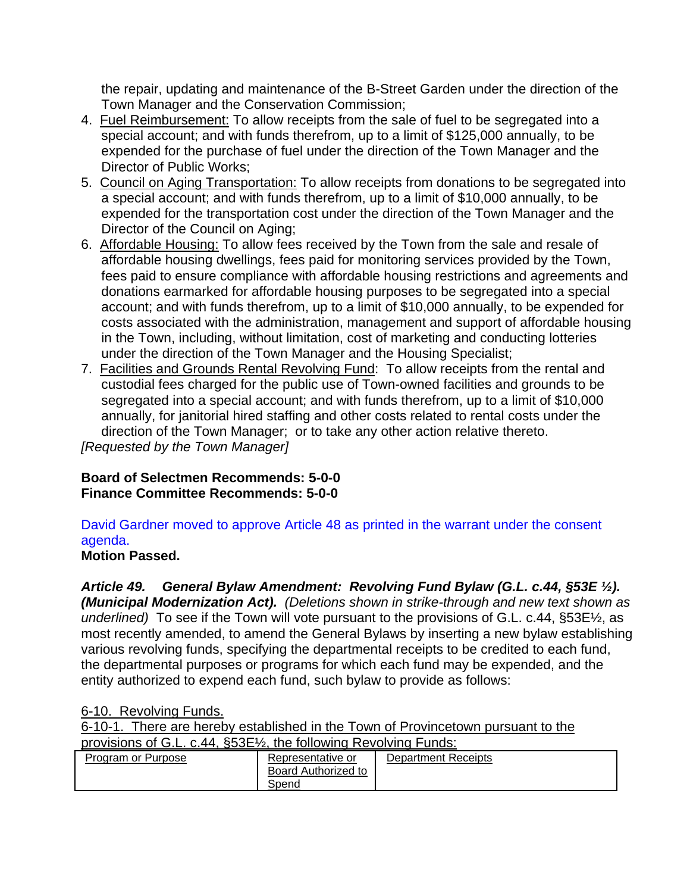the repair, updating and maintenance of the B-Street Garden under the direction of the Town Manager and the Conservation Commission;

- 4. Fuel Reimbursement: To allow receipts from the sale of fuel to be segregated into a special account; and with funds therefrom, up to a limit of \$125,000 annually, to be expended for the purchase of fuel under the direction of the Town Manager and the Director of Public Works;
- 5. Council on Aging Transportation: To allow receipts from donations to be segregated into a special account; and with funds therefrom, up to a limit of \$10,000 annually, to be expended for the transportation cost under the direction of the Town Manager and the Director of the Council on Aging;
- 6. Affordable Housing: To allow fees received by the Town from the sale and resale of affordable housing dwellings, fees paid for monitoring services provided by the Town, fees paid to ensure compliance with affordable housing restrictions and agreements and donations earmarked for affordable housing purposes to be segregated into a special account; and with funds therefrom, up to a limit of \$10,000 annually, to be expended for costs associated with the administration, management and support of affordable housing in the Town, including, without limitation, cost of marketing and conducting lotteries under the direction of the Town Manager and the Housing Specialist;
- 7. Facilities and Grounds Rental Revolving Fund: To allow receipts from the rental and custodial fees charged for the public use of Town-owned facilities and grounds to be segregated into a special account; and with funds therefrom, up to a limit of \$10,000 annually, for janitorial hired staffing and other costs related to rental costs under the direction of the Town Manager; or to take any other action relative thereto. *[Requested by the Town Manager]*

#### **Board of Selectmen Recommends: 5-0-0 Finance Committee Recommends: 5-0-0**

## David Gardner moved to approve Article 48 as printed in the warrant under the consent agenda.

## **Motion Passed.**

*Article 49. General Bylaw Amendment: Revolving Fund Bylaw (G.L. c.44, §53E ½). (Municipal Modernization Act). (Deletions shown in strike-through and new text shown as underlined)* To see if the Town will vote pursuant to the provisions of G.L. c.44, §53E½, as most recently amended, to amend the General Bylaws by inserting a new bylaw establishing various revolving funds, specifying the departmental receipts to be credited to each fund, the departmental purposes or programs for which each fund may be expended, and the entity authorized to expend each fund, such bylaw to provide as follows:

#### 6-10. Revolving Funds.

6-10-1. There are hereby established in the Town of Provincetown pursuant to the

provisions of G.L. c.44, §53E½, the following Revolving Funds:

| <b>Program or Purpose</b> | Representative or<br>Board Authorized to | <b>Department Receipts</b> |
|---------------------------|------------------------------------------|----------------------------|
|                           | Spend                                    |                            |